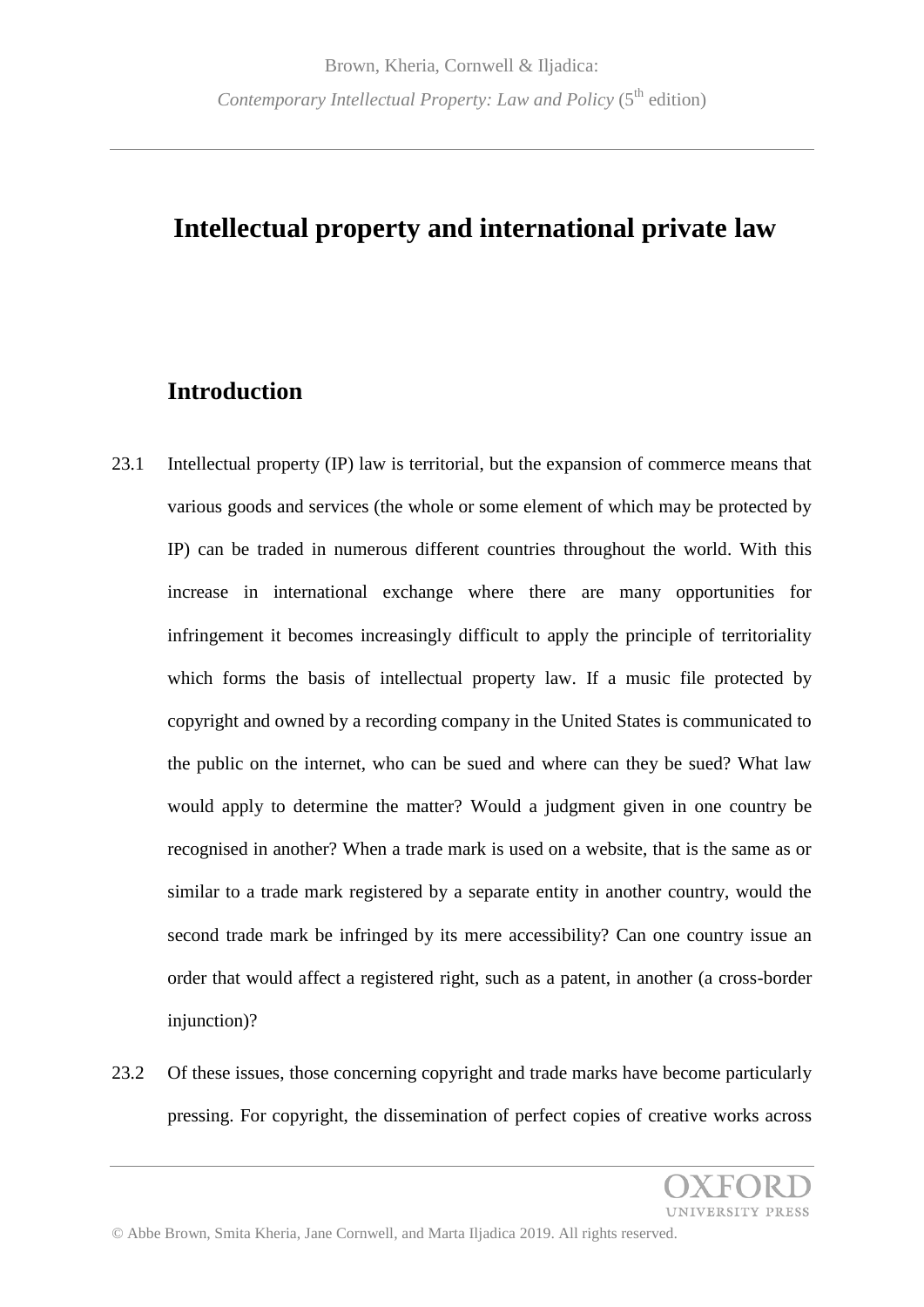# **Intellectual property and international private law**

## **Introduction**

- 23.1 Intellectual property (IP) law is territorial, but the expansion of commerce means that various goods and services (the whole or some element of which may be protected by IP) can be traded in numerous different countries throughout the world. With this increase in international exchange where there are many opportunities for infringement it becomes increasingly difficult to apply the principle of territoriality which forms the basis of intellectual property law. If a music file protected by copyright and owned by a recording company in the United States is communicated to the public on the internet, who can be sued and where can they be sued? What law would apply to determine the matter? Would a judgment given in one country be recognised in another? When a trade mark is used on a website, that is the same as or similar to a trade mark registered by a separate entity in another country, would the second trade mark be infringed by its mere accessibility? Can one country issue an order that would affect a registered right, such as a patent, in another (a cross-border injunction)?
- 23.2 Of these issues, those concerning copyright and trade marks have become particularly pressing. For copyright, the dissemination of perfect copies of creative works across

INIVERSITY PRESS © Abbe Brown, Smita Kheria, Jane Cornwell, and Marta Iljadica 2019. All rights reserved.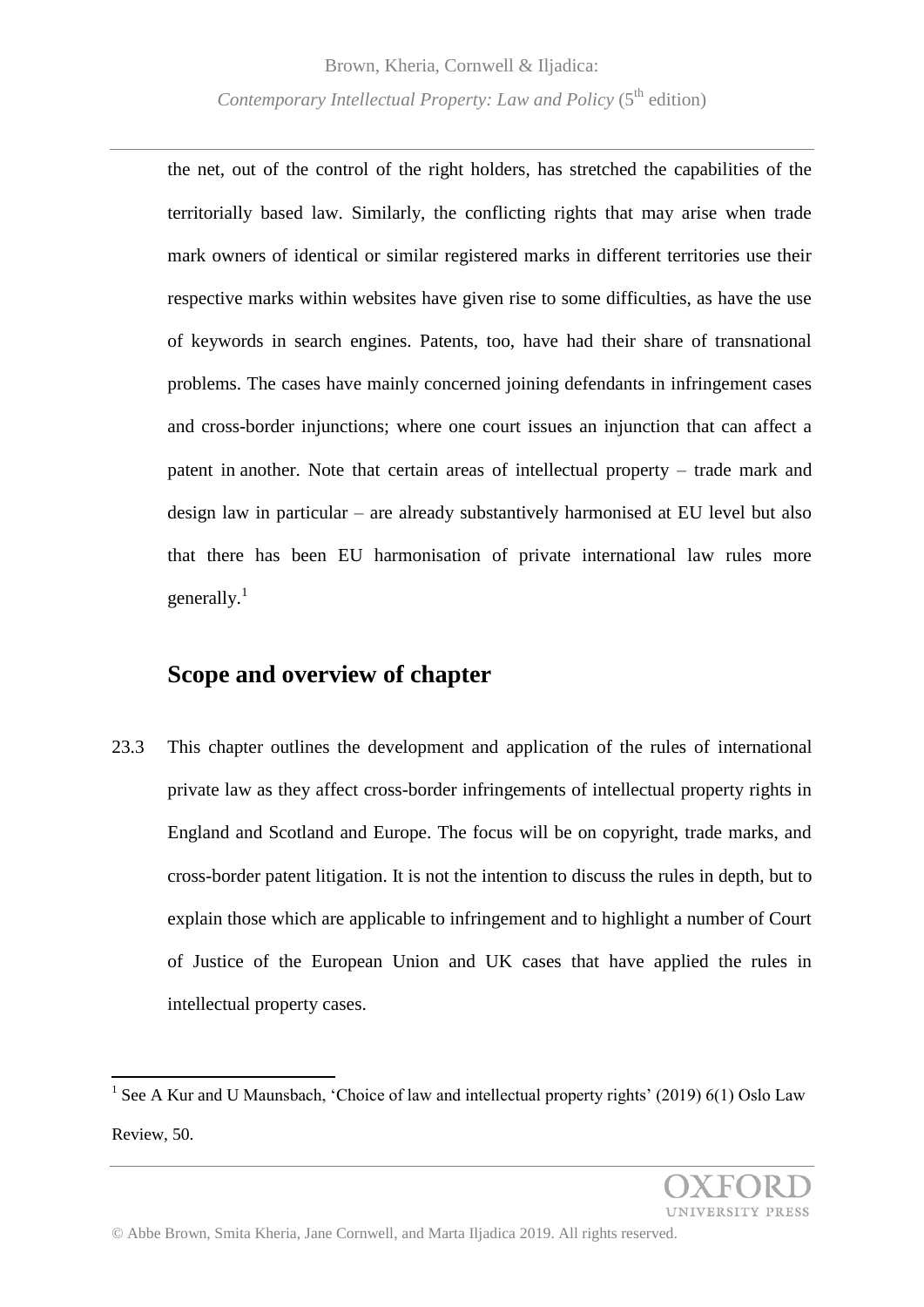the net, out of the control of the right holders, has stretched the capabilities of the territorially based law. Similarly, the conflicting rights that may arise when trade mark owners of identical or similar registered marks in different territories use their respective marks within websites have given rise to some difficulties, as have the use of keywords in search engines. Patents, too, have had their share of transnational problems. The cases have mainly concerned joining defendants in infringement cases and cross-border injunctions; where one court issues an injunction that can affect a patent in another. Note that certain areas of intellectual property – trade mark and design law in particular – are already substantively harmonised at EU level but also that there has been EU harmonisation of private international law rules more generally.<sup>1</sup>

## **Scope and overview of chapter**

23.3 This chapter outlines the development and application of the rules of international private law as they affect cross-border infringements of intellectual property rights in England and Scotland and Europe. The focus will be on copyright, trade marks, and cross-border patent litigation. It is not the intention to discuss the rules in depth, but to explain those which are applicable to infringement and to highlight a number of Court of Justice of the European Union and UK cases that have applied the rules in intellectual property cases.

 $\overline{a}$ <sup>1</sup> See A Kur and U Maunsbach, 'Choice of law and intellectual property rights' (2019) 6(1) Oslo Law Review, 50.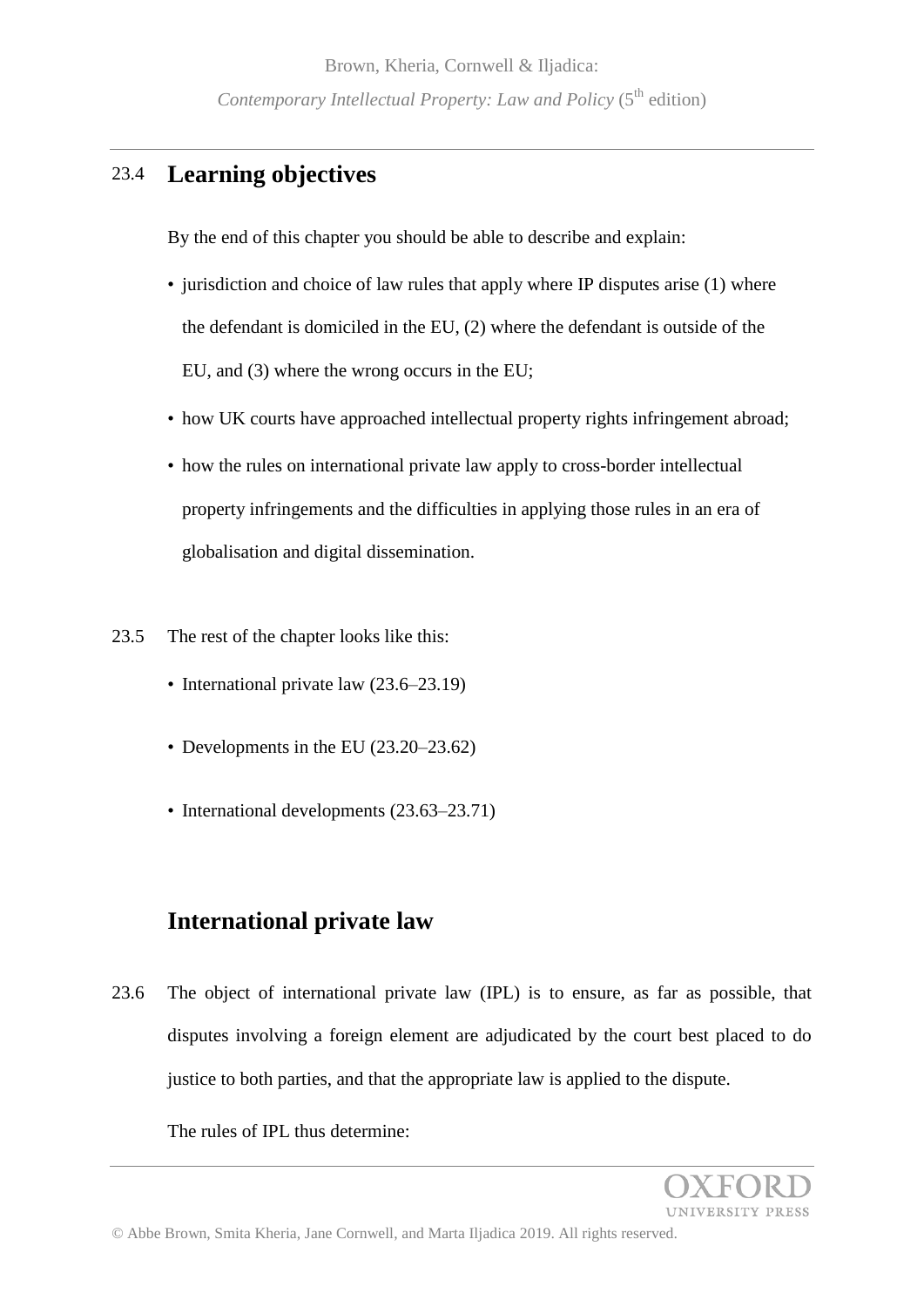## 23.4 **Learning objectives**

By the end of this chapter you should be able to describe and explain:

- jurisdiction and choice of law rules that apply where IP disputes arise (1) where the defendant is domiciled in the EU, (2) where the defendant is outside of the EU, and (3) where the wrong occurs in the EU;
- how UK courts have approached intellectual property rights infringement abroad;
- how the rules on international private law apply to cross-border intellectual property infringements and the difficulties in applying those rules in an era of globalisation and digital dissemination.
- 23.5 The rest of the chapter looks like this:
	- International private law (23.6–23.19)
	- Developments in the EU (23.20–23.62)
	- International developments  $(23.63-23.71)$

## **International private law**

23.6 The object of international private law (IPL) is to ensure, as far as possible, that disputes involving a foreign element are adjudicated by the court best placed to do justice to both parties, and that the appropriate law is applied to the dispute.

The rules of IPL thus determine: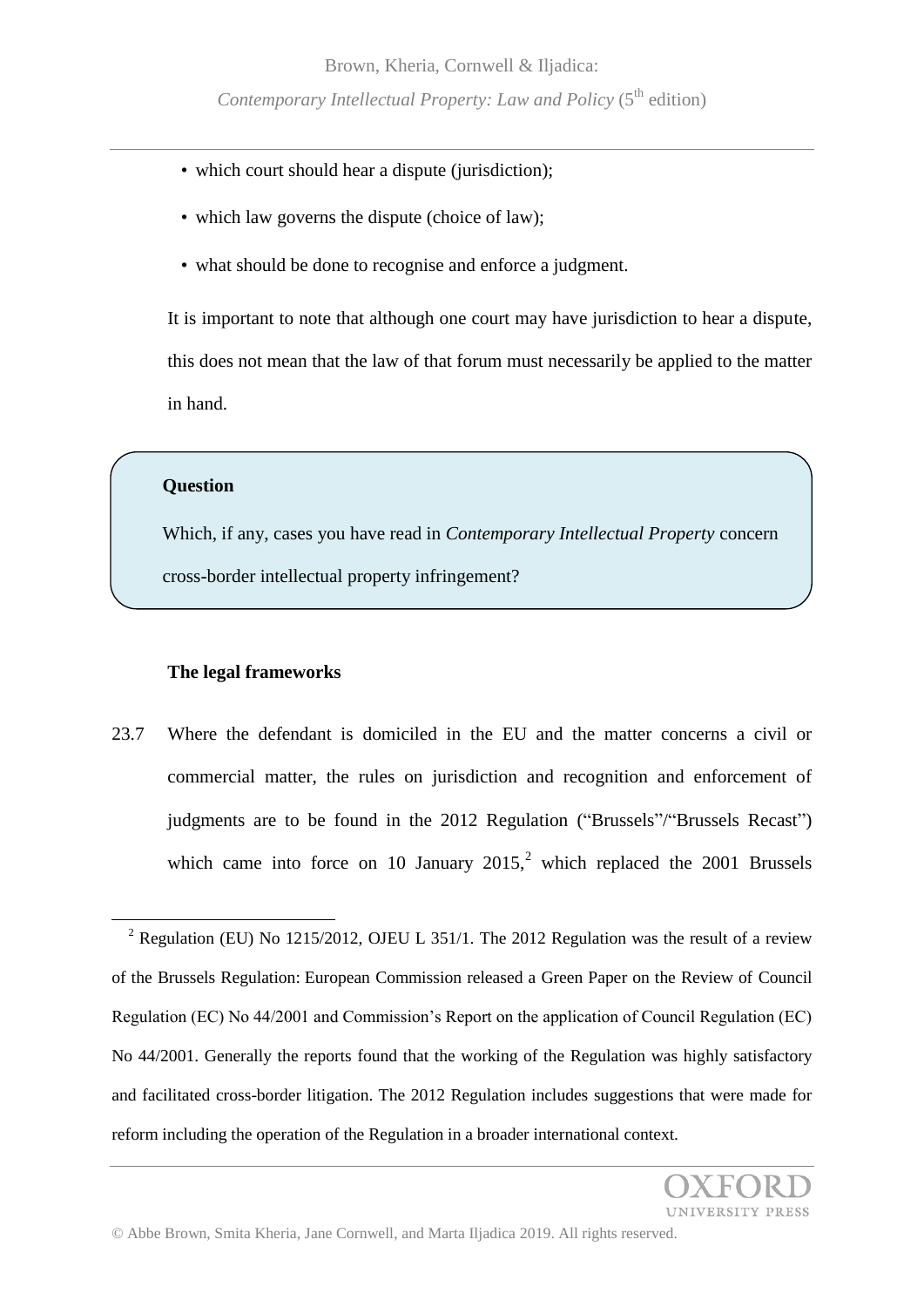- which court should hear a dispute (jurisdiction):
- which law governs the dispute (choice of law);
- what should be done to recognise and enforce a judgment.

It is important to note that although one court may have jurisdiction to hear a dispute, this does not mean that the law of that forum must necessarily be applied to the matter in hand.

### **Question**

**.** 

Which, if any, cases you have read in *Contemporary Intellectual Property* concern cross-border intellectual property infringement?

### **The legal frameworks**

23.7 Where the defendant is domiciled in the EU and the matter concerns a civil or commercial matter, the rules on jurisdiction and recognition and enforcement of judgments are to be found in the 2012 Regulation ("Brussels"/"Brussels Recast") which came into force on 10 January  $2015$ ,<sup>2</sup> which replaced the 2001 Brussels

 $2$  Regulation (EU) No 1215/2012, OJEU L 351/1. The 2012 Regulation was the result of a review of the Brussels Regulation: European Commission released a Green Paper on the Review of Council Regulation (EC) No 44/2001 and Commission's Report on the application of Council Regulation (EC) No 44/2001. Generally the reports found that the working of the Regulation was highly satisfactory and facilitated cross-border litigation. The 2012 Regulation includes suggestions that were made for reform including the operation of the Regulation in a broader international context.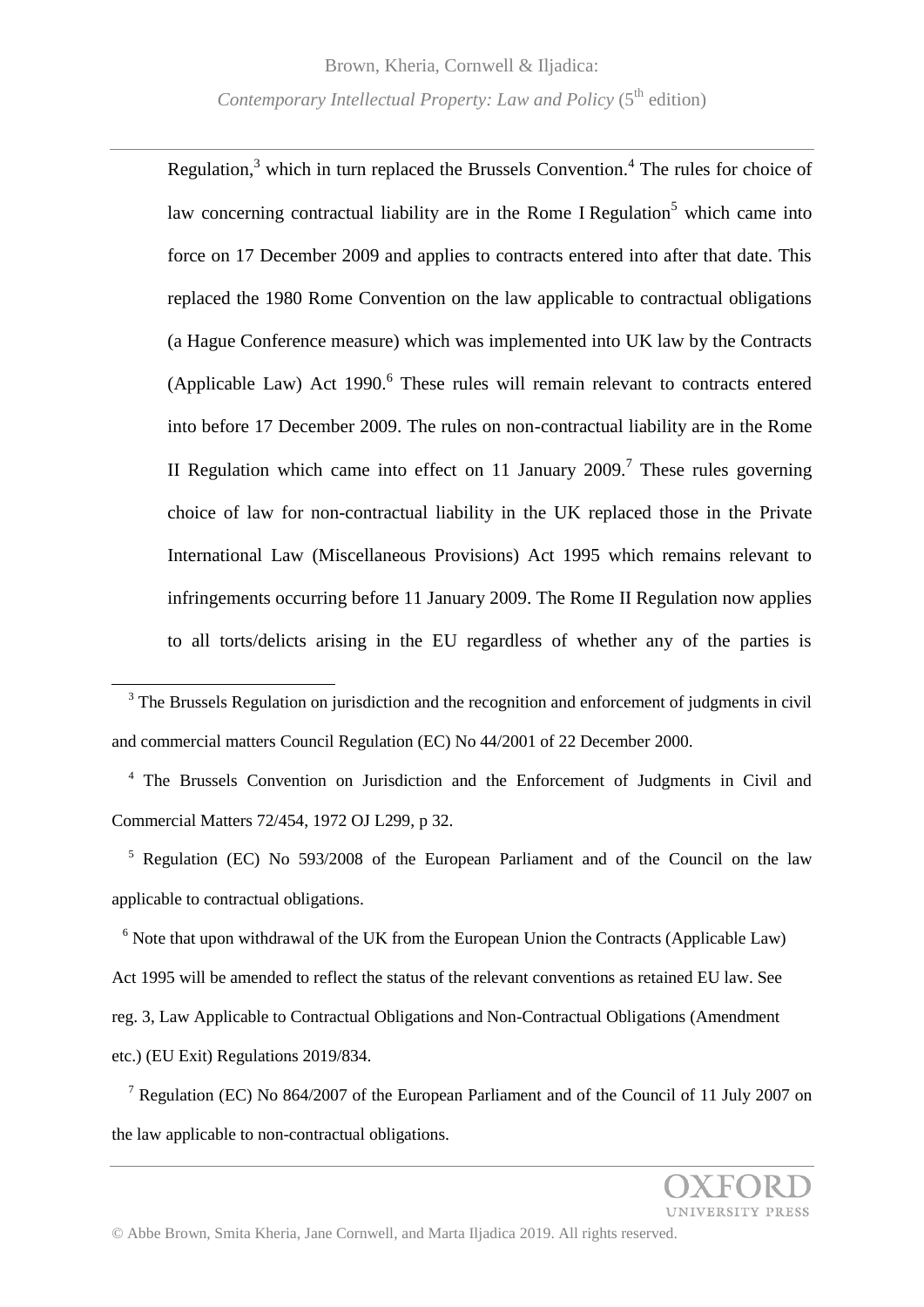Regulation, $3$  which in turn replaced the Brussels Convention.<sup>4</sup> The rules for choice of law concerning contractual liability are in the Rome I Regulation<sup>5</sup> which came into force on 17 December 2009 and applies to contracts entered into after that date. This replaced the 1980 Rome Convention on the law applicable to contractual obligations (a Hague Conference measure) which was implemented into UK law by the Contracts (Applicable Law) Act 1990.<sup>6</sup> These rules will remain relevant to contracts entered into before 17 December 2009. The rules on non-contractual liability are in the Rome II Regulation which came into effect on 11 January 2009.<sup>7</sup> These rules governing choice of law for non-contractual liability in the UK replaced those in the Private International Law (Miscellaneous Provisions) Act 1995 which remains relevant to infringements occurring before 11 January 2009. The Rome II Regulation now applies to all torts/delicts arising in the EU regardless of whether any of the parties is

<sup>3</sup> The Brussels Regulation on jurisdiction and the recognition and enforcement of judgments in civil and commercial matters Council Regulation (EC) No 44/2001 of 22 December 2000.

**.** 

<sup>4</sup> The Brussels Convention on Jurisdiction and the Enforcement of Judgments in Civil and Commercial Matters 72/454, 1972 OJ L299, p 32.

<sup>5</sup> Regulation (EC) No 593/2008 of the European Parliament and of the Council on the law applicable to contractual obligations.

 $6$  Note that upon withdrawal of the UK from the European Union the Contracts (Applicable Law) Act 1995 will be amended to reflect the status of the relevant conventions as retained EU law. See reg. 3, Law Applicable to Contractual Obligations and Non-Contractual Obligations (Amendment etc.) (EU Exit) Regulations 2019/834.

<sup>7</sup> Regulation (EC) No 864/2007 of the European Parliament and of the Council of 11 July 2007 on the law applicable to non-contractual obligations.

**ERSITY PRESS**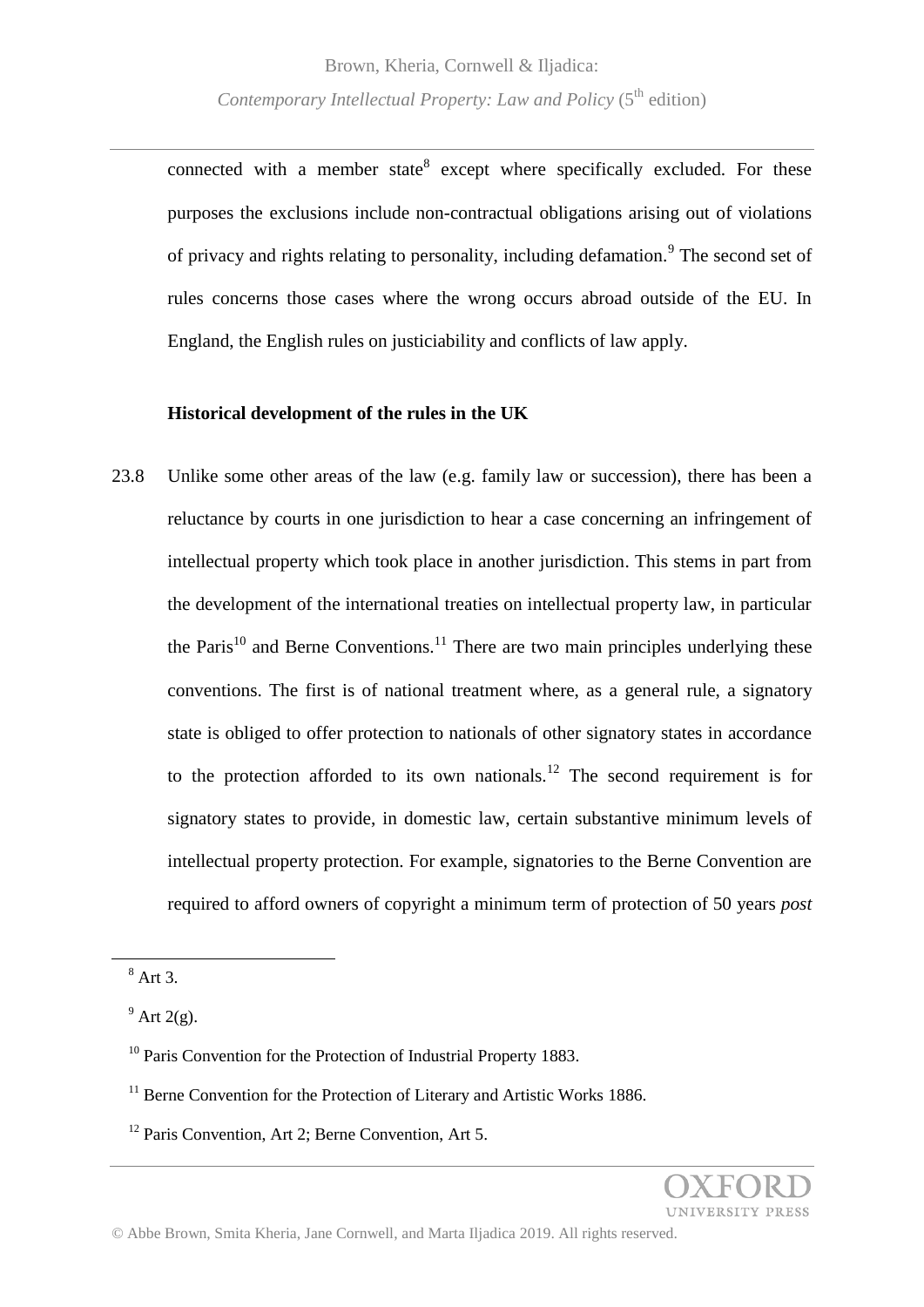connected with a member state $8$  except where specifically excluded. For these purposes the exclusions include non-contractual obligations arising out of violations of privacy and rights relating to personality, including defamation.<sup>9</sup> The second set of rules concerns those cases where the wrong occurs abroad outside of the EU. In England, the English rules on justiciability and conflicts of law apply.

## **Historical development of the rules in the UK**

23.8 Unlike some other areas of the law (e.g. family law or succession), there has been a reluctance by courts in one jurisdiction to hear a case concerning an infringement of intellectual property which took place in another jurisdiction. This stems in part from the development of the international treaties on intellectual property law, in particular the Paris $10$  and Berne Conventions.<sup>11</sup> There are two main principles underlying these conventions. The first is of national treatment where, as a general rule, a signatory state is obliged to offer protection to nationals of other signatory states in accordance to the protection afforded to its own nationals.<sup>12</sup> The second requirement is for signatory states to provide, in domestic law, certain substantive minimum levels of intellectual property protection. For example, signatories to the Berne Convention are required to afford owners of copyright a minimum term of protection of 50 years *post* 

1

 $8$  Art 3.

 $9$  Art 2(g).

 $10$  Paris Convention for the Protection of Industrial Property 1883.

<sup>&</sup>lt;sup>11</sup> Berne Convention for the Protection of Literary and Artistic Works 1886.

<sup>&</sup>lt;sup>12</sup> Paris Convention, Art 2; Berne Convention, Art 5.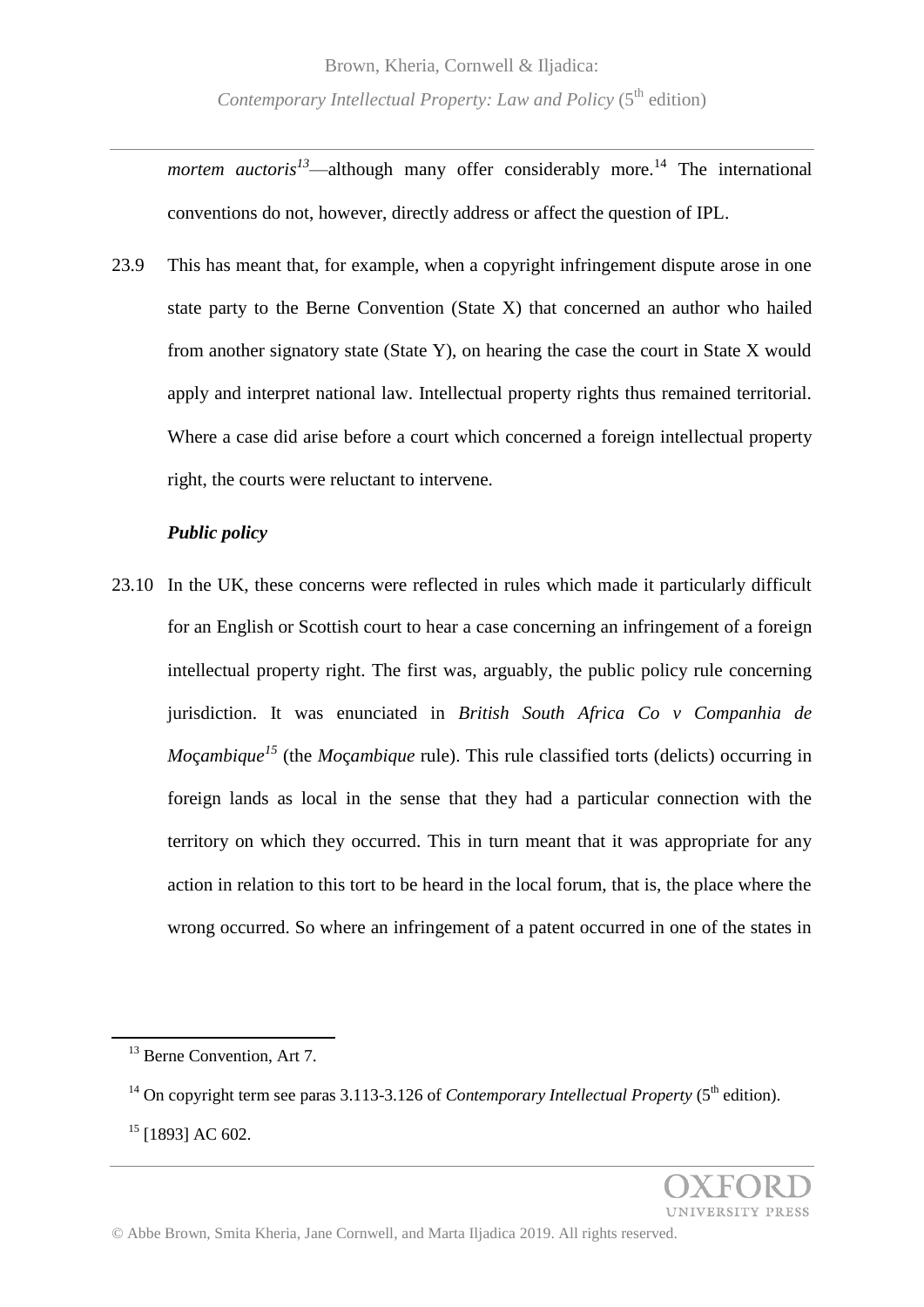*mortem auctoris*<sup> $13$ </sup>—although many offer considerably more.<sup>14</sup> The international conventions do not, however, directly address or affect the question of IPL.

23.9 This has meant that, for example, when a copyright infringement dispute arose in one state party to the Berne Convention (State X) that concerned an author who hailed from another signatory state (State Y), on hearing the case the court in State X would apply and interpret national law. Intellectual property rights thus remained territorial. Where a case did arise before a court which concerned a foreign intellectual property right, the courts were reluctant to intervene.

## *Public policy*

23.10 In the UK, these concerns were reflected in rules which made it particularly difficult for an English or Scottish court to hear a case concerning an infringement of a foreign intellectual property right. The first was, arguably, the public policy rule concerning jurisdiction. It was enunciated in *British South Africa Co v Companhia de Mo*ç*ambique<sup>15</sup>* (the *Mo*ç*ambique* rule). This rule classified torts (delicts) occurring in foreign lands as local in the sense that they had a particular connection with the territory on which they occurred. This in turn meant that it was appropriate for any action in relation to this tort to be heard in the local forum, that is, the place where the wrong occurred. So where an infringement of a patent occurred in one of the states in

1

<sup>&</sup>lt;sup>13</sup> Berne Convention, Art 7.

<sup>&</sup>lt;sup>14</sup> On copyright term see paras  $3.113$ -3.126 of *Contemporary Intellectual Property* ( $5<sup>th</sup>$  edition).  $15$  [1893] AC 602.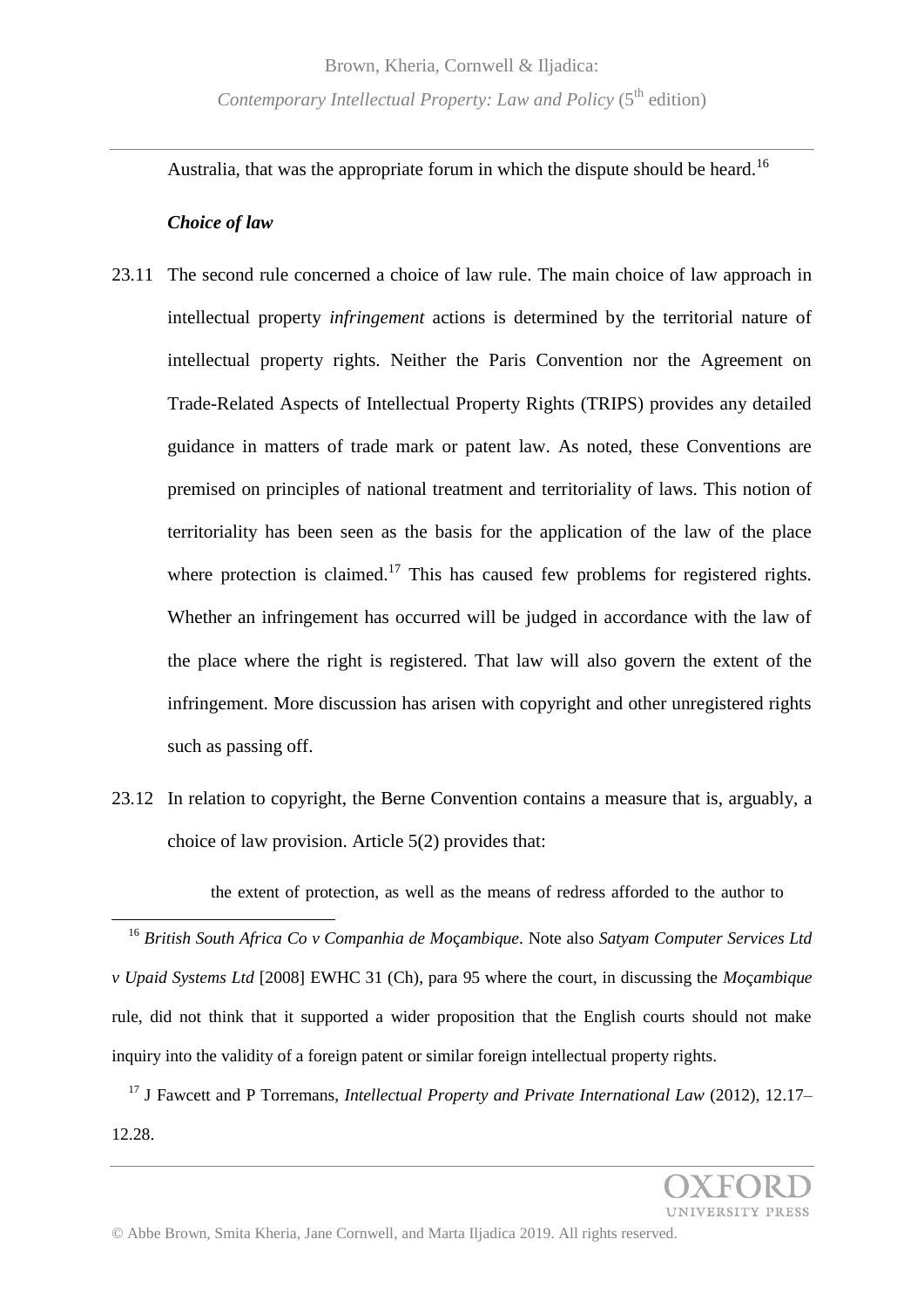Australia, that was the appropriate forum in which the dispute should be heard.<sup>16</sup>

## *Choice of law*

- 23.11 The second rule concerned a choice of law rule. The main choice of law approach in intellectual property *infringement* actions is determined by the territorial nature of intellectual property rights. Neither the Paris Convention nor the Agreement on Trade-Related Aspects of Intellectual Property Rights (TRIPS) provides any detailed guidance in matters of trade mark or patent law. As noted, these Conventions are premised on principles of national treatment and territoriality of laws. This notion of territoriality has been seen as the basis for the application of the law of the place where protection is claimed.<sup>17</sup> This has caused few problems for registered rights. Whether an infringement has occurred will be judged in accordance with the law of the place where the right is registered. That law will also govern the extent of the infringement. More discussion has arisen with copyright and other unregistered rights such as passing off.
- 23.12 In relation to copyright, the Berne Convention contains a measure that is, arguably, a choice of law provision. Article 5(2) provides that:

the extent of protection, as well as the means of redress afforded to the author to

**.** <sup>16</sup> *British South Africa Co v Companhia de Mo*ç*ambique*. Note also *Satyam Computer Services Ltd v Upaid Systems Ltd* [2008] EWHC 31 (Ch), para 95 where the court, in discussing the *Mo*ç*ambique* rule, did not think that it supported a wider proposition that the English courts should not make inquiry into the validity of a foreign patent or similar foreign intellectual property rights.

<sup>17</sup> J Fawcett and P Torremans, *Intellectual Property and Private International Law* (2012), 12.17– 12.28.

INIVERSITY PRESS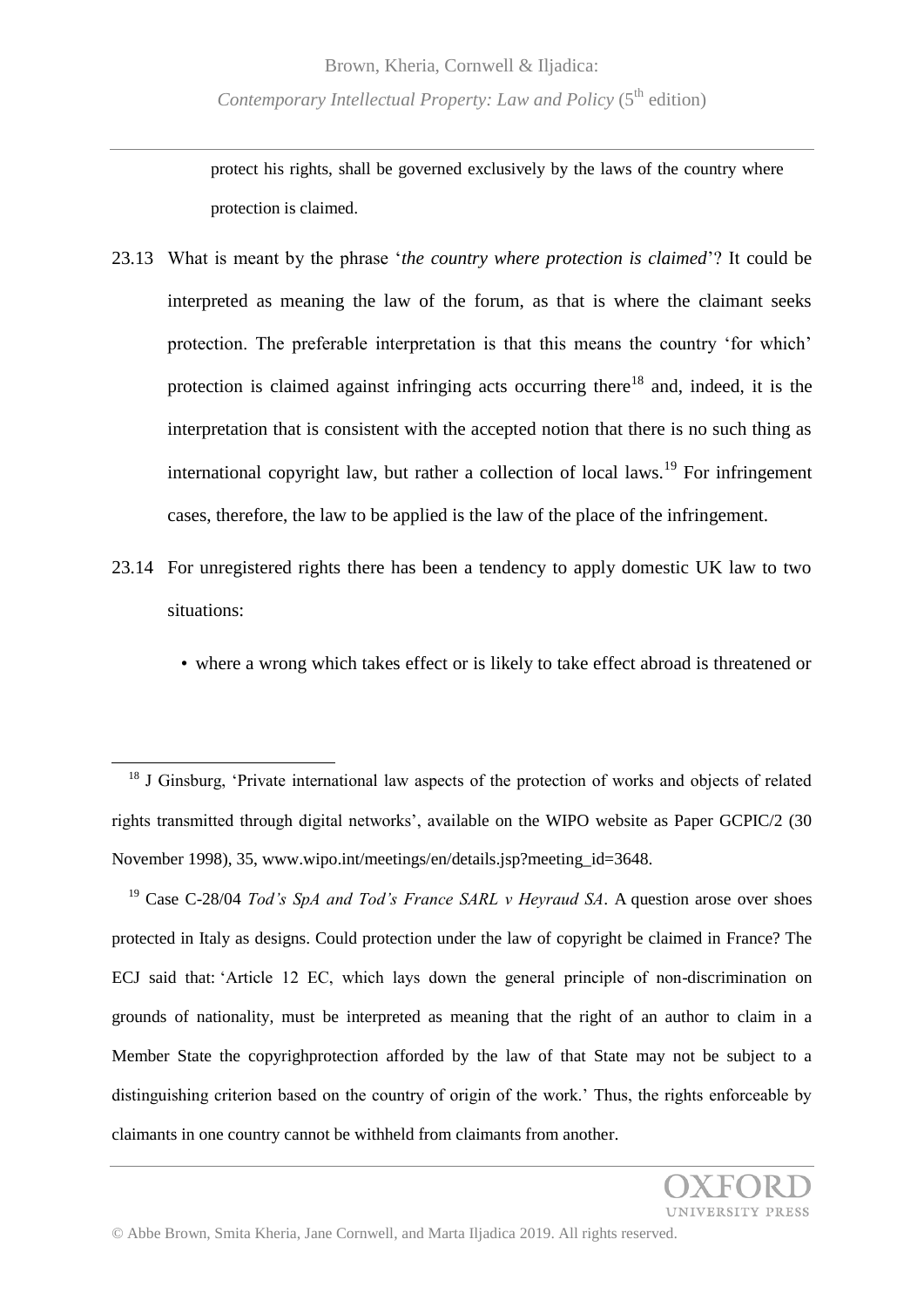protect his rights, shall be governed exclusively by the laws of the country where protection is claimed.

- 23.13 What is meant by the phrase '*the country where protection is claimed*'? It could be interpreted as meaning the law of the forum, as that is where the claimant seeks protection. The preferable interpretation is that this means the country 'for which' protection is claimed against infringing acts occurring there<sup>18</sup> and, indeed, it is the interpretation that is consistent with the accepted notion that there is no such thing as international copyright law, but rather a collection of local laws.<sup>19</sup> For infringement cases, therefore, the law to be applied is the law of the place of the infringement.
- 23.14 For unregistered rights there has been a tendency to apply domestic UK law to two situations:
	- where a wrong which takes effect or is likely to take effect abroad is threatened or

**.** 

<sup>19</sup> Case C-28/04 *Tod's SpA and Tod's France SARL v Heyraud SA*. A question arose over shoes protected in Italy as designs. Could protection under the law of copyright be claimed in France? The ECJ said that: 'Article 12 EC, which lays down the general principle of non-discrimination on grounds of nationality, must be interpreted as meaning that the right of an author to claim in a Member State the copyrighprotection afforded by the law of that State may not be subject to a distinguishing criterion based on the country of origin of the work.' Thus, the rights enforceable by claimants in one country cannot be withheld from claimants from another.

<sup>&</sup>lt;sup>18</sup> J Ginsburg, 'Private international law aspects of the protection of works and objects of related rights transmitted through digital networks', available on the WIPO website as Paper GCPIC/2 (30 November 1998), 35, www.wipo.int/meetings/en/details.jsp?meeting\_id=3648.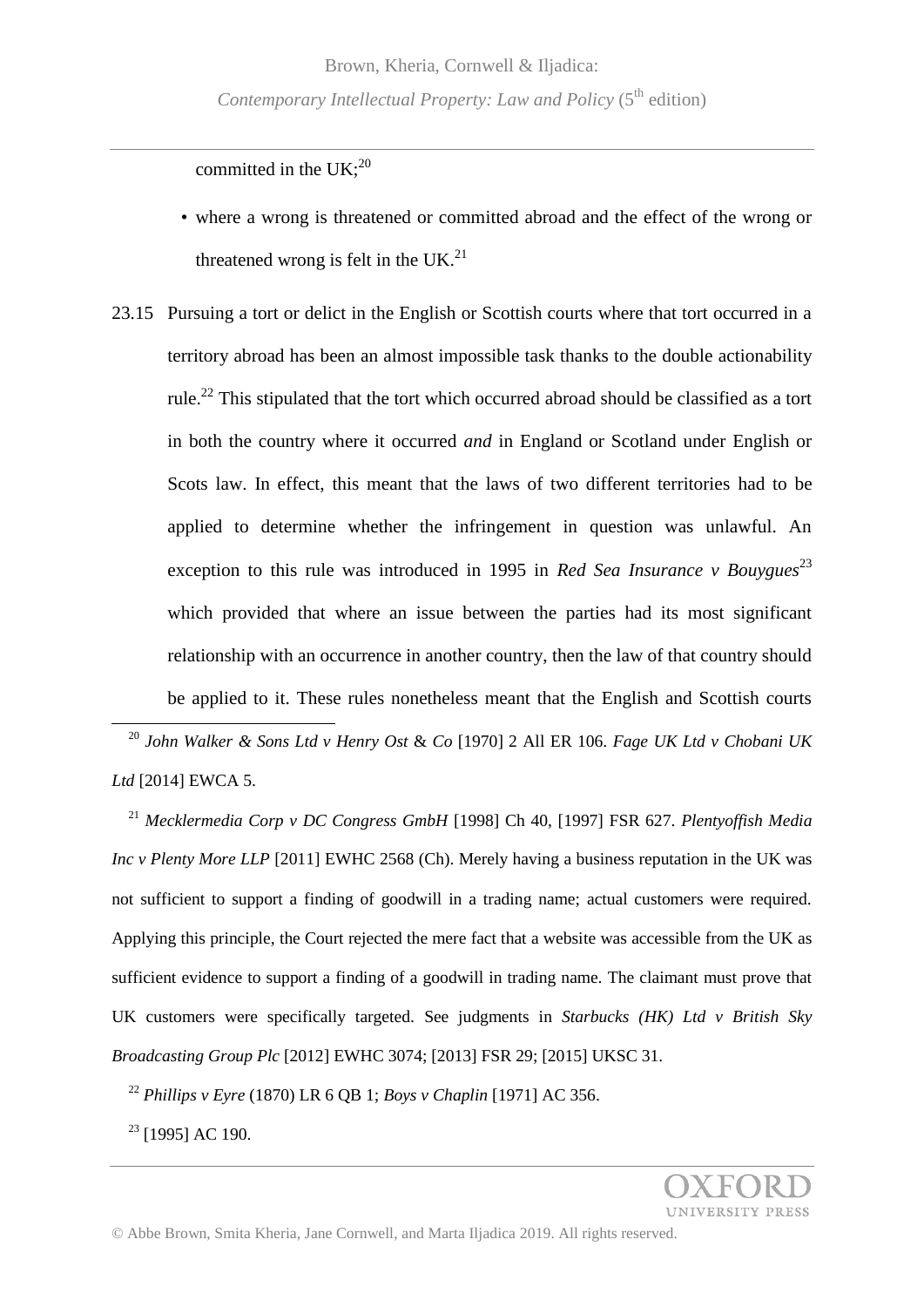committed in the UK; $^{20}$ 

- where a wrong is threatened or committed abroad and the effect of the wrong or threatened wrong is felt in the UK. $^{21}$
- 23.15 Pursuing a tort or delict in the English or Scottish courts where that tort occurred in a territory abroad has been an almost impossible task thanks to the double actionability rule.<sup>22</sup> This stipulated that the tort which occurred abroad should be classified as a tort in both the country where it occurred *and* in England or Scotland under English or Scots law. In effect, this meant that the laws of two different territories had to be applied to determine whether the infringement in question was unlawful. An exception to this rule was introduced in 1995 in *Red Sea Insurance v Bouygues*<sup>23</sup> which provided that where an issue between the parties had its most significant relationship with an occurrence in another country, then the law of that country should be applied to it. These rules nonetheless meant that the English and Scottish courts

<sup>20</sup> *John Walker & Sons Ltd v Henry Ost* & *Co* [1970] 2 All ER 106. *Fage UK Ltd v Chobani UK Ltd* [2014] EWCA 5.

<sup>21</sup> *Mecklermedia Corp v DC Congress GmbH* [1998] Ch 40, [1997] FSR 627. *Plentyoffish Media Inc y Plenty More LLP* [2011] EWHC 2568 (Ch). Merely having a business reputation in the UK was not sufficient to support a finding of goodwill in a trading name; actual customers were required. Applying this principle, the Court rejected the mere fact that a website was accessible from the UK as sufficient evidence to support a finding of a goodwill in trading name. The claimant must prove that UK customers were specifically targeted. See judgments in *Starbucks (HK) Ltd v British Sky Broadcasting Group Plc* [2012] EWHC 3074; [2013] FSR 29; [2015] UKSC 31.

<sup>22</sup> *Phillips v Eyre* (1870) LR 6 QB 1; *Boys v Chaplin* [1971] AC 356.

 $23$  [1995] AC 190.

1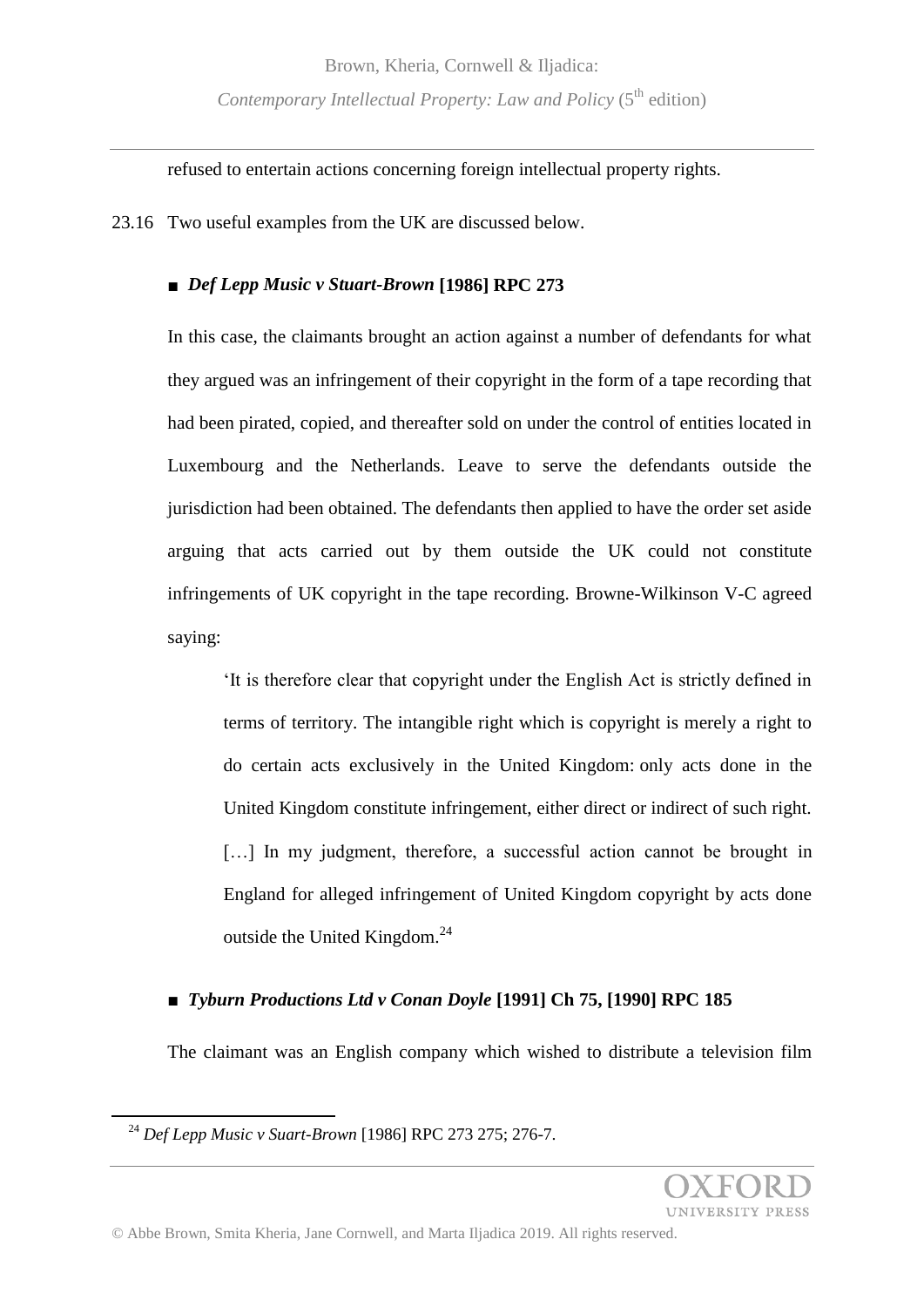refused to entertain actions concerning foreign intellectual property rights.

23.16 Two useful examples from the UK are discussed below.

## ■ *Def Lepp Music v Stuart-Brown* [1986] RPC 273

In this case, the claimants brought an action against a number of defendants for what they argued was an infringement of their copyright in the form of a tape recording that had been pirated, copied, and thereafter sold on under the control of entities located in Luxembourg and the Netherlands. Leave to serve the defendants outside the jurisdiction had been obtained. The defendants then applied to have the order set aside arguing that acts carried out by them outside the UK could not constitute infringements of UK copyright in the tape recording. Browne-Wilkinson V-C agreed saying:

'It is therefore clear that copyright under the English Act is strictly defined in terms of territory. The intangible right which is copyright is merely a right to do certain acts exclusively in the United Kingdom: only acts done in the United Kingdom constitute infringement, either direct or indirect of such right. [...] In my judgment, therefore, a successful action cannot be brought in England for alleged infringement of United Kingdom copyright by acts done outside the United Kingdom.<sup>24</sup>

## ■ *Tyburn Productions Ltd v Conan Doyle* [1991] Ch 75, [1990] RPC 185

The claimant was an English company which wished to distribute a television film

<sup>24</sup> *Def Lepp Music v Suart-Brown* [1986] RPC 273 275; 276-7.

**.** 

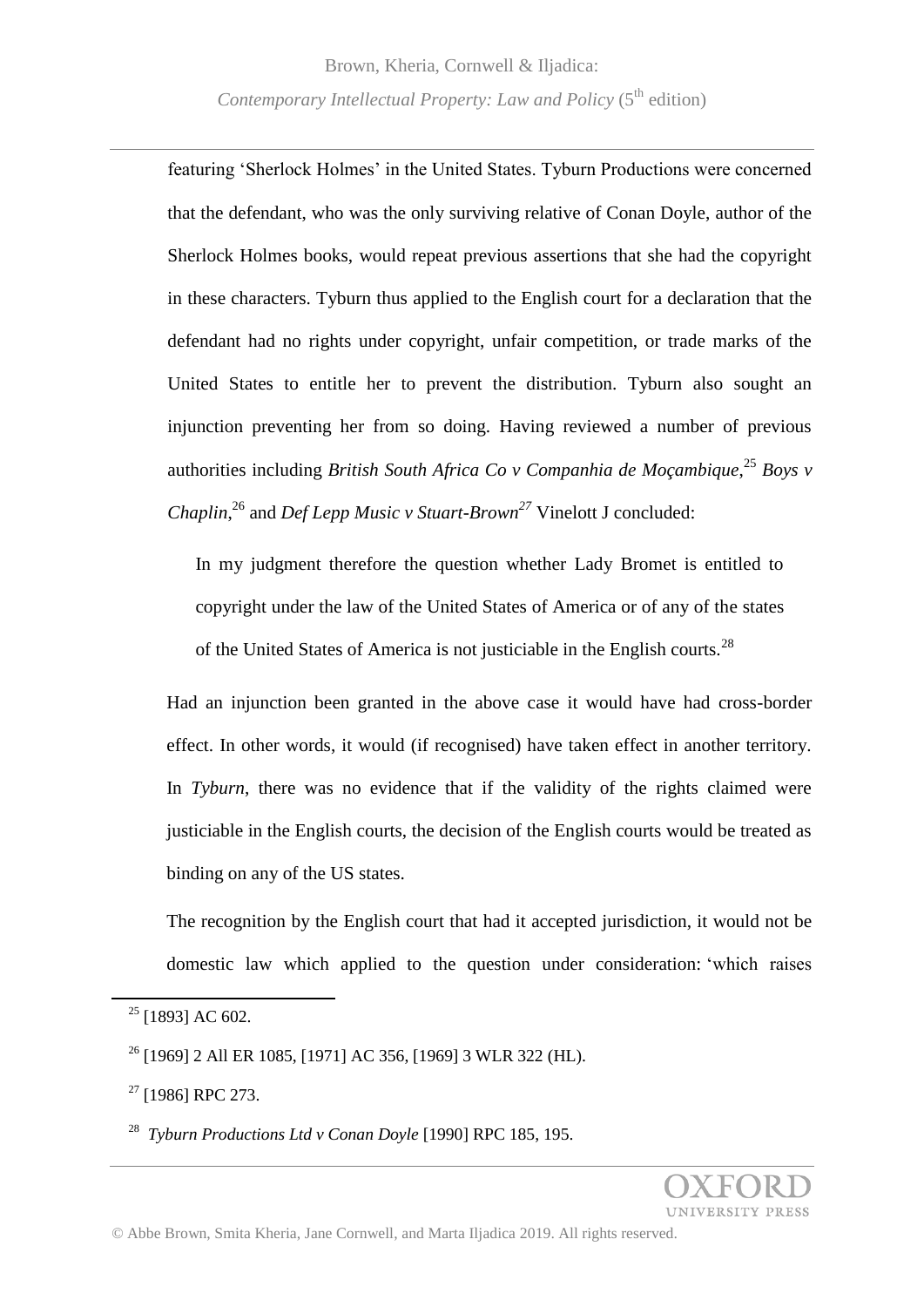featuring 'Sherlock Holmes' in the United States. Tyburn Productions were concerned that the defendant, who was the only surviving relative of Conan Doyle, author of the Sherlock Holmes books, would repeat previous assertions that she had the copyright in these characters. Tyburn thus applied to the English court for a declaration that the defendant had no rights under copyright, unfair competition, or trade marks of the United States to entitle her to prevent the distribution. Tyburn also sought an injunction preventing her from so doing. Having reviewed a number of previous authorities including *British South Africa Co v Companhia de Moçambique*, <sup>25</sup> *Boys v Chaplin*, <sup>26</sup> and *Def Lepp Music v Stuart-Brown<sup>27</sup>* Vinelott J concluded:

In my judgment therefore the question whether Lady Bromet is entitled to copyright under the law of the United States of America or of any of the states of the United States of America is not justiciable in the English courts.<sup>28</sup>

Had an injunction been granted in the above case it would have had cross-border effect. In other words, it would (if recognised) have taken effect in another territory. In *Tyburn*, there was no evidence that if the validity of the rights claimed were justiciable in the English courts, the decision of the English courts would be treated as binding on any of the US states.

The recognition by the English court that had it accepted jurisdiction, it would not be domestic law which applied to the question under consideration: 'which raises

**.** 

 $25$  [1893] AC 602.

<sup>26</sup> [1969] 2 All ER 1085, [1971] AC 356, [1969] 3 WLR 322 (HL).

 $27$  [1986] RPC 273.

<sup>28</sup> *Tyburn Productions Ltd v Conan Doyle* [1990] RPC 185, 195.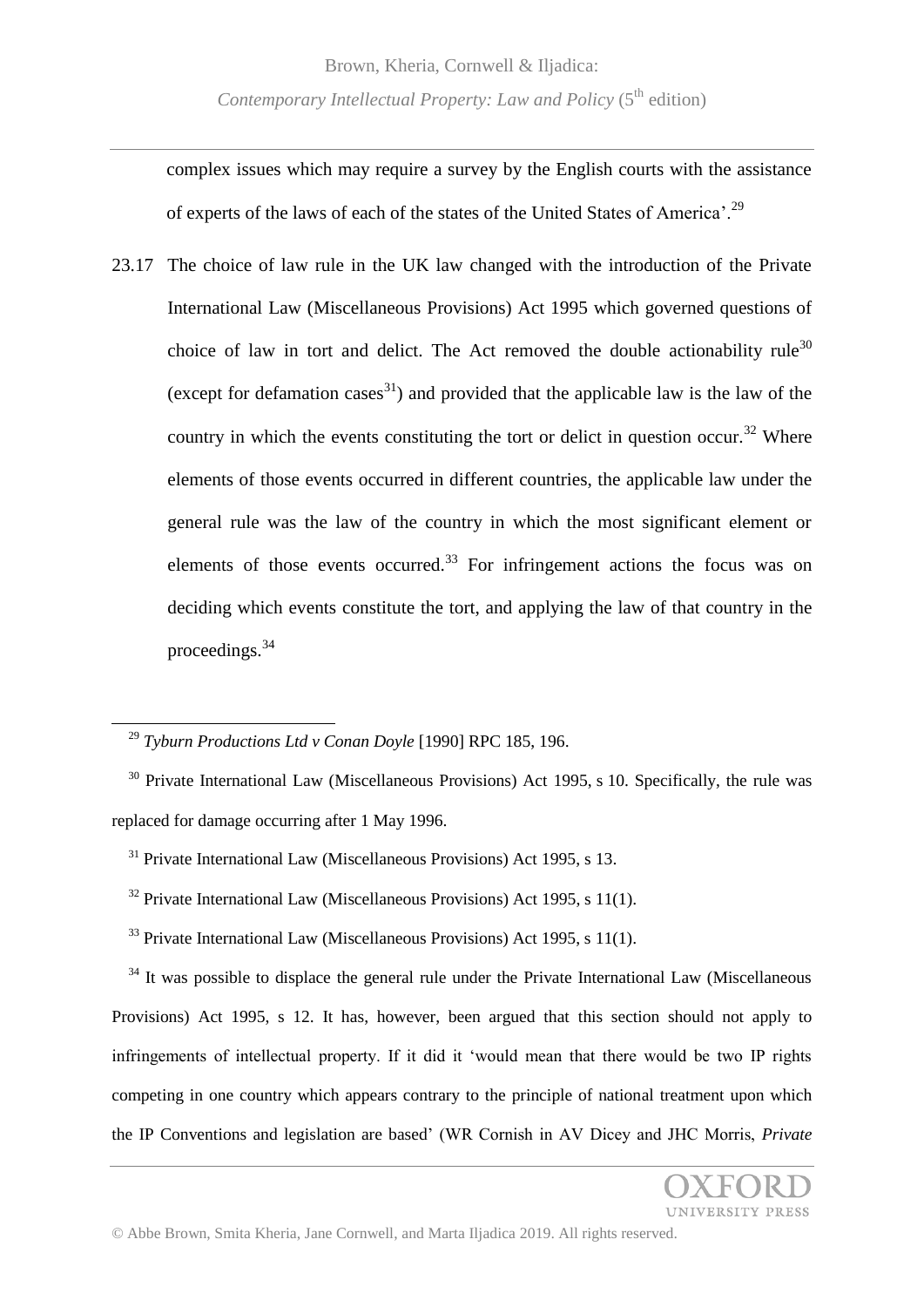complex issues which may require a survey by the English courts with the assistance of experts of the laws of each of the states of the United States of America'.<sup>29</sup>

23.17 The choice of law rule in the UK law changed with the introduction of the Private International Law (Miscellaneous Provisions) Act 1995 which governed questions of choice of law in tort and delict. The Act removed the double actionability rule<sup>30</sup> (except for defamation cases<sup>31</sup>) and provided that the applicable law is the law of the country in which the events constituting the tort or delict in question occur.<sup>32</sup> Where elements of those events occurred in different countries, the applicable law under the general rule was the law of the country in which the most significant element or elements of those events occurred.<sup>33</sup> For infringement actions the focus was on deciding which events constitute the tort, and applying the law of that country in the proceedings.<sup>34</sup>

1

 $34$  It was possible to displace the general rule under the Private International Law (Miscellaneous Provisions) Act 1995, s 12. It has, however, been argued that this section should not apply to infringements of intellectual property. If it did it 'would mean that there would be two IP rights competing in one country which appears contrary to the principle of national treatment upon which the IP Conventions and legislation are based' (WR Cornish in AV Dicey and JHC Morris, *Private* 



<sup>29</sup> *Tyburn Productions Ltd v Conan Doyle* [1990] RPC 185, 196.

<sup>&</sup>lt;sup>30</sup> Private International Law (Miscellaneous Provisions) Act 1995, s 10. Specifically, the rule was replaced for damage occurring after 1 May 1996.

 $31$  Private International Law (Miscellaneous Provisions) Act 1995, s 13.

 $32$  Private International Law (Miscellaneous Provisions) Act 1995, s 11(1).

 $33$  Private International Law (Miscellaneous Provisions) Act 1995, s 11(1).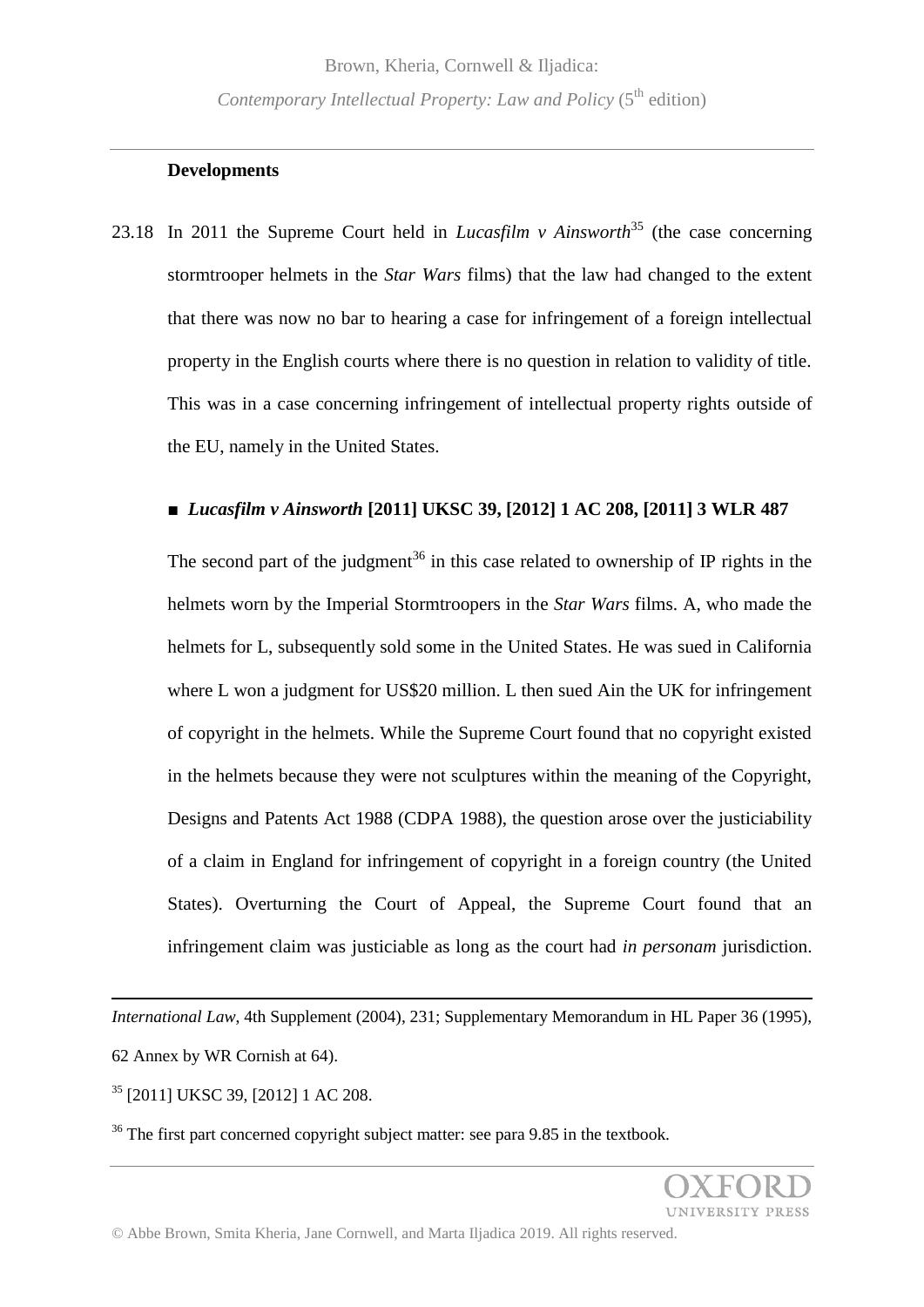## **Developments**

23.18 In 2011 the Supreme Court held in *Lucasfilm v Ainsworth*<sup>35</sup> (the case concerning stormtrooper helmets in the *Star Wars* films) that the law had changed to the extent that there was now no bar to hearing a case for infringement of a foreign intellectual property in the English courts where there is no question in relation to validity of title. This was in a case concerning infringement of intellectual property rights outside of the EU, namely in the United States.

## **■** *Lucasfilm v Ainsworth* **[2011] UKSC 39, [2012] 1 AC 208, [2011] 3 WLR 487**

The second part of the judgment<sup>36</sup> in this case related to ownership of IP rights in the helmets worn by the Imperial Stormtroopers in the *Star Wars* films. A, who made the helmets for L, subsequently sold some in the United States. He was sued in California where L won a judgment for US\$20 million. L then sued Ain the UK for infringement of copyright in the helmets. While the Supreme Court found that no copyright existed in the helmets because they were not sculptures within the meaning of the Copyright, Designs and Patents Act 1988 (CDPA 1988), the question arose over the justiciability of a claim in England for infringement of copyright in a foreign country (the United States). Overturning the Court of Appeal, the Supreme Court found that an infringement claim was justiciable as long as the court had *in personam* jurisdiction.

*International Law*, 4th Supplement (2004), 231; Supplementary Memorandum in HL Paper 36 (1995), 62 Annex by WR Cornish at 64).

<sup>35</sup> [2011] UKSC 39, [2012] 1 AC 208.

**.** 

<sup>36</sup> The first part concerned copyright subject matter: see para 9.85 in the textbook.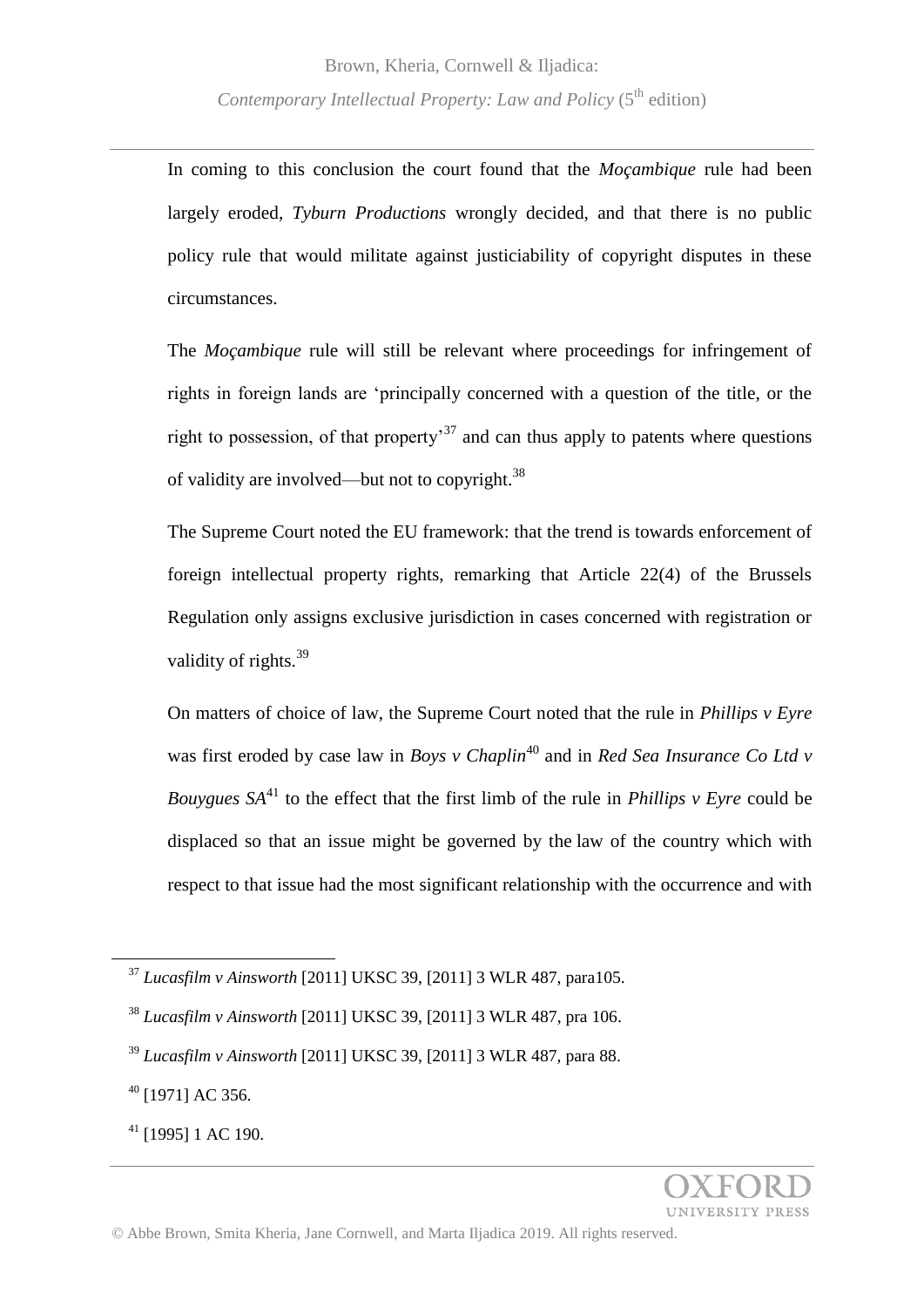In coming to this conclusion the court found that the *Moçambique* rule had been largely eroded, *Tyburn Productions* wrongly decided, and that there is no public policy rule that would militate against justiciability of copyright disputes in these circumstances.

The *Moçambique* rule will still be relevant where proceedings for infringement of rights in foreign lands are 'principally concerned with a question of the title, or the right to possession, of that property<sup>37</sup> and can thus apply to patents where questions of validity are involved—but not to copyright.<sup>38</sup>

The Supreme Court noted the EU framework: that the trend is towards enforcement of foreign intellectual property rights, remarking that Article 22(4) of the Brussels Regulation only assigns exclusive jurisdiction in cases concerned with registration or validity of rights.<sup>39</sup>

On matters of choice of law, the Supreme Court noted that the rule in *Phillips v Eyre* was first eroded by case law in *Boys v Chaplin*<sup>40</sup> and in *Red Sea Insurance Co Ltd v Bouygues*  $SA^{41}$  to the effect that the first limb of the rule in *Phillips v Eyre* could be displaced so that an issue might be governed by the law of the country which with respect to that issue had the most significant relationship with the occurrence and with

1

<sup>41</sup> [1995] 1 AC 190.



<sup>37</sup> *Lucasfilm v Ainsworth* [2011] UKSC 39, [2011] 3 WLR 487, para105.

<sup>38</sup> *Lucasfilm v Ainsworth* [2011] UKSC 39, [2011] 3 WLR 487, pra 106.

<sup>39</sup> *Lucasfilm v Ainsworth* [2011] UKSC 39, [2011] 3 WLR 487, para 88.

 $40$  [1971] AC 356.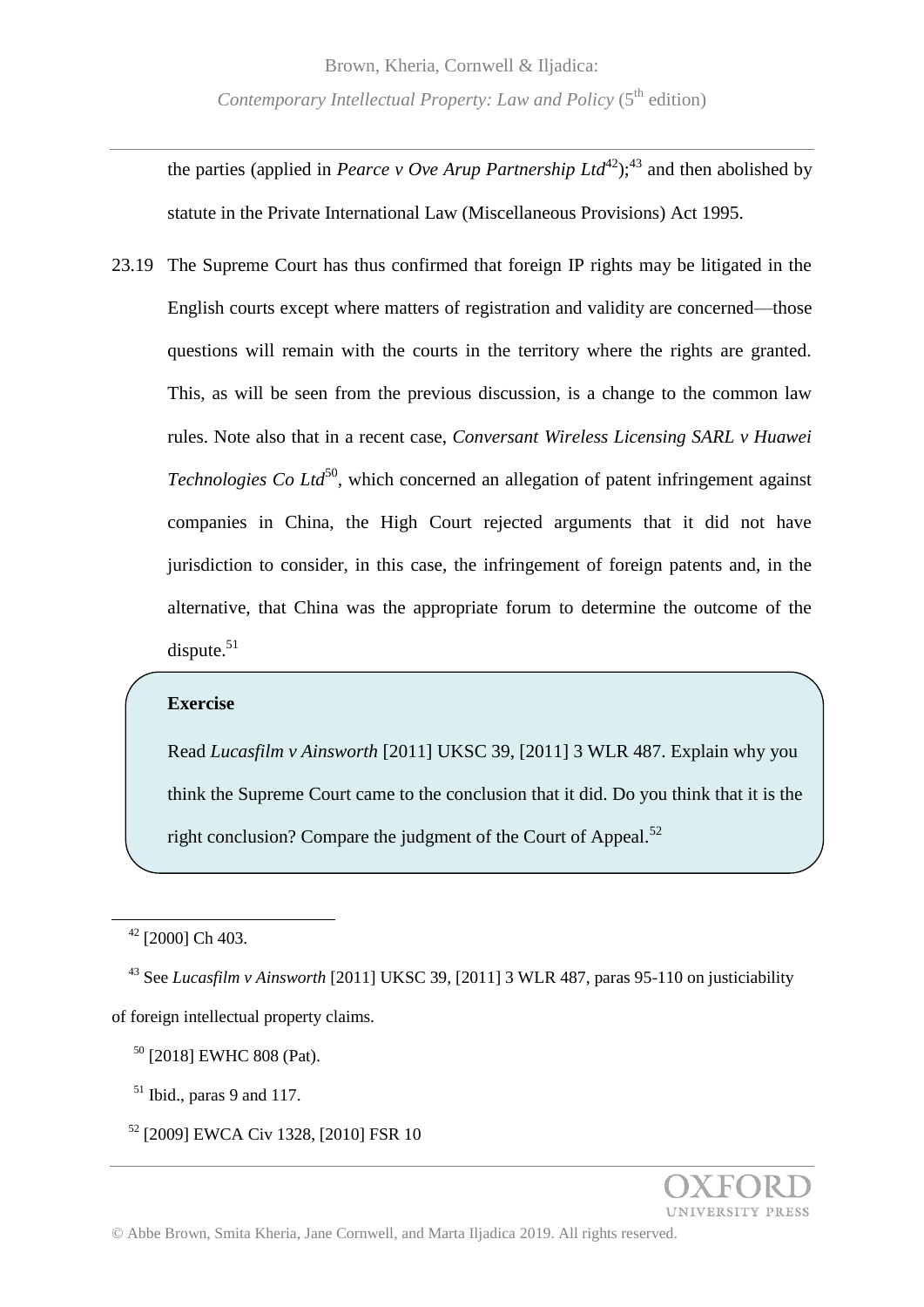the parties (applied in *Pearce v Ove Arup Partnership Ltd*<sup>42</sup>);<sup>43</sup> and then abolished by statute in the Private International Law (Miscellaneous Provisions) Act 1995.

23.19 The Supreme Court has thus confirmed that foreign IP rights may be litigated in the English courts except where matters of registration and validity are concerned—those questions will remain with the courts in the territory where the rights are granted. This, as will be seen from the previous discussion, is a change to the common law rules. Note also that in a recent case, *Conversant Wireless Licensing SARL v Huawei Technologies Co Ltd*<sup>50</sup>, which concerned an allegation of patent infringement against companies in China, the High Court rejected arguments that it did not have jurisdiction to consider, in this case, the infringement of foreign patents and, in the alternative, that China was the appropriate forum to determine the outcome of the  $dispute.<sup>51</sup>$ 

### **Exercise**

Read *Lucasfilm v Ainsworth* [2011] UKSC 39, [2011] 3 WLR 487. Explain why you think the Supreme Court came to the conclusion that it did. Do you think that it is the right conclusion? Compare the judgment of the Court of Appeal.<sup>52</sup>

**.** 

<sup>43</sup> See *Lucasfilm v Ainsworth* [2011] UKSC 39, [2011] 3 WLR 487, paras 95-110 on justiciability of foreign intellectual property claims.

<sup>50</sup> [2018] EWHC 808 (Pat).

 $<sup>51</sup>$  Ibid., paras 9 and 117.</sup>

<sup>52</sup> [2009] EWCA Civ 1328, [2010] FSR 10



<sup>42</sup> [2000] Ch 403.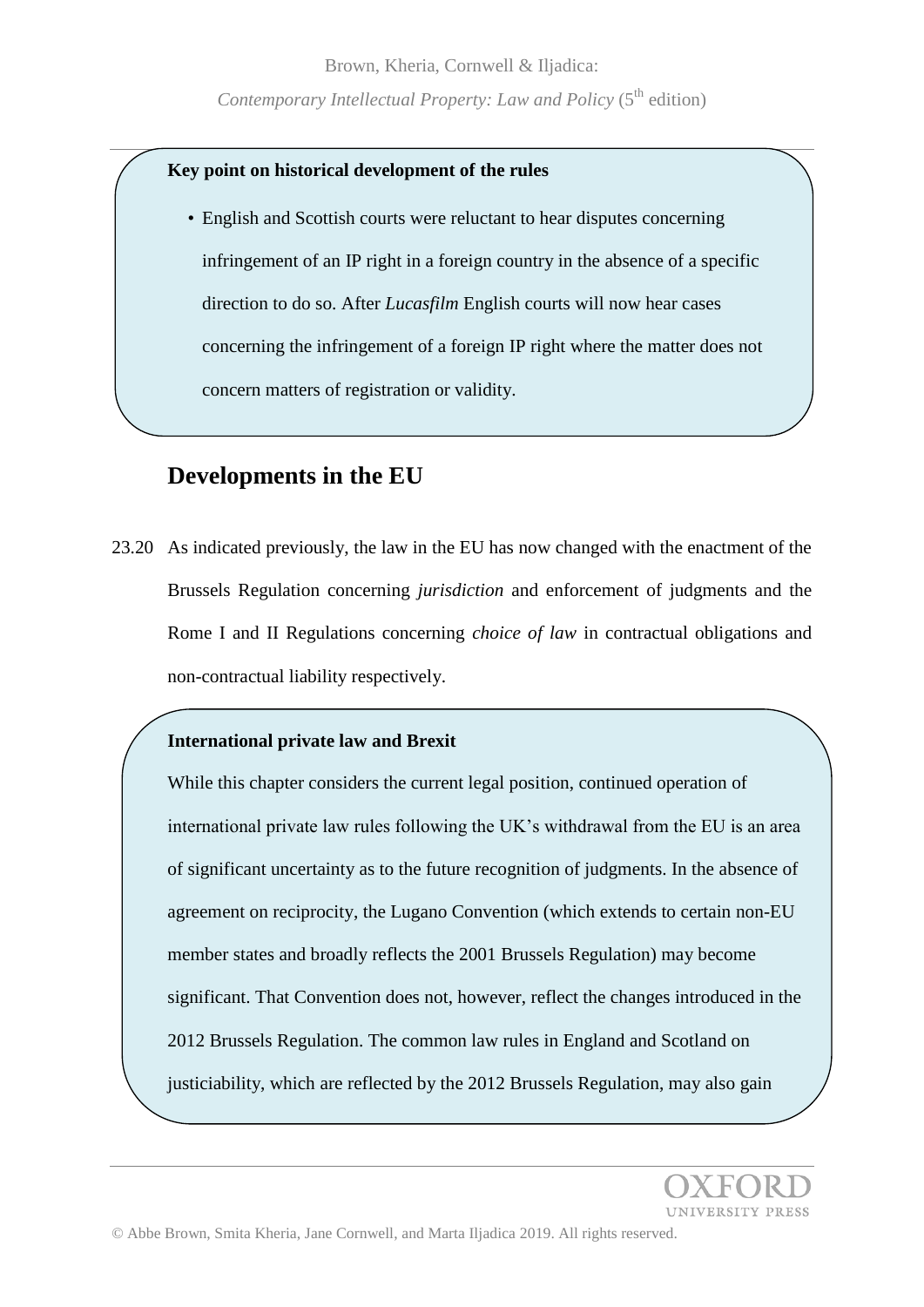## **Key point on historical development of the rules**

• English and Scottish courts were reluctant to hear disputes concerning infringement of an IP right in a foreign country in the absence of a specific direction to do so. After *Lucasfilm* English courts will now hear cases concerning the infringement of a foreign IP right where the matter does not concern matters of registration or validity.

## **Developments in the EU**

23.20 As indicated previously, the law in the EU has now changed with the enactment of the Brussels Regulation concerning *jurisdiction* and enforcement of judgments and the Rome I and II Regulations concerning *choice of law* in contractual obligations and non-contractual liability respectively.

## **International private law and Brexit**

While this chapter considers the current legal position, continued operation of international private law rules following the UK's withdrawal from the EU is an area of significant uncertainty as to the future recognition of judgments. In the absence of agreement on reciprocity, the Lugano Convention (which extends to certain non-EU member states and broadly reflects the 2001 Brussels Regulation) may become significant. That Convention does not, however, reflect the changes introduced in the 2012 Brussels Regulation. The common law rules in England and Scotland on justiciability, which are reflected by the 2012 Brussels Regulation, may also gain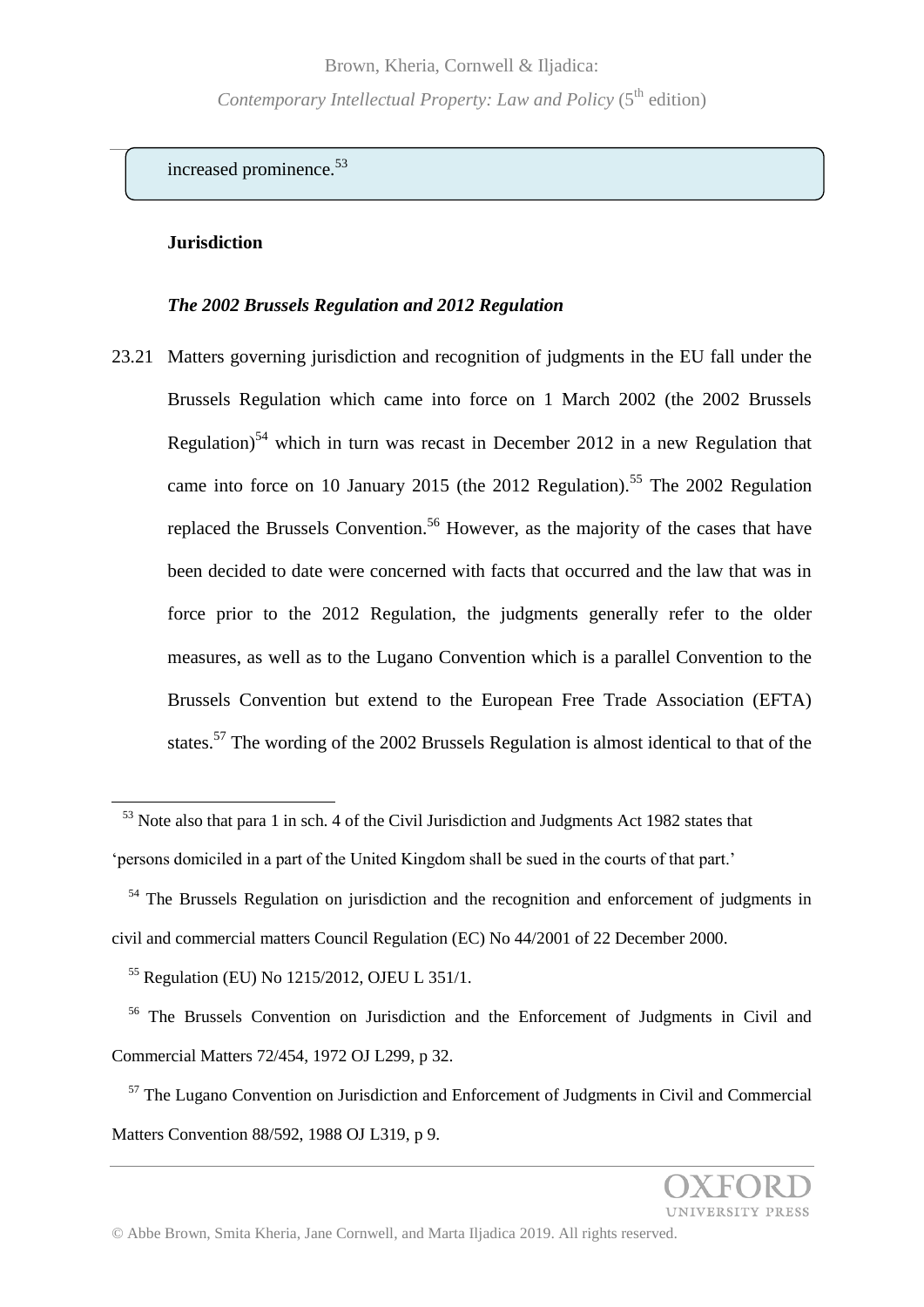increased prominence.<sup>53</sup>

#### **Jurisdiction**

1

#### *The 2002 Brussels Regulation and 2012 Regulation*

23.21 Matters governing jurisdiction and recognition of judgments in the EU fall under the Brussels Regulation which came into force on 1 March 2002 (the 2002 Brussels Regulation)<sup>54</sup> which in turn was recast in December 2012 in a new Regulation that came into force on 10 January 2015 (the 2012 Regulation).<sup>55</sup> The 2002 Regulation replaced the Brussels Convention.<sup>56</sup> However, as the majority of the cases that have been decided to date were concerned with facts that occurred and the law that was in force prior to the 2012 Regulation, the judgments generally refer to the older measures, as well as to the Lugano Convention which is a parallel Convention to the Brussels Convention but extend to the European Free Trade Association (EFTA) states.<sup>57</sup> The wording of the 2002 Brussels Regulation is almost identical to that of the

 $53$  Note also that para 1 in sch. 4 of the Civil Jurisdiction and Judgments Act 1982 states that

<sup>&#</sup>x27;persons domiciled in a part of the United Kingdom shall be sued in the courts of that part.'

<sup>&</sup>lt;sup>54</sup> The Brussels Regulation on jurisdiction and the recognition and enforcement of judgments in civil and commercial matters Council Regulation (EC) No 44/2001 of 22 December 2000.

<sup>55</sup> Regulation (EU) No 1215/2012, OJEU L 351/1.

<sup>56</sup> The Brussels Convention on Jurisdiction and the Enforcement of Judgments in Civil and Commercial Matters 72/454, 1972 OJ L299, p 32.

 $57$  The Lugano Convention on Jurisdiction and Enforcement of Judgments in Civil and Commercial Matters Convention 88/592, 1988 OJ L319, p 9.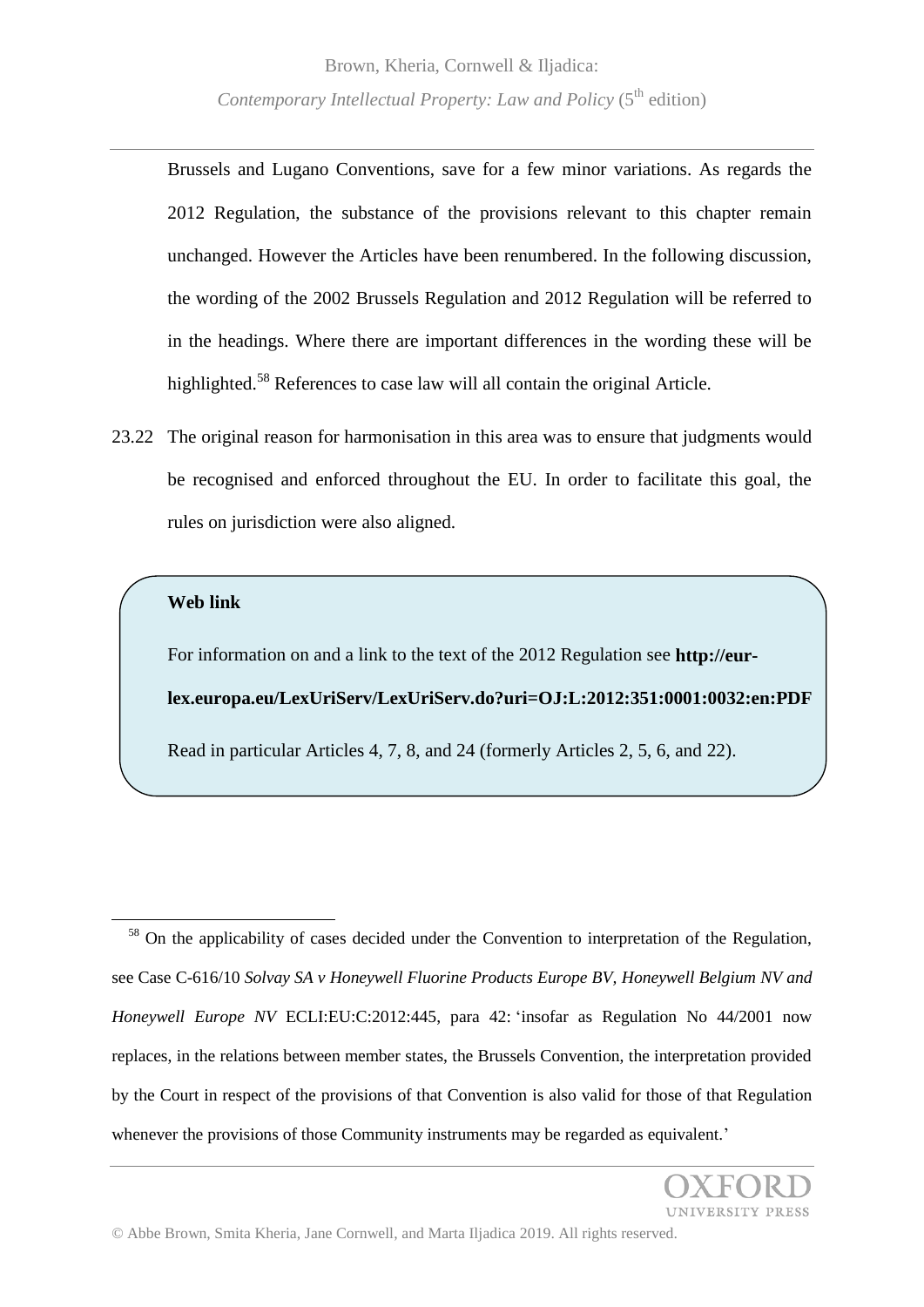Brussels and Lugano Conventions, save for a few minor variations. As regards the 2012 Regulation, the substance of the provisions relevant to this chapter remain unchanged. However the Articles have been renumbered. In the following discussion, the wording of the 2002 Brussels Regulation and 2012 Regulation will be referred to in the headings. Where there are important differences in the wording these will be highlighted.<sup>58</sup> References to case law will all contain the original Article.

23.22 The original reason for harmonisation in this area was to ensure that judgments would be recognised and enforced throughout the EU. In order to facilitate this goal, the rules on jurisdiction were also aligned.

## **Web link**

For information on and a link to the text of the 2012 Regulation see **http://eurlex.europa.eu/LexUriServ/LexUriServ.do?uri=OJ:L:2012:351:0001:0032:en:PDF**

Read in particular Articles 4, 7, 8, and 24 (formerly Articles 2, 5, 6, and 22).

**<sup>.</sup>** <sup>58</sup> On the applicability of cases decided under the Convention to interpretation of the Regulation, see Case C-616/10 *Solvay SA v Honeywell Fluorine Products Europe BV, Honeywell Belgium NV and Honeywell Europe NV* ECLI:EU:C:2012:445, para 42: 'insofar as Regulation No 44/2001 now replaces, in the relations between member states, the Brussels Convention, the interpretation provided by the Court in respect of the provisions of that Convention is also valid for those of that Regulation whenever the provisions of those Community instruments may be regarded as equivalent.'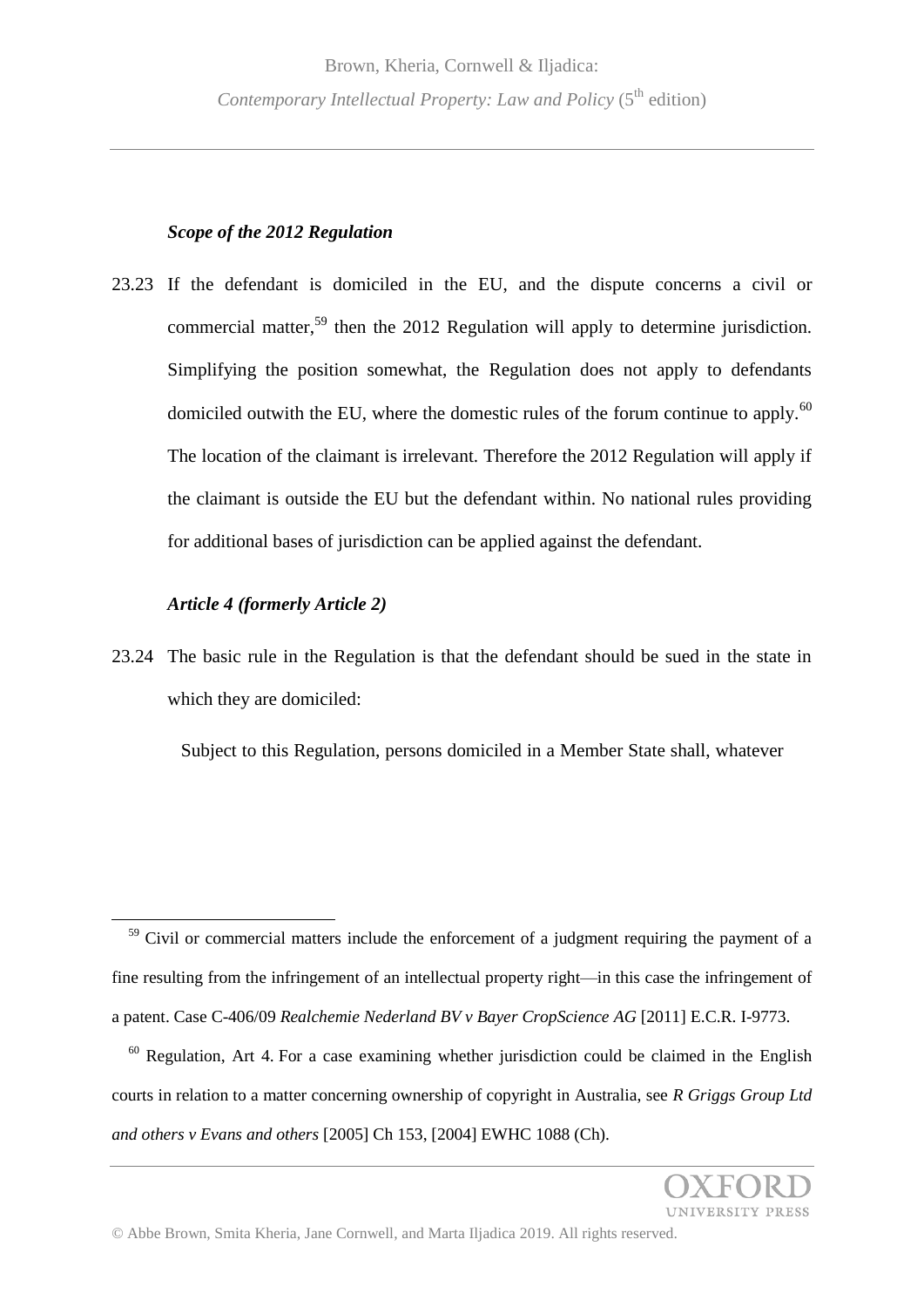## *Scope of the 2012 Regulation*

23.23 If the defendant is domiciled in the EU, and the dispute concerns a civil or commercial matter,<sup>59</sup> then the 2012 Regulation will apply to determine jurisdiction. Simplifying the position somewhat, the Regulation does not apply to defendants domiciled outwith the EU, where the domestic rules of the forum continue to apply. $60$ The location of the claimant is irrelevant. Therefore the 2012 Regulation will apply if the claimant is outside the EU but the defendant within. No national rules providing for additional bases of jurisdiction can be applied against the defendant.

## *Article 4 (formerly Article 2)*

**.** 

23.24 The basic rule in the Regulation is that the defendant should be sued in the state in which they are domiciled:

Subject to this Regulation, persons domiciled in a Member State shall, whatever

 $59$  Civil or commercial matters include the enforcement of a judgment requiring the payment of a fine resulting from the infringement of an intellectual property right—in this case the infringement of a patent. Case C-406/09 *Realchemie Nederland BV v Bayer CropScience AG* [2011] E.C.R. I-9773.

 $60$  Regulation, Art 4. For a case examining whether jurisdiction could be claimed in the English courts in relation to a matter concerning ownership of copyright in Australia, see *R Griggs Group Ltd and others v Evans and others* [2005] Ch 153, [2004] EWHC 1088 (Ch).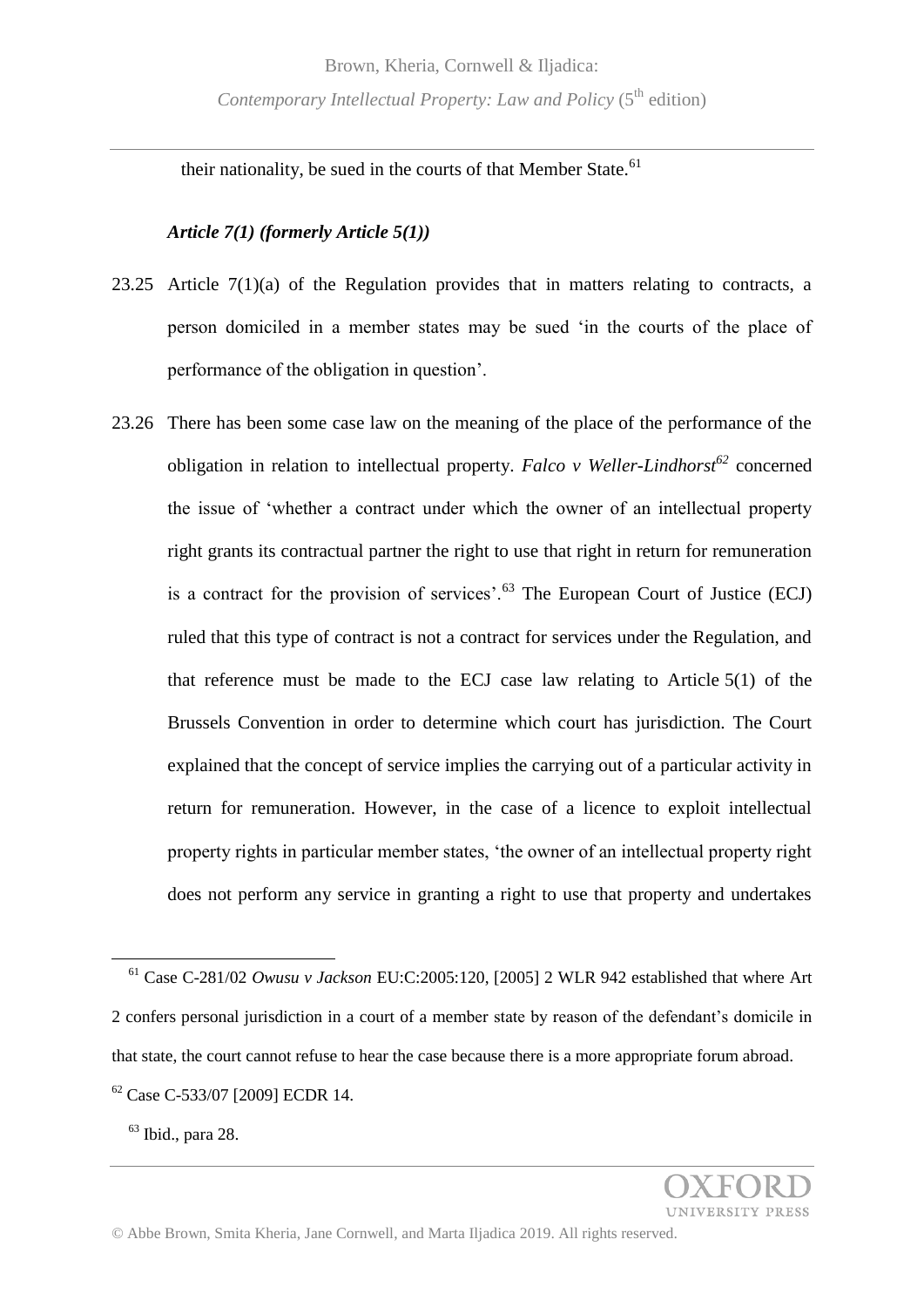their nationality, be sued in the courts of that Member State.<sup>61</sup>

## *Article 7(1) (formerly Article 5(1))*

- 23.25 Article 7(1)(a) of the Regulation provides that in matters relating to contracts, a person domiciled in a member states may be sued 'in the courts of the place of performance of the obligation in question'.
- 23.26 There has been some case law on the meaning of the place of the performance of the obligation in relation to intellectual property. *Falco v Weller-Lindhorst<sup>62</sup>* concerned the issue of 'whether a contract under which the owner of an intellectual property right grants its contractual partner the right to use that right in return for remuneration is a contract for the provision of services'. $^{63}$  The European Court of Justice (ECJ) ruled that this type of contract is not a contract for services under the Regulation, and that reference must be made to the ECJ case law relating to Article 5(1) of the Brussels Convention in order to determine which court has jurisdiction. The Court explained that the concept of service implies the carrying out of a particular activity in return for remuneration. However, in the case of a licence to exploit intellectual property rights in particular member states, 'the owner of an intellectual property right does not perform any service in granting a right to use that property and undertakes

 $63$  Ibid., para 28.

1

<sup>61</sup> Case C-281/02 *Owusu v Jackson* EU:C:2005:120, [2005] 2 WLR 942 established that where Art 2 confers personal jurisdiction in a court of a member state by reason of the defendant's domicile in that state, the court cannot refuse to hear the case because there is a more appropriate forum abroad.

<sup>&</sup>lt;sup>62</sup> Case C-533/07 [2009] ECDR 14.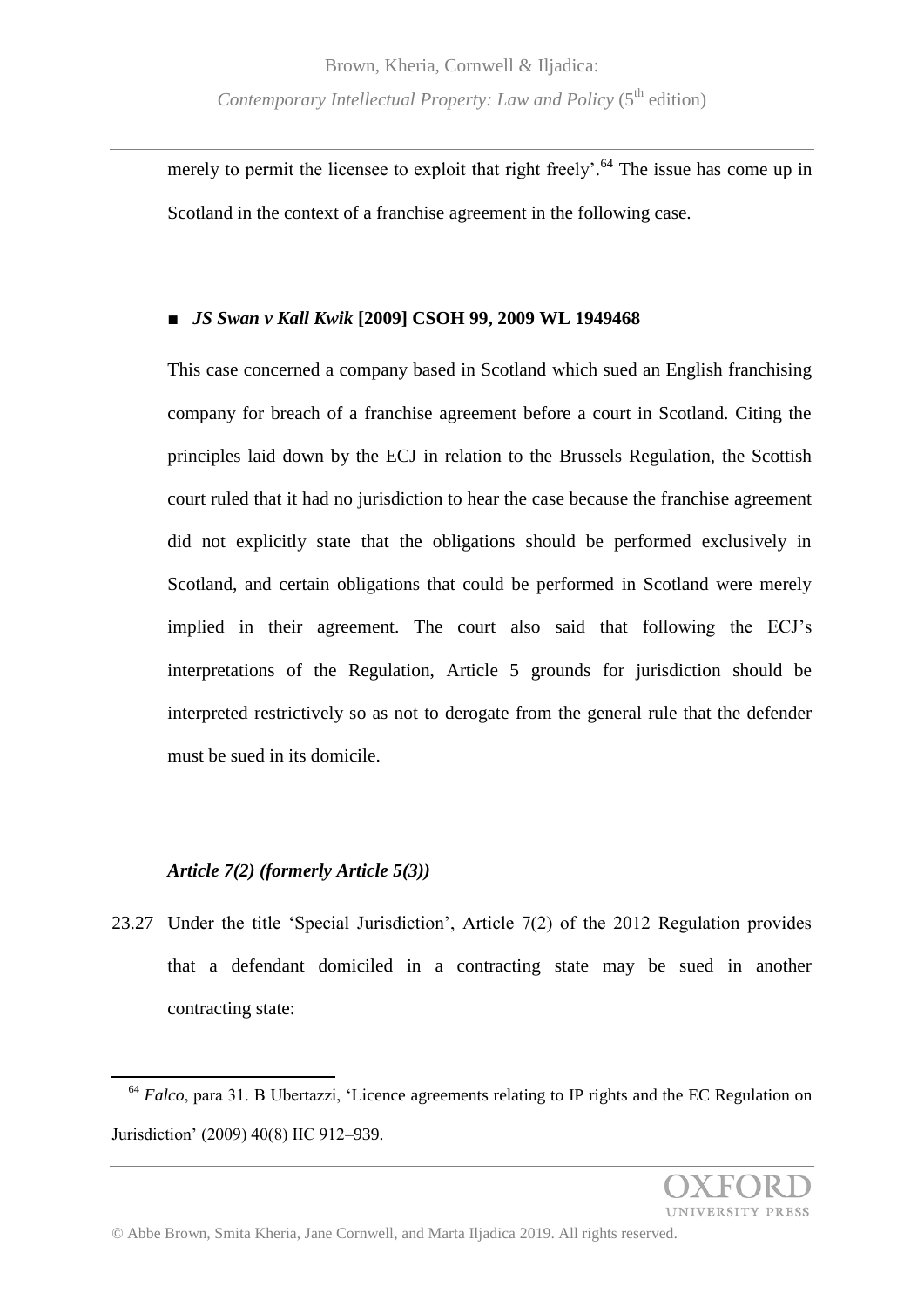merely to permit the licensee to exploit that right freely'.<sup>64</sup> The issue has come up in Scotland in the context of a franchise agreement in the following case.

## **■** *JS Swan v Kall Kwik* **[2009] CSOH 99, 2009 WL 1949468**

This case concerned a company based in Scotland which sued an English franchising company for breach of a franchise agreement before a court in Scotland. Citing the principles laid down by the ECJ in relation to the Brussels Regulation, the Scottish court ruled that it had no jurisdiction to hear the case because the franchise agreement did not explicitly state that the obligations should be performed exclusively in Scotland, and certain obligations that could be performed in Scotland were merely implied in their agreement. The court also said that following the ECJ's interpretations of the Regulation, Article 5 grounds for jurisdiction should be interpreted restrictively so as not to derogate from the general rule that the defender must be sued in its domicile.

## *Article 7(2) (formerly Article 5(3))*

23.27 Under the title 'Special Jurisdiction', Article 7(2) of the 2012 Regulation provides that a defendant domiciled in a contracting state may be sued in another contracting state:

 $\overline{a}$ <sup>64</sup> *Falco*, para 31. B Ubertazzi, 'Licence agreements relating to IP rights and the EC Regulation on Jurisdiction' (2009) 40(8) IIC 912–939.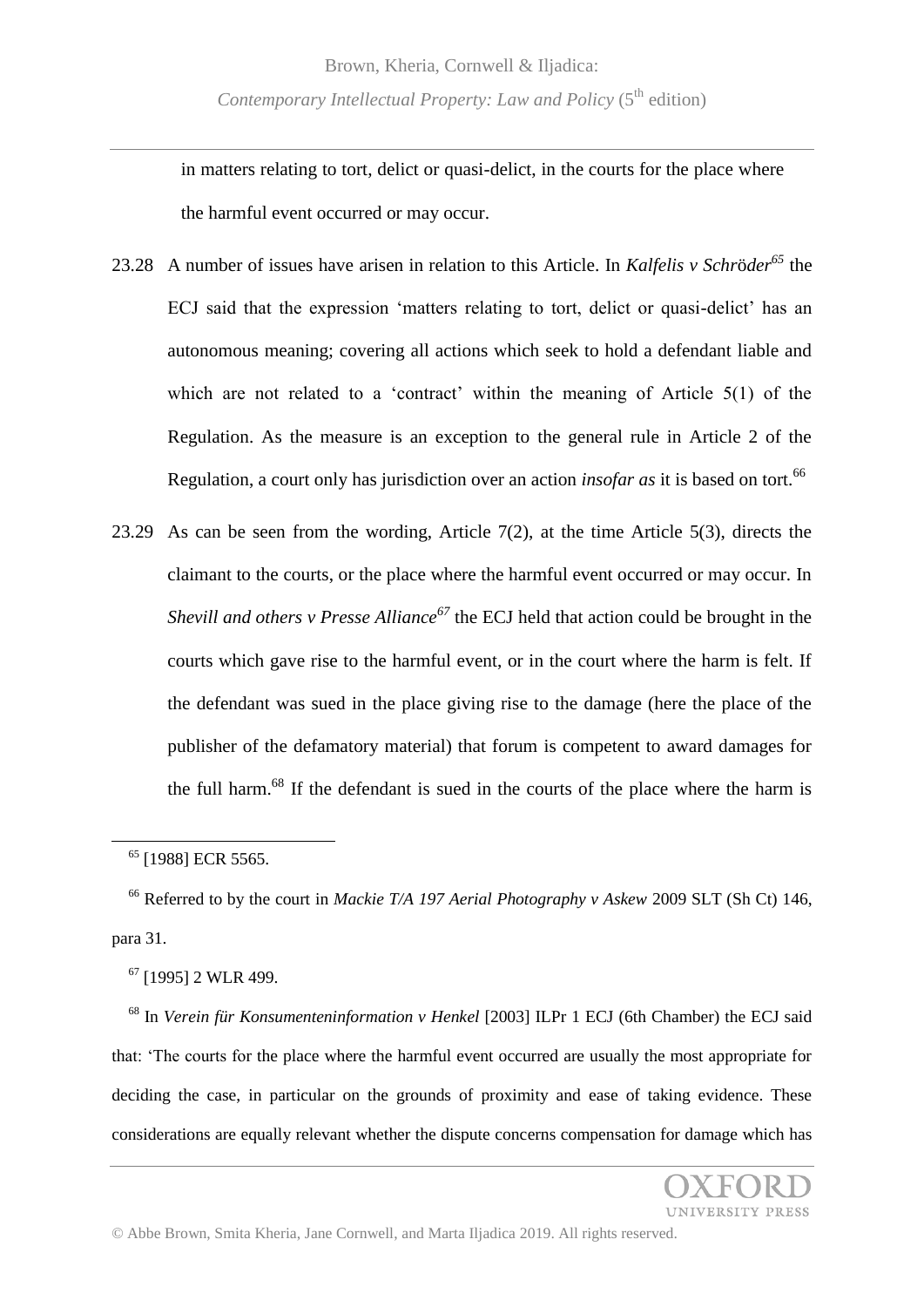in matters relating to tort, delict or quasi-delict, in the courts for the place where the harmful event occurred or may occur.

- 23.28 A number of issues have arisen in relation to this Article. In *Kalfelis v Schr*ö*der<sup>65</sup>* the ECJ said that the expression 'matters relating to tort, delict or quasi-delict' has an autonomous meaning; covering all actions which seek to hold a defendant liable and which are not related to a 'contract' within the meaning of Article 5(1) of the Regulation. As the measure is an exception to the general rule in Article 2 of the Regulation, a court only has jurisdiction over an action *insofar as* it is based on tort.<sup>66</sup>
- 23.29 As can be seen from the wording, Article 7(2), at the time Article 5(3), directs the claimant to the courts, or the place where the harmful event occurred or may occur. In *Shevill and others v Presse Alliance<sup>67</sup>* the ECJ held that action could be brought in the courts which gave rise to the harmful event, or in the court where the harm is felt. If the defendant was sued in the place giving rise to the damage (here the place of the publisher of the defamatory material) that forum is competent to award damages for the full harm.<sup>68</sup> If the defendant is sued in the courts of the place where the harm is

 $\overline{a}$ 

 $67$  [1995] 2 WLR 499.

<sup>68</sup> In *Verein für Konsumenteninformation v Henkel* [2003] ILPr 1 ECJ (6th Chamber) the ECJ said that: 'The courts for the place where the harmful event occurred are usually the most appropriate for deciding the case, in particular on the grounds of proximity and ease of taking evidence. These considerations are equally relevant whether the dispute concerns compensation for damage which has

 $65$  [1988] ECR 5565.

<sup>66</sup> Referred to by the court in *Mackie T/A 197 Aerial Photography v Askew* 2009 SLT (Sh Ct) 146, para 31.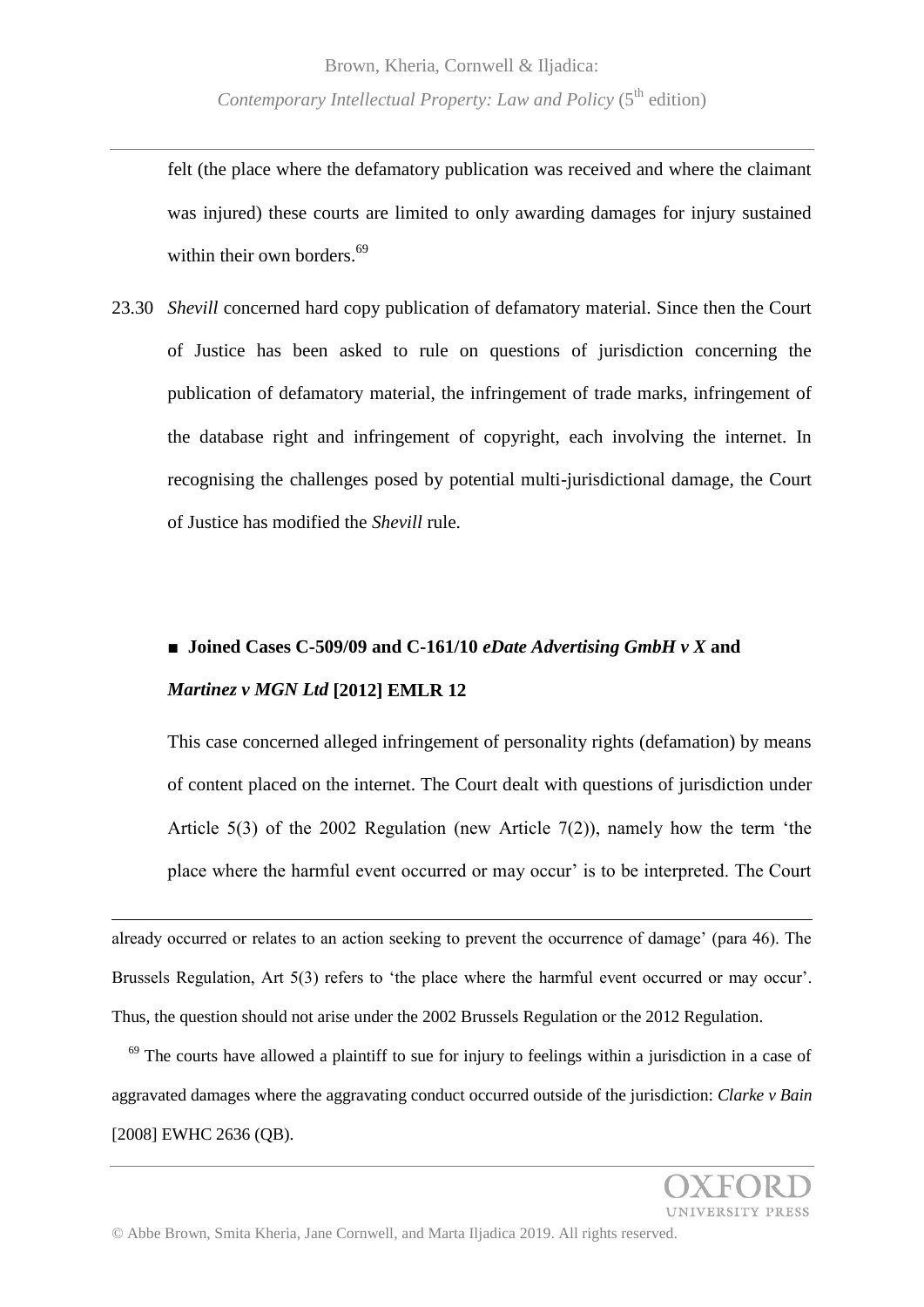felt (the place where the defamatory publication was received and where the claimant was injured) these courts are limited to only awarding damages for injury sustained within their own borders.<sup>69</sup>

23.30 *Shevill* concerned hard copy publication of defamatory material. Since then the Court of Justice has been asked to rule on questions of jurisdiction concerning the publication of defamatory material, the infringement of trade marks, infringement of the database right and infringement of copyright, each involving the internet. In recognising the challenges posed by potential multi-jurisdictional damage, the Court of Justice has modified the *Shevill* rule.

# ■ **Joined Cases C-509/09 and C-161/10** *eDate Advertising GmbH v X* and *Martinez v MGN Ltd* **[2012] EMLR 12**

This case concerned alleged infringement of personality rights (defamation) by means of content placed on the internet. The Court dealt with questions of jurisdiction under Article 5(3) of the 2002 Regulation (new Article 7(2)), namely how the term 'the place where the harmful event occurred or may occur' is to be interpreted. The Court

already occurred or relates to an action seeking to prevent the occurrence of damage' (para 46). The Brussels Regulation, Art 5(3) refers to 'the place where the harmful event occurred or may occur'. Thus, the question should not arise under the 2002 Brussels Regulation or the 2012 Regulation.

 $69$  The courts have allowed a plaintiff to sue for injury to feelings within a jurisdiction in a case of aggravated damages where the aggravating conduct occurred outside of the jurisdiction: *Clarke v Bain* [2008] EWHC 2636 (QB).

**.**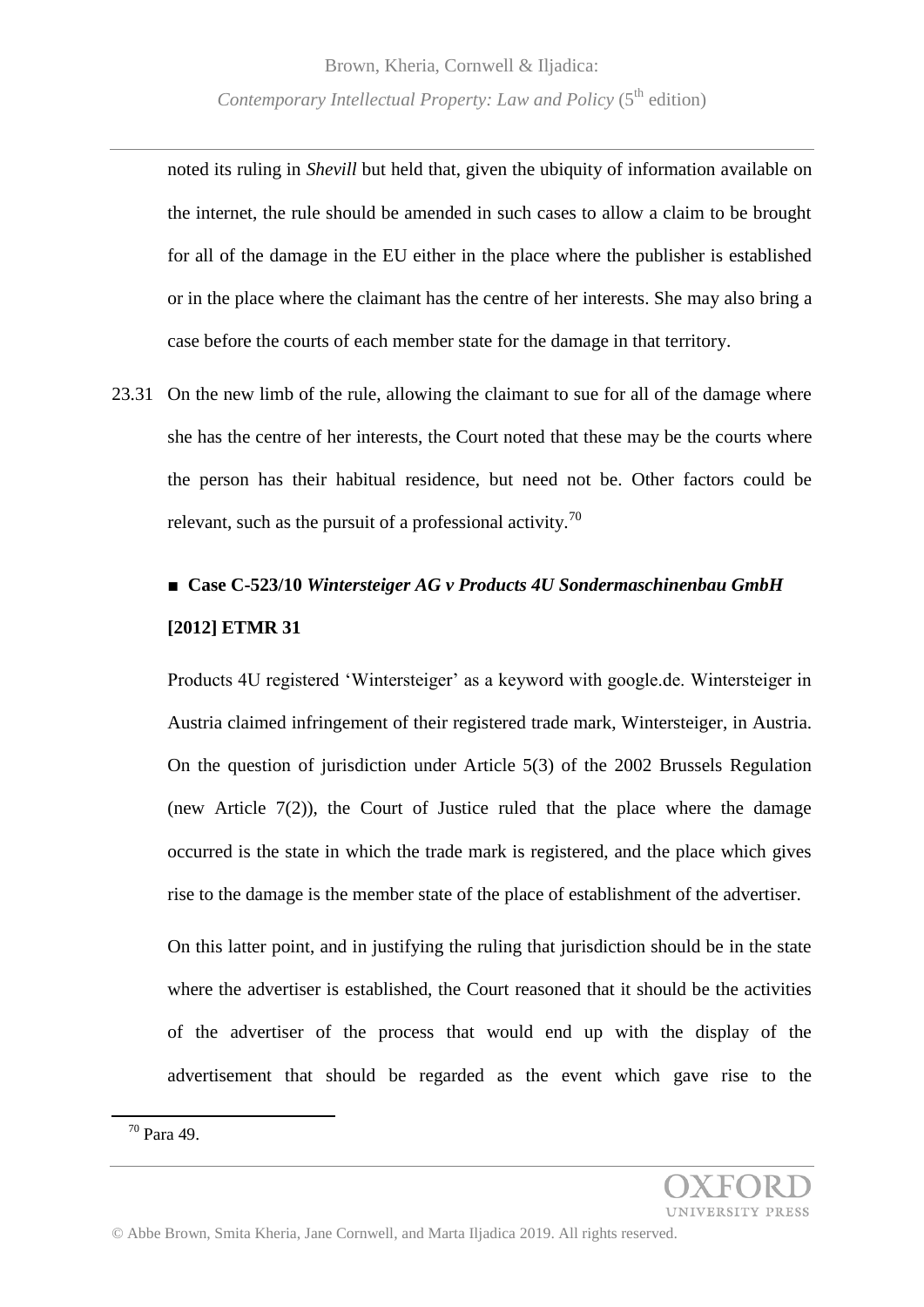noted its ruling in *Shevill* but held that, given the ubiquity of information available on the internet, the rule should be amended in such cases to allow a claim to be brought for all of the damage in the EU either in the place where the publisher is established or in the place where the claimant has the centre of her interests. She may also bring a case before the courts of each member state for the damage in that territory.

23.31 On the new limb of the rule, allowing the claimant to sue for all of the damage where she has the centre of her interests, the Court noted that these may be the courts where the person has their habitual residence, but need not be. Other factors could be relevant, such as the pursuit of a professional activity.<sup>70</sup>

# **■ Case C-523/10** *Wintersteiger AG v Products 4U Sondermaschinenbau GmbH* **[2012] ETMR 31**

Products 4U registered 'Wintersteiger' as a keyword with google.de. Wintersteiger in Austria claimed infringement of their registered trade mark, Wintersteiger, in Austria. On the question of jurisdiction under Article 5(3) of the 2002 Brussels Regulation (new Article 7(2)), the Court of Justice ruled that the place where the damage occurred is the state in which the trade mark is registered, and the place which gives rise to the damage is the member state of the place of establishment of the advertiser.

On this latter point, and in justifying the ruling that jurisdiction should be in the state where the advertiser is established, the Court reasoned that it should be the activities of the advertiser of the process that would end up with the display of the advertisement that should be regarded as the event which gave rise to the

**.** 

<sup>70</sup> Para 49.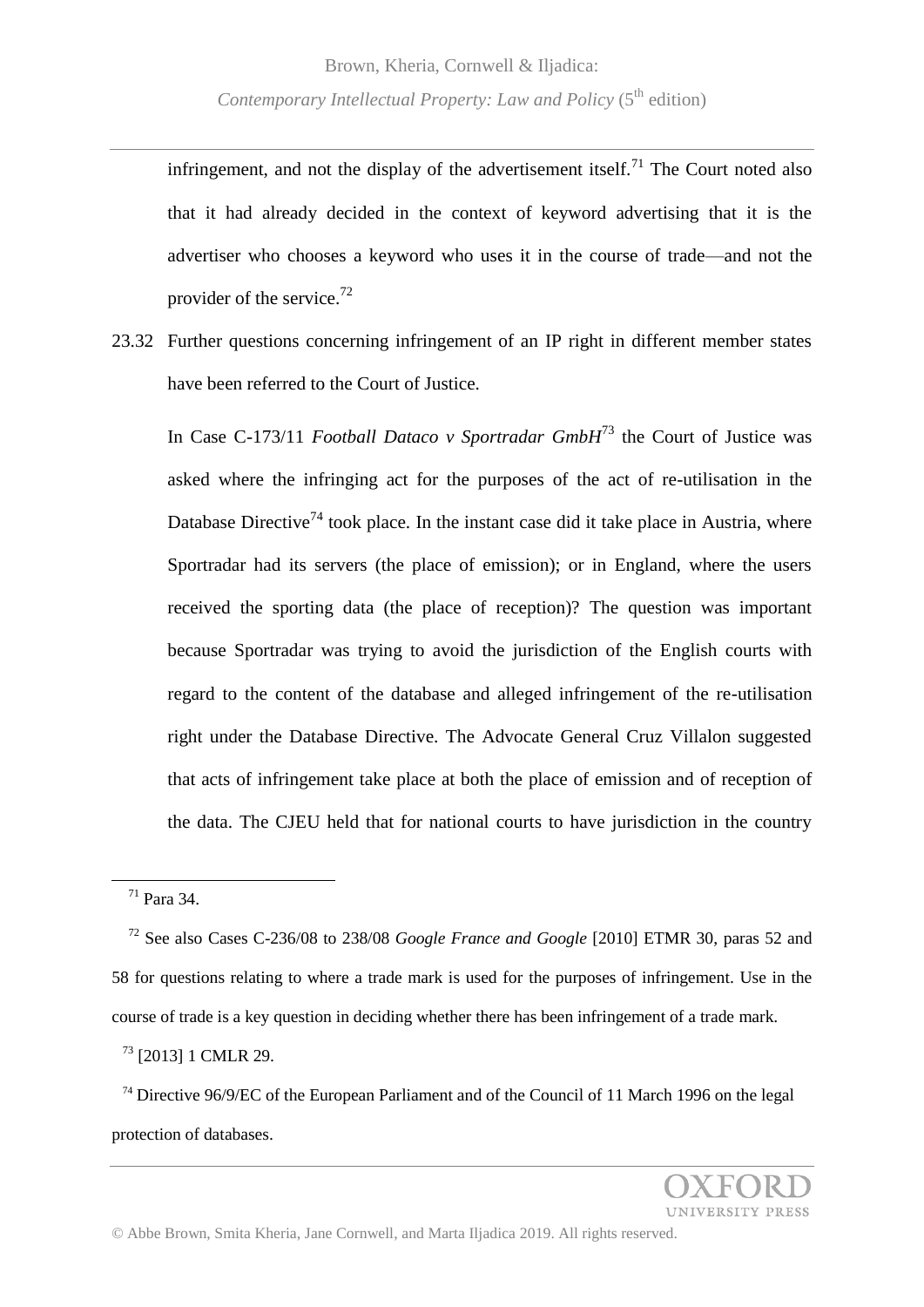infringement, and not the display of the advertisement itself.<sup>71</sup> The Court noted also that it had already decided in the context of keyword advertising that it is the advertiser who chooses a keyword who uses it in the course of trade—and not the provider of the service.<sup>72</sup>

23.32 Further questions concerning infringement of an IP right in different member states have been referred to the Court of Justice.

In Case C-173/11 *Football Dataco v Sportradar GmbH*<sup>73</sup> the Court of Justice was asked where the infringing act for the purposes of the act of re-utilisation in the Database Directive<sup>74</sup> took place. In the instant case did it take place in Austria, where Sportradar had its servers (the place of emission); or in England, where the users received the sporting data (the place of reception)? The question was important because Sportradar was trying to avoid the jurisdiction of the English courts with regard to the content of the database and alleged infringement of the re-utilisation right under the Database Directive. The Advocate General Cruz Villalon suggested that acts of infringement take place at both the place of emission and of reception of the data. The CJEU held that for national courts to have jurisdiction in the country

**.** 

 $74$  Directive 96/9/EC of the European Parliament and of the Council of 11 March 1996 on the legal protection of databases.

<sup>71</sup> Para 34.

<sup>72</sup> See also Cases C-236/08 to 238/08 *Google France and Google* [2010] ETMR 30, paras 52 and 58 for questions relating to where a trade mark is used for the purposes of infringement. Use in the course of trade is a key question in deciding whether there has been infringement of a trade mark.

<sup>73</sup> [2013] 1 CMLR 29.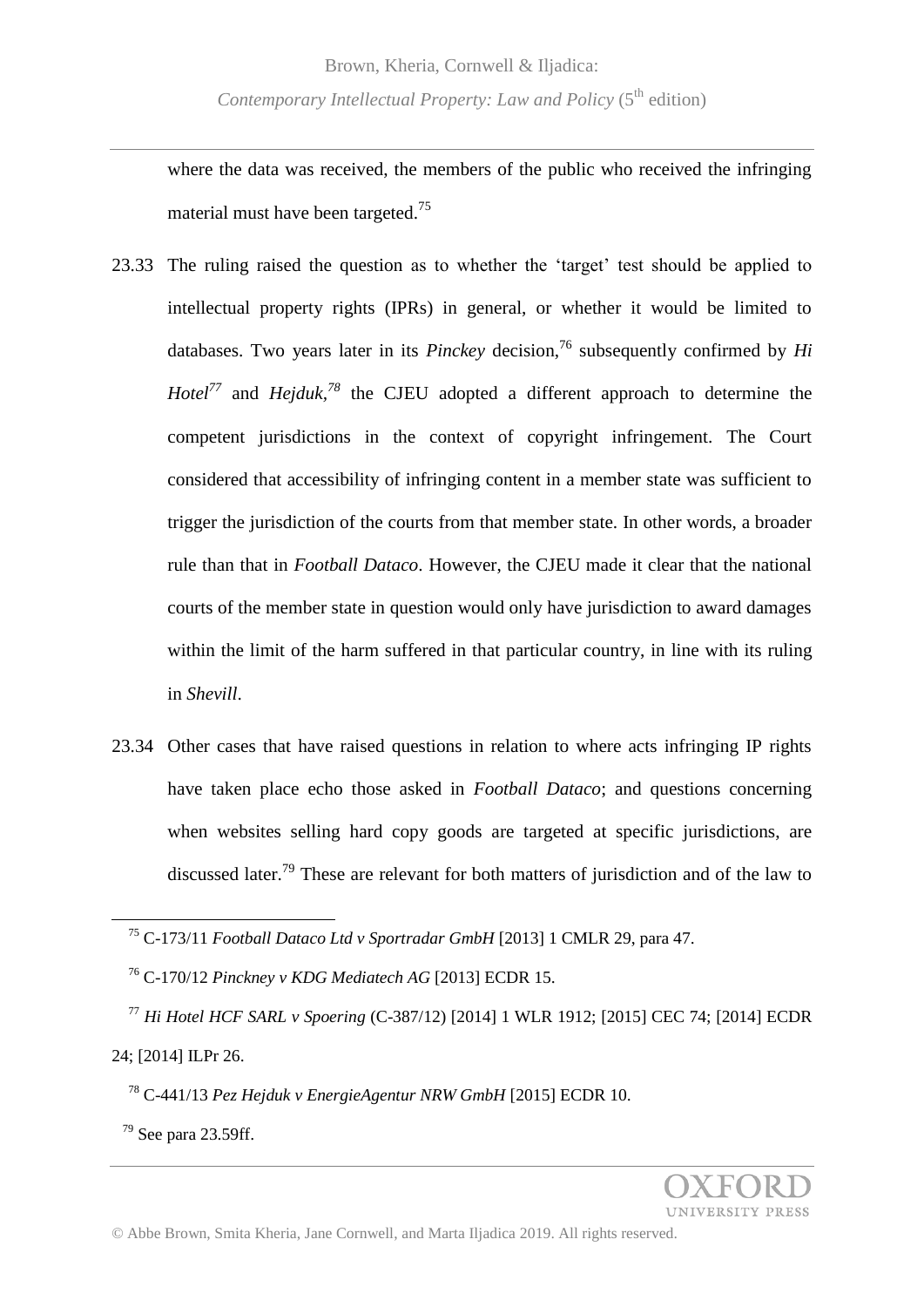where the data was received, the members of the public who received the infringing material must have been targeted.<sup>75</sup>

- 23.33 The ruling raised the question as to whether the 'target' test should be applied to intellectual property rights (IPRs) in general, or whether it would be limited to databases. Two years later in its *Pinckey* decision,<sup>76</sup> subsequently confirmed by *Hi Hotel<sup>77</sup>* and *Hejduk,<sup>78</sup>* the CJEU adopted a different approach to determine the competent jurisdictions in the context of copyright infringement. The Court considered that accessibility of infringing content in a member state was sufficient to trigger the jurisdiction of the courts from that member state. In other words, a broader rule than that in *Football Dataco*. However, the CJEU made it clear that the national courts of the member state in question would only have jurisdiction to award damages within the limit of the harm suffered in that particular country, in line with its ruling in *Shevill*.
- 23.34 Other cases that have raised questions in relation to where acts infringing IP rights have taken place echo those asked in *Football Dataco*; and questions concerning when websites selling hard copy goods are targeted at specific jurisdictions, are discussed later.<sup>79</sup> These are relevant for both matters of jurisdiction and of the law to

 $79$  See para 23.59ff.

**.** 

<sup>75</sup> C-173/11 *Football Dataco Ltd v Sportradar GmbH* [2013] 1 CMLR 29, para 47.

<sup>76</sup> C-170/12 *Pinckney v KDG Mediatech AG* [2013] ECDR 15.

<sup>77</sup> *Hi Hotel HCF SARL v Spoering* (C-387/12) [2014] 1 WLR 1912; [2015] CEC 74; [2014] ECDR 24; [2014] ILPr 26.

<sup>78</sup> C-441/13 *Pez Hejduk v EnergieAgentur NRW GmbH* [2015] ECDR 10.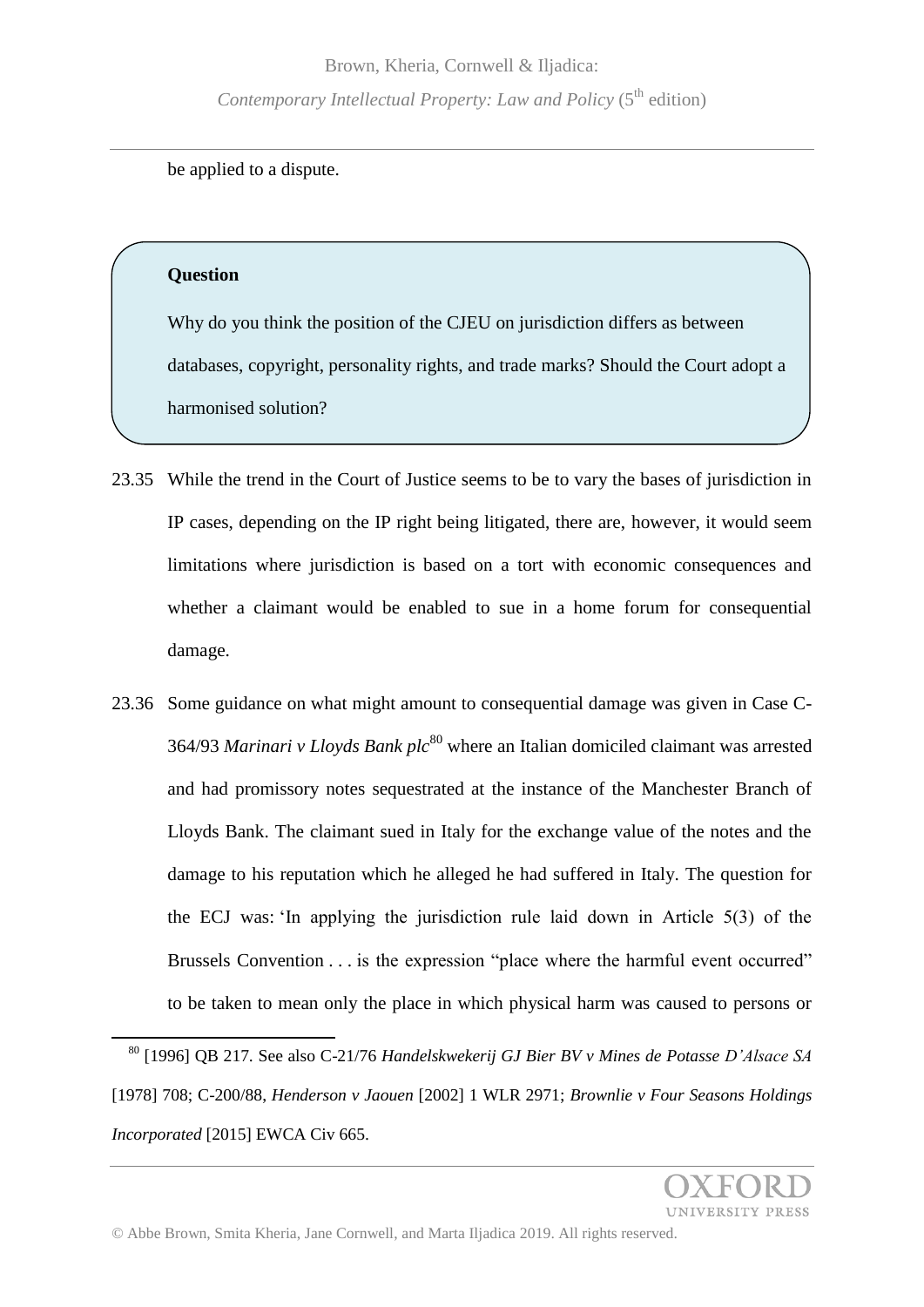be applied to a dispute.

#### **Question**

Why do you think the position of the CJEU on jurisdiction differs as between databases, copyright, personality rights, and trade marks? Should the Court adopt a harmonised solution?

- 23.35 While the trend in the Court of Justice seems to be to vary the bases of jurisdiction in IP cases, depending on the IP right being litigated, there are, however, it would seem limitations where jurisdiction is based on a tort with economic consequences and whether a claimant would be enabled to sue in a home forum for consequential damage.
- 23.36 Some guidance on what might amount to consequential damage was given in Case C-364/93 *Marinari v Lloyds Bank plc*<sup>80</sup> where an Italian domiciled claimant was arrested and had promissory notes sequestrated at the instance of the Manchester Branch of Lloyds Bank. The claimant sued in Italy for the exchange value of the notes and the damage to his reputation which he alleged he had suffered in Italy. The question for the ECJ was: 'In applying the jurisdiction rule laid down in Article 5(3) of the Brussels Convention . . . is the expression "place where the harmful event occurred" to be taken to mean only the place in which physical harm was caused to persons or

1 <sup>80</sup> [1996] QB 217. See also C-21/76 *Handelskwekerij GJ Bier BV v Mines de Potasse D'Alsace SA* [1978] 708; C-200/88, *Henderson v Jaouen* [2002] 1 WLR 2971; *Brownlie v Four Seasons Holdings Incorporated* [2015] EWCA Civ 665.

ERSITY PRESS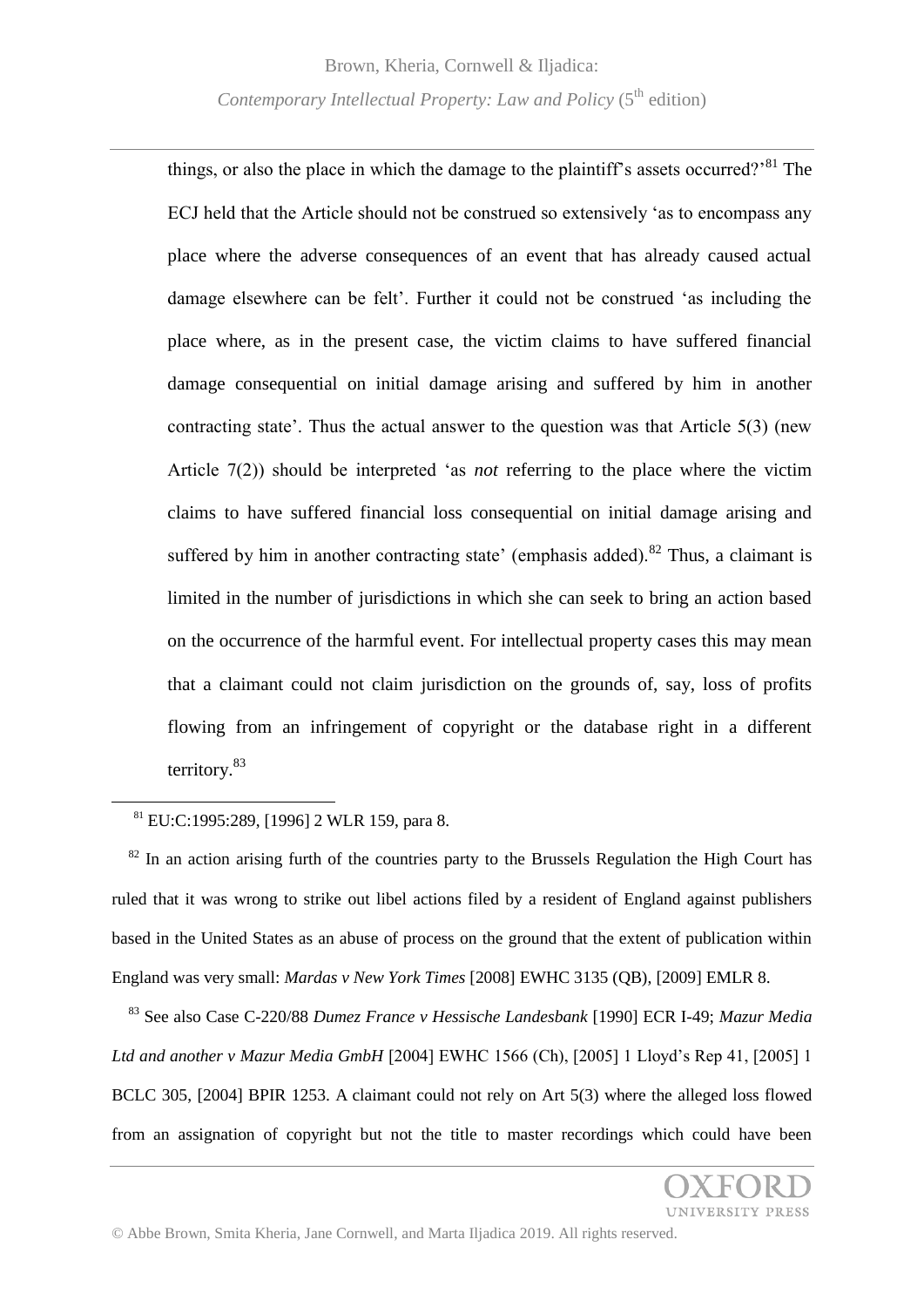things, or also the place in which the damage to the plaintiff's assets occurred?<sup>81</sup> The ECJ held that the Article should not be construed so extensively 'as to encompass any place where the adverse consequences of an event that has already caused actual damage elsewhere can be felt'. Further it could not be construed 'as including the place where, as in the present case, the victim claims to have suffered financial damage consequential on initial damage arising and suffered by him in another contracting state'. Thus the actual answer to the question was that Article 5(3) (new Article 7(2)) should be interpreted 'as *not* referring to the place where the victim claims to have suffered financial loss consequential on initial damage arising and suffered by him in another contracting state' (emphasis added).<sup>82</sup> Thus, a claimant is limited in the number of jurisdictions in which she can seek to bring an action based on the occurrence of the harmful event. For intellectual property cases this may mean that a claimant could not claim jurisdiction on the grounds of, say, loss of profits flowing from an infringement of copyright or the database right in a different territory.<sup>83</sup>

1

<sup>83</sup> See also Case C-220/88 *Dumez France v Hessische Landesbank* [1990] ECR I-49; *Mazur Media Ltd and another v Mazur Media GmbH* [2004] EWHC 1566 (Ch), [2005] 1 Lloyd's Rep 41, [2005] 1 BCLC 305, [2004] BPIR 1253. A claimant could not rely on Art 5(3) where the alleged loss flowed from an assignation of copyright but not the title to master recordings which could have been

UNIVERSITY PRESS

 $81$  EU:C:1995:289, [1996] 2 WLR 159, para 8.

 $82$  In an action arising furth of the countries party to the Brussels Regulation the High Court has ruled that it was wrong to strike out libel actions filed by a resident of England against publishers based in the United States as an abuse of process on the ground that the extent of publication within England was very small: *Mardas v New York Times* [2008] EWHC 3135 (QB), [2009] EMLR 8.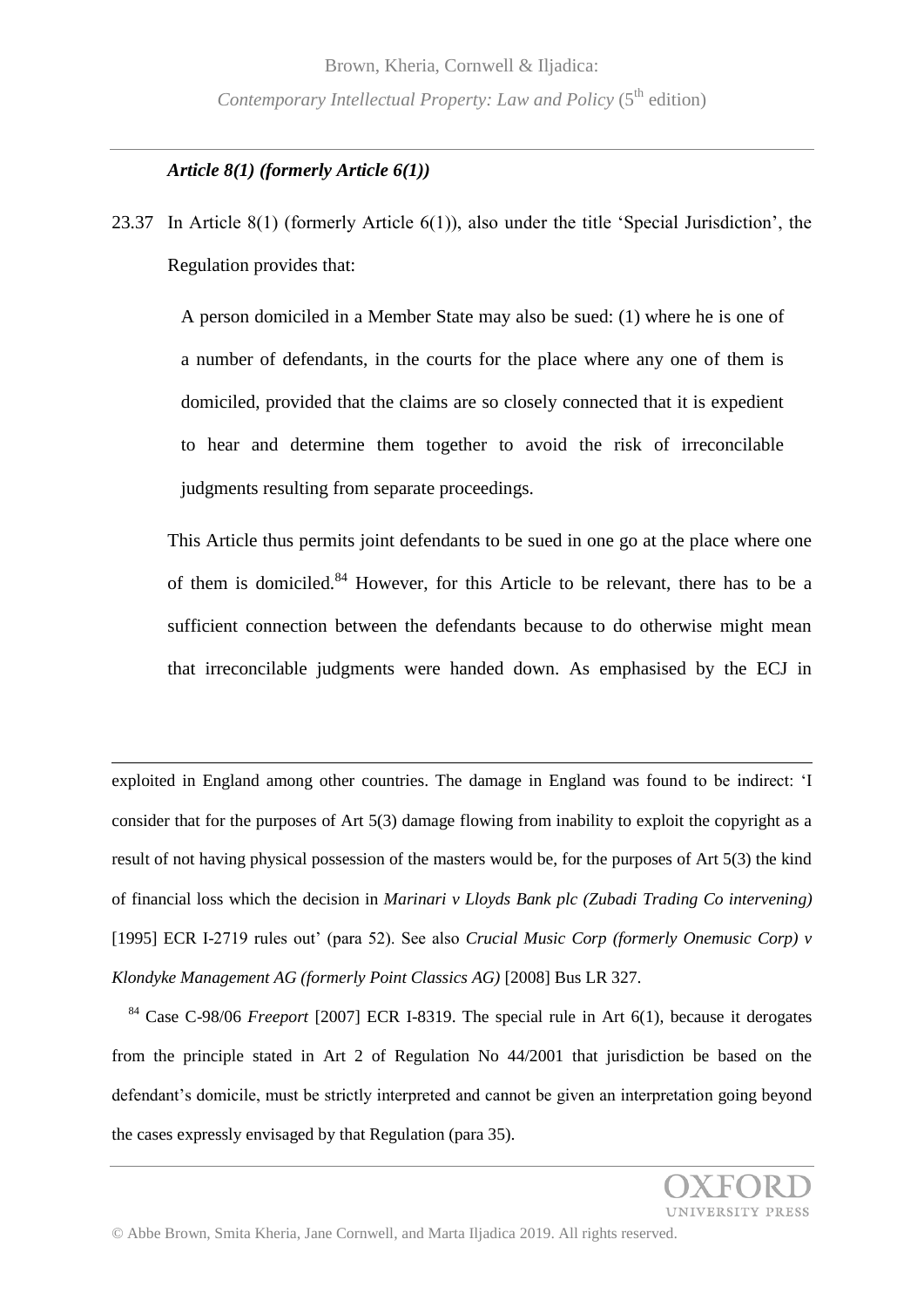## *Article 8(1) (formerly Article 6(1))*

**.** 

23.37 In Article 8(1) (formerly Article 6(1)), also under the title 'Special Jurisdiction', the Regulation provides that:

A person domiciled in a Member State may also be sued: (1) where he is one of a number of defendants, in the courts for the place where any one of them is domiciled, provided that the claims are so closely connected that it is expedient to hear and determine them together to avoid the risk of irreconcilable judgments resulting from separate proceedings.

This Article thus permits joint defendants to be sued in one go at the place where one of them is domiciled.<sup>84</sup> However, for this Article to be relevant, there has to be a sufficient connection between the defendants because to do otherwise might mean that irreconcilable judgments were handed down. As emphasised by the ECJ in

exploited in England among other countries. The damage in England was found to be indirect: 'I consider that for the purposes of Art 5(3) damage flowing from inability to exploit the copyright as a result of not having physical possession of the masters would be, for the purposes of Art 5(3) the kind of financial loss which the decision in *Marinari v Lloyds Bank plc (Zubadi Trading Co intervening)* [1995] ECR I-2719 rules out' (para 52). See also *Crucial Music Corp (formerly Onemusic Corp) v Klondyke Management AG (formerly Point Classics AG)* [2008] Bus LR 327.

<sup>84</sup> Case C-98/06 *Freeport* [2007] ECR I-8319. The special rule in Art 6(1), because it derogates from the principle stated in Art 2 of Regulation No 44/2001 that jurisdiction be based on the defendant's domicile, must be strictly interpreted and cannot be given an interpretation going beyond the cases expressly envisaged by that Regulation (para 35).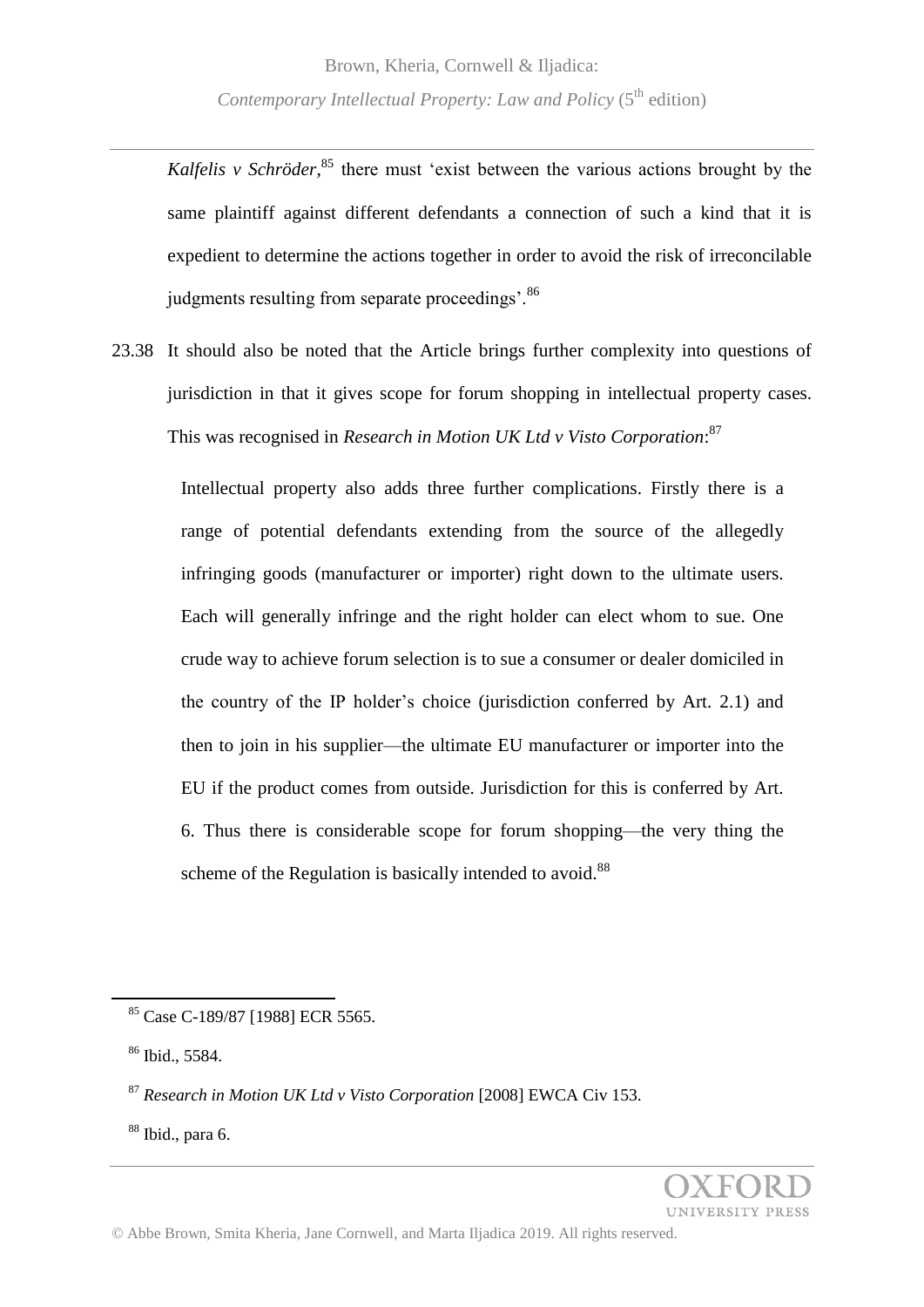Kalfelis v Schröder,<sup>85</sup> there must 'exist between the various actions brought by the same plaintiff against different defendants a connection of such a kind that it is expedient to determine the actions together in order to avoid the risk of irreconcilable judgments resulting from separate proceedings'.<sup>86</sup>

23.38 It should also be noted that the Article brings further complexity into questions of jurisdiction in that it gives scope for forum shopping in intellectual property cases. This was recognised in *Research in Motion UK Ltd v Visto Corporation*: 87

Intellectual property also adds three further complications. Firstly there is a range of potential defendants extending from the source of the allegedly infringing goods (manufacturer or importer) right down to the ultimate users. Each will generally infringe and the right holder can elect whom to sue. One crude way to achieve forum selection is to sue a consumer or dealer domiciled in the country of the IP holder's choice (jurisdiction conferred by Art. 2.1) and then to join in his supplier—the ultimate EU manufacturer or importer into the EU if the product comes from outside. Jurisdiction for this is conferred by Art. 6. Thus there is considerable scope for forum shopping—the very thing the scheme of the Regulation is basically intended to avoid.<sup>88</sup>

**.** 

 $88$  Ibid., para 6.

<sup>85</sup> Case C-189/87 [1988] ECR 5565.

<sup>86</sup> Ibid., 5584.

<sup>87</sup> *Research in Motion UK Ltd v Visto Corporation* [2008] EWCA Civ 153.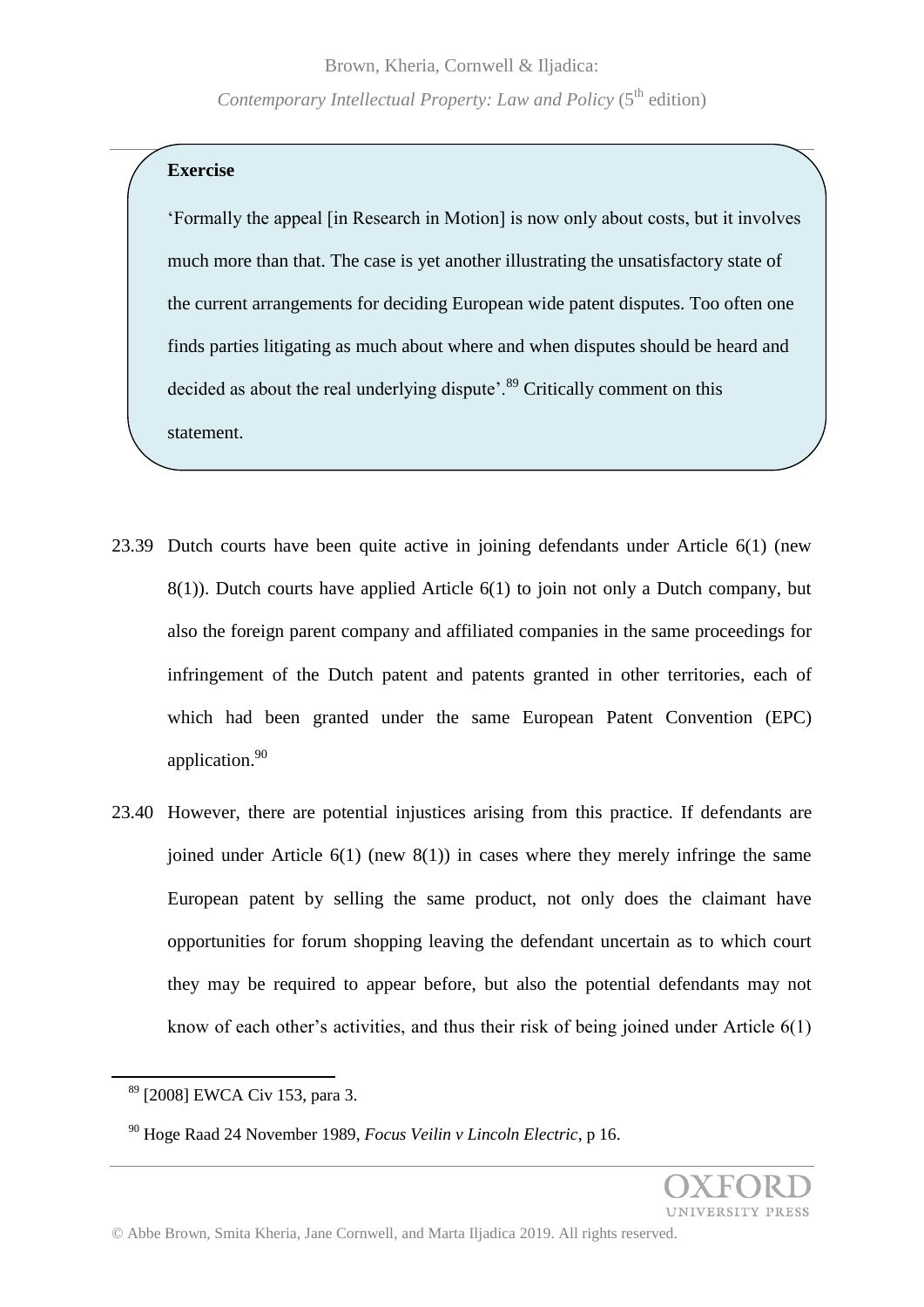## **Exercise**

'Formally the appeal [in Research in Motion] is now only about costs, but it involves much more than that. The case is yet another illustrating the unsatisfactory state of the current arrangements for deciding European wide patent disputes. Too often one finds parties litigating as much about where and when disputes should be heard and decided as about the real underlying dispute'.<sup>89</sup> Critically comment on this statement.

- 23.39 Dutch courts have been quite active in joining defendants under Article 6(1) (new 8(1)). Dutch courts have applied Article 6(1) to join not only a Dutch company, but also the foreign parent company and affiliated companies in the same proceedings for infringement of the Dutch patent and patents granted in other territories, each of which had been granted under the same European Patent Convention (EPC) application.<sup>90</sup>
- 23.40 However, there are potential injustices arising from this practice. If defendants are joined under Article  $6(1)$  (new  $8(1)$ ) in cases where they merely infringe the same European patent by selling the same product, not only does the claimant have opportunities for forum shopping leaving the defendant uncertain as to which court they may be required to appear before, but also the potential defendants may not know of each other's activities, and thus their risk of being joined under Article 6(1)

 $\overline{a}$ 

<sup>89</sup> [2008] EWCA Civ 153, para 3.

<sup>90</sup> Hoge Raad 24 November 1989, *Focus Veilin v Lincoln Electric*, p 16.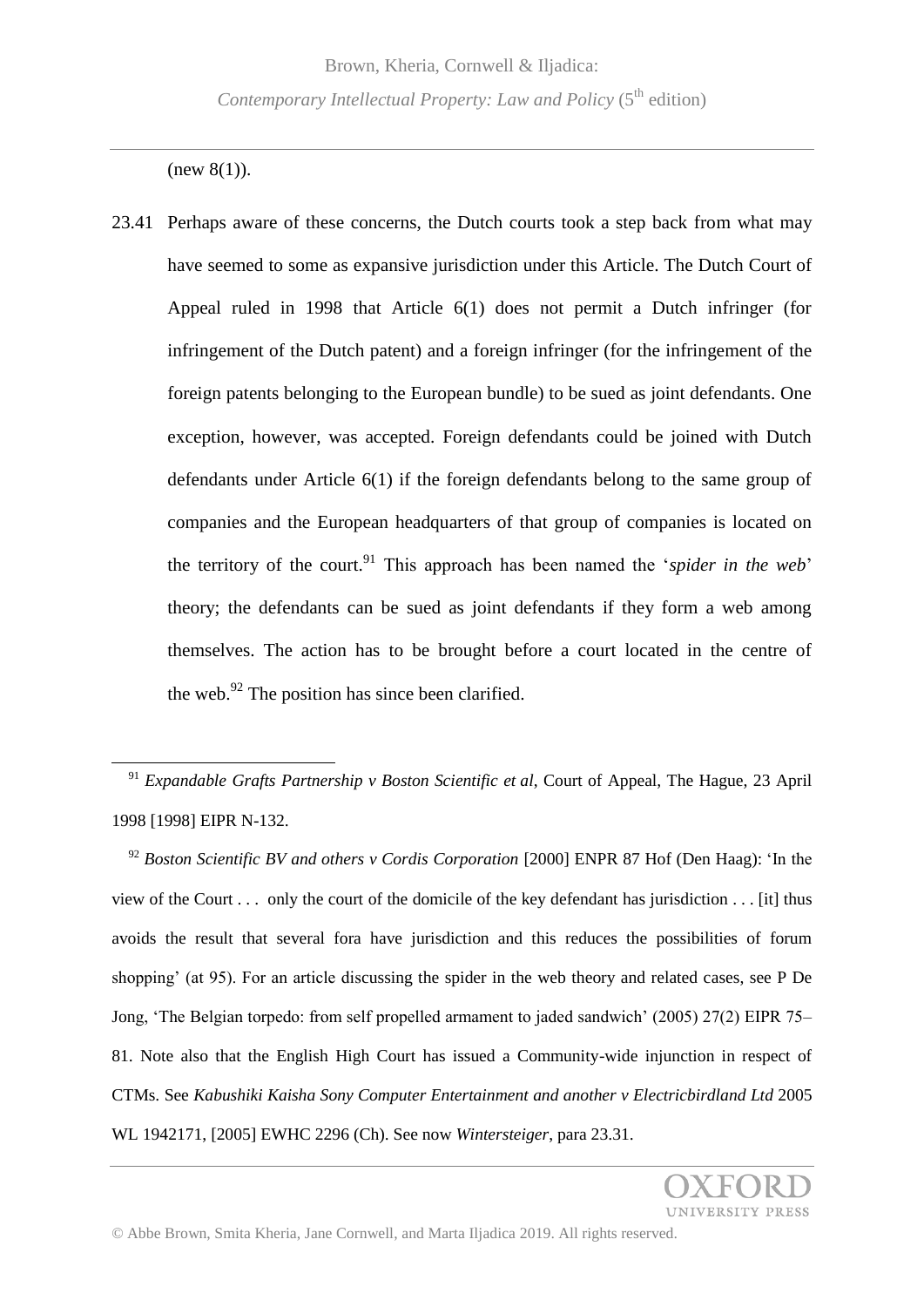$(new 8(1)).$ 

**.** 

23.41 Perhaps aware of these concerns, the Dutch courts took a step back from what may have seemed to some as expansive jurisdiction under this Article. The Dutch Court of Appeal ruled in 1998 that Article 6(1) does not permit a Dutch infringer (for infringement of the Dutch patent) and a foreign infringer (for the infringement of the foreign patents belonging to the European bundle) to be sued as joint defendants. One exception, however, was accepted. Foreign defendants could be joined with Dutch defendants under Article 6(1) if the foreign defendants belong to the same group of companies and the European headquarters of that group of companies is located on the territory of the court.<sup>91</sup> This approach has been named the *'spider in the web'* theory; the defendants can be sued as joint defendants if they form a web among themselves. The action has to be brought before a court located in the centre of the web. $92$  The position has since been clarified.

<sup>91</sup> *Expandable Grafts Partnership v Boston Scientific et al*, Court of Appeal, The Hague, 23 April 1998 [1998] EIPR N-132.

<sup>92</sup> *Boston Scientific BV and others v Cordis Corporation* [2000] ENPR 87 Hof (Den Haag): 'In the view of the Court . . . only the court of the domicile of the key defendant has jurisdiction . . . [it] thus avoids the result that several fora have jurisdiction and this reduces the possibilities of forum shopping' (at 95). For an article discussing the spider in the web theory and related cases, see P De Jong, 'The Belgian torpedo: from self propelled armament to jaded sandwich' (2005) 27(2) EIPR 75– 81. Note also that the English High Court has issued a Community-wide injunction in respect of CTMs. See *Kabushiki Kaisha Sony Computer Entertainment and another v Electricbirdland Ltd* 2005 WL 1942171, [2005] EWHC 2296 (Ch). See now *Wintersteiger*, para 23.31.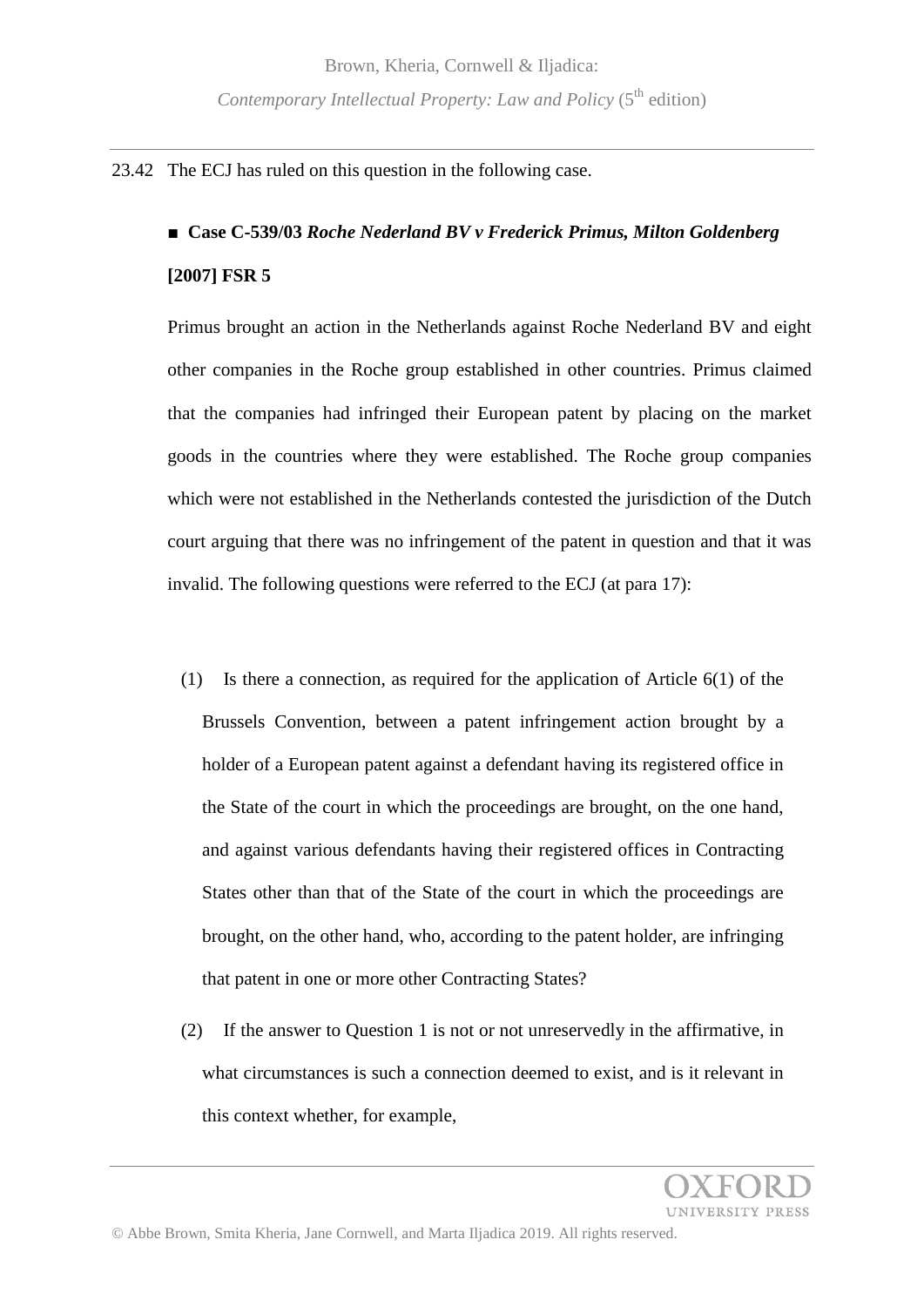23.42 The ECJ has ruled on this question in the following case.

# **■ Case C-539/03** *Roche Nederland BV v Frederick Primus, Milton Goldenberg* **[2007] FSR 5**

Primus brought an action in the Netherlands against Roche Nederland BV and eight other companies in the Roche group established in other countries. Primus claimed that the companies had infringed their European patent by placing on the market goods in the countries where they were established. The Roche group companies which were not established in the Netherlands contested the jurisdiction of the Dutch court arguing that there was no infringement of the patent in question and that it was invalid. The following questions were referred to the ECJ (at para 17):

- (1) Is there a connection, as required for the application of Article 6(1) of the Brussels Convention, between a patent infringement action brought by a holder of a European patent against a defendant having its registered office in the State of the court in which the proceedings are brought, on the one hand, and against various defendants having their registered offices in Contracting States other than that of the State of the court in which the proceedings are brought, on the other hand, who, according to the patent holder, are infringing that patent in one or more other Contracting States?
- (2) If the answer to Question 1 is not or not unreservedly in the affirmative, in what circumstances is such a connection deemed to exist, and is it relevant in this context whether, for example,

**INIVERSITY PRESS**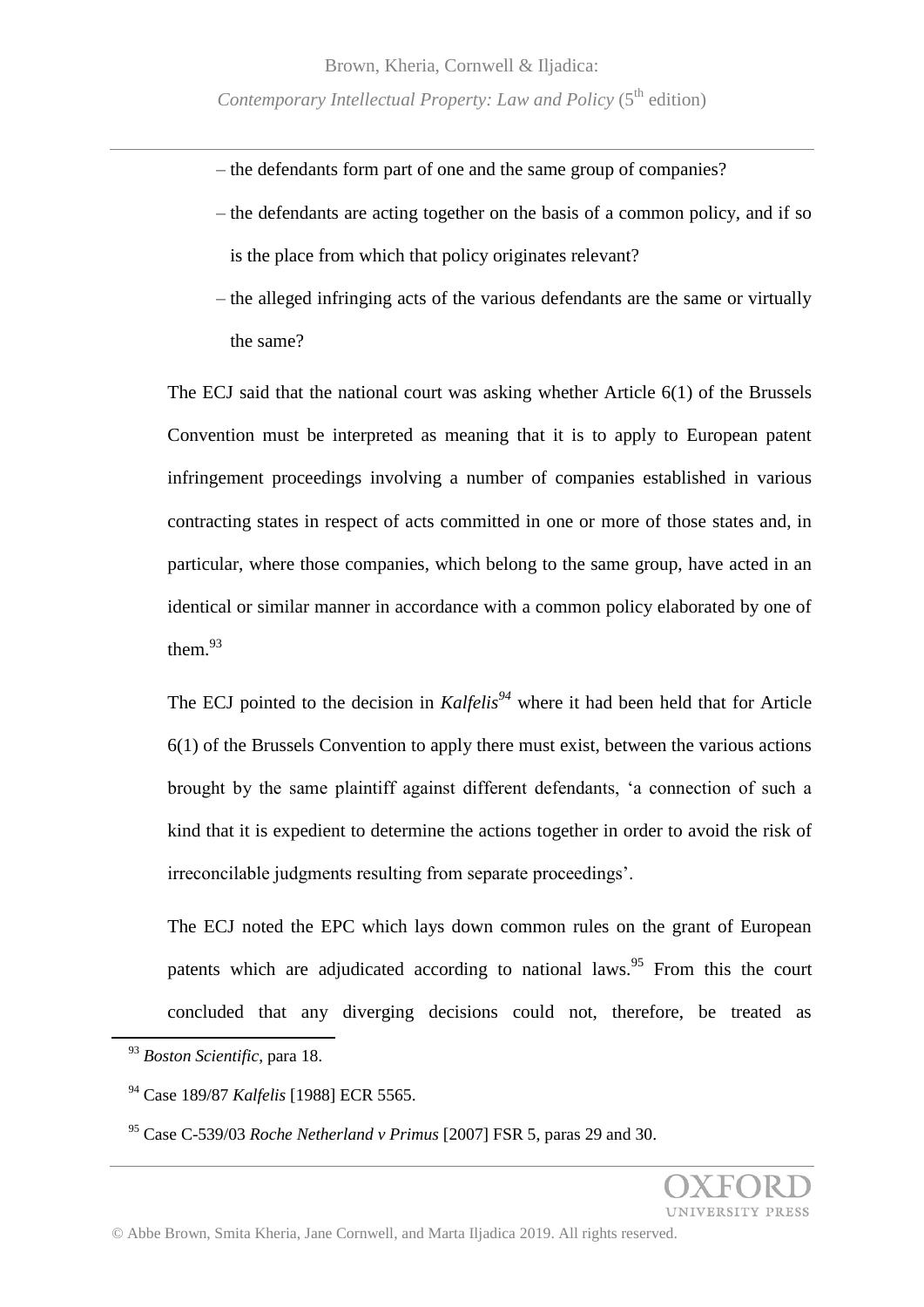- the defendants form part of one and the same group of companies?
- the defendants are acting together on the basis of a common policy, and if so is the place from which that policy originates relevant?
- the alleged infringing acts of the various defendants are the same or virtually the same?

The ECJ said that the national court was asking whether Article 6(1) of the Brussels Convention must be interpreted as meaning that it is to apply to European patent infringement proceedings involving a number of companies established in various contracting states in respect of acts committed in one or more of those states and, in particular, where those companies, which belong to the same group, have acted in an identical or similar manner in accordance with a common policy elaborated by one of them.<sup>93</sup>

The ECJ pointed to the decision in *Kalfelis<sup>94</sup>* where it had been held that for Article 6(1) of the Brussels Convention to apply there must exist, between the various actions brought by the same plaintiff against different defendants, 'a connection of such a kind that it is expedient to determine the actions together in order to avoid the risk of irreconcilable judgments resulting from separate proceedings'.

The ECJ noted the EPC which lays down common rules on the grant of European patents which are adjudicated according to national laws.<sup>95</sup> From this the court concluded that any diverging decisions could not, therefore, be treated as

1

<sup>93</sup> *Boston Scientific*, para 18.

<sup>94</sup> Case 189/87 *Kalfelis* [1988] ECR 5565.

<sup>95</sup> Case C-539/03 *Roche Netherland v Primus* [2007] FSR 5, paras 29 and 30.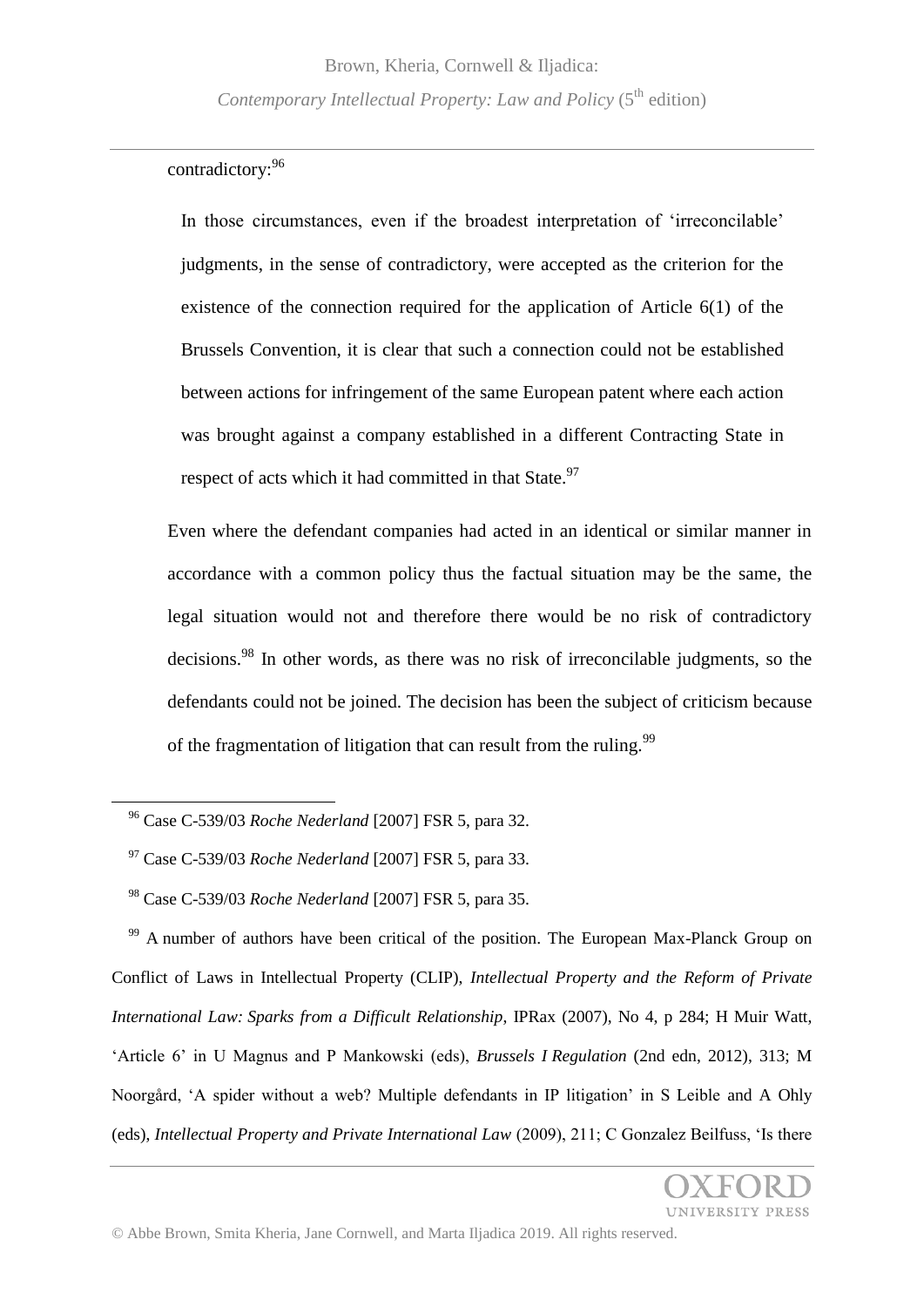## contradictory:<sup>96</sup>

In those circumstances, even if the broadest interpretation of 'irreconcilable' judgments, in the sense of contradictory, were accepted as the criterion for the existence of the connection required for the application of Article 6(1) of the Brussels Convention, it is clear that such a connection could not be established between actions for infringement of the same European patent where each action was brought against a company established in a different Contracting State in respect of acts which it had committed in that State.<sup>97</sup>

Even where the defendant companies had acted in an identical or similar manner in accordance with a common policy thus the factual situation may be the same, the legal situation would not and therefore there would be no risk of contradictory decisions.<sup>98</sup> In other words, as there was no risk of irreconcilable judgments, so the defendants could not be joined. The decision has been the subject of criticism because of the fragmentation of litigation that can result from the ruling.<sup>99</sup>

1

<sup>99</sup> A number of authors have been critical of the position. The European Max-Planck Group on Conflict of Laws in Intellectual Property (CLIP), *Intellectual Property and the Reform of Private International Law: Sparks from a Difficult Relationship*, IPRax (2007), No 4, p 284; H Muir Watt, 'Article 6' in U Magnus and P Mankowski (eds), *Brussels I Regulation* (2nd edn, 2012), 313; M Noorgård, 'A spider without a web? Multiple defendants in IP litigation' in S Leible and A Ohly (eds), *Intellectual Property and Private International Law* (2009), 211; C Gonzalez Beilfuss, 'Is there

<sup>96</sup> Case C-539/03 *Roche Nederland* [2007] FSR 5, para 32.

<sup>97</sup> Case C-539/03 *Roche Nederland* [2007] FSR 5, para 33.

<sup>98</sup> Case C-539/03 *Roche Nederland* [2007] FSR 5, para 35.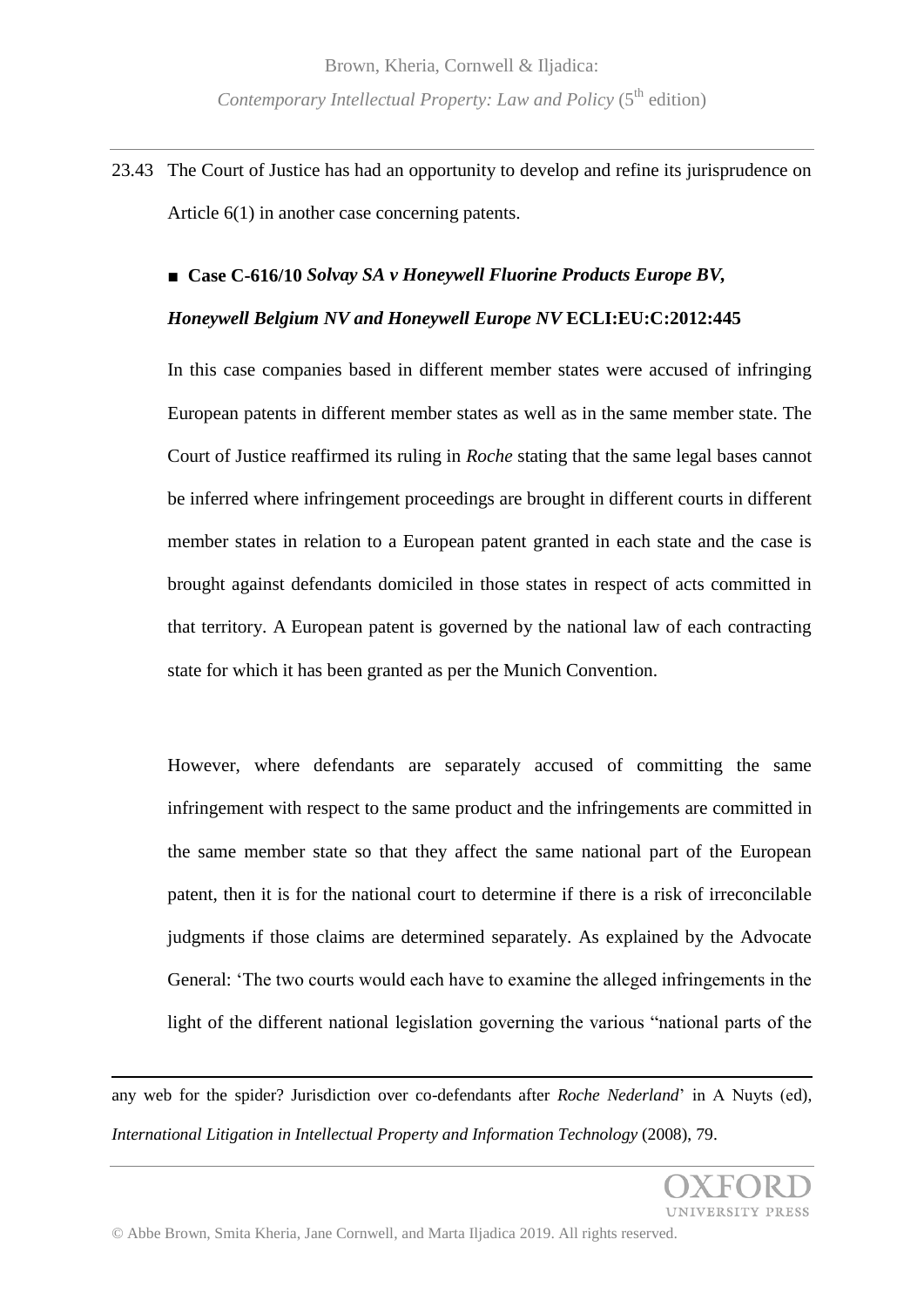23.43 The Court of Justice has had an opportunity to develop and refine its jurisprudence on Article 6(1) in another case concerning patents.

## ■ **Case C-616/10** *Solvay SA v Honeywell Fluorine Products Europe BV***,**

## *Honeywell Belgium NV and Honeywell Europe NV* **ECLI:EU:C:2012:445**

In this case companies based in different member states were accused of infringing European patents in different member states as well as in the same member state. The Court of Justice reaffirmed its ruling in *Roche* stating that the same legal bases cannot be inferred where infringement proceedings are brought in different courts in different member states in relation to a European patent granted in each state and the case is brought against defendants domiciled in those states in respect of acts committed in that territory. A European patent is governed by the national law of each contracting state for which it has been granted as per the Munich Convention.

However, where defendants are separately accused of committing the same infringement with respect to the same product and the infringements are committed in the same member state so that they affect the same national part of the European patent, then it is for the national court to determine if there is a risk of irreconcilable judgments if those claims are determined separately. As explained by the Advocate General: 'The two courts would each have to examine the alleged infringements in the light of the different national legislation governing the various "national parts of the

any web for the spider? Jurisdiction over co-defendants after *Roche Nederland*' in A Nuyts (ed), *International Litigation in Intellectual Property and Information Technology* (2008), 79.

 $\overline{a}$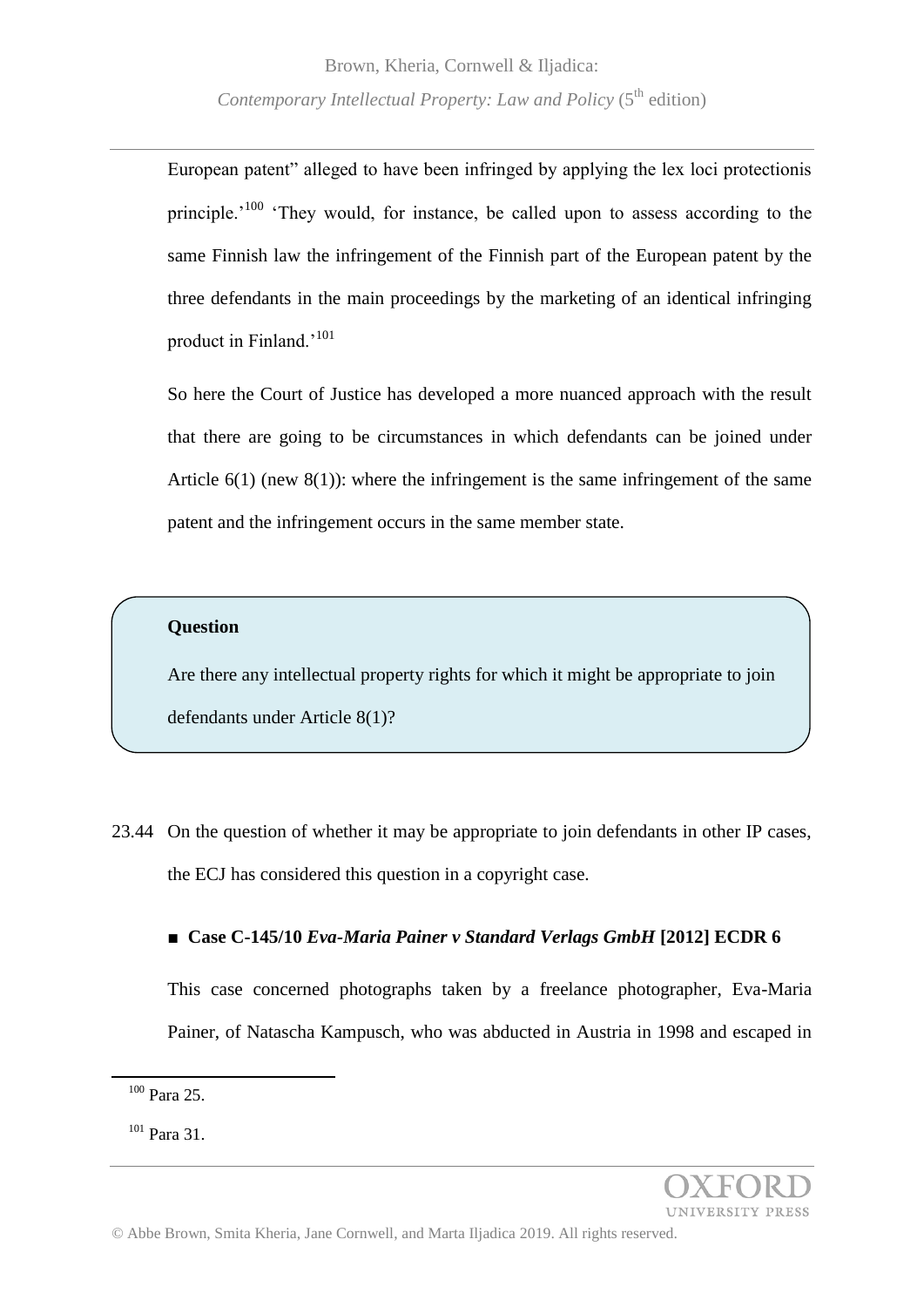European patent" alleged to have been infringed by applying the lex loci protectionis principle.<sup> $100$ </sup> They would, for instance, be called upon to assess according to the same Finnish law the infringement of the Finnish part of the European patent by the three defendants in the main proceedings by the marketing of an identical infringing product in Finland.'<sup>101</sup>

So here the Court of Justice has developed a more nuanced approach with the result that there are going to be circumstances in which defendants can be joined under Article  $6(1)$  (new  $8(1)$ ): where the infringement is the same infringement of the same patent and the infringement occurs in the same member state.

## **Question**

Are there any intellectual property rights for which it might be appropriate to join defendants under Article 8(1)?

23.44 On the question of whether it may be appropriate to join defendants in other IP cases, the ECJ has considered this question in a copyright case.

## **■ Case C-145/10** *Eva-Maria Painer v Standard Verlags GmbH* **[2012] ECDR 6**

This case concerned photographs taken by a freelance photographer, Eva-Maria Painer, of Natascha Kampusch, who was abducted in Austria in 1998 and escaped in

 $\overline{a}$ 

<sup>101</sup> Para 31.

<sup>100</sup> Para 25.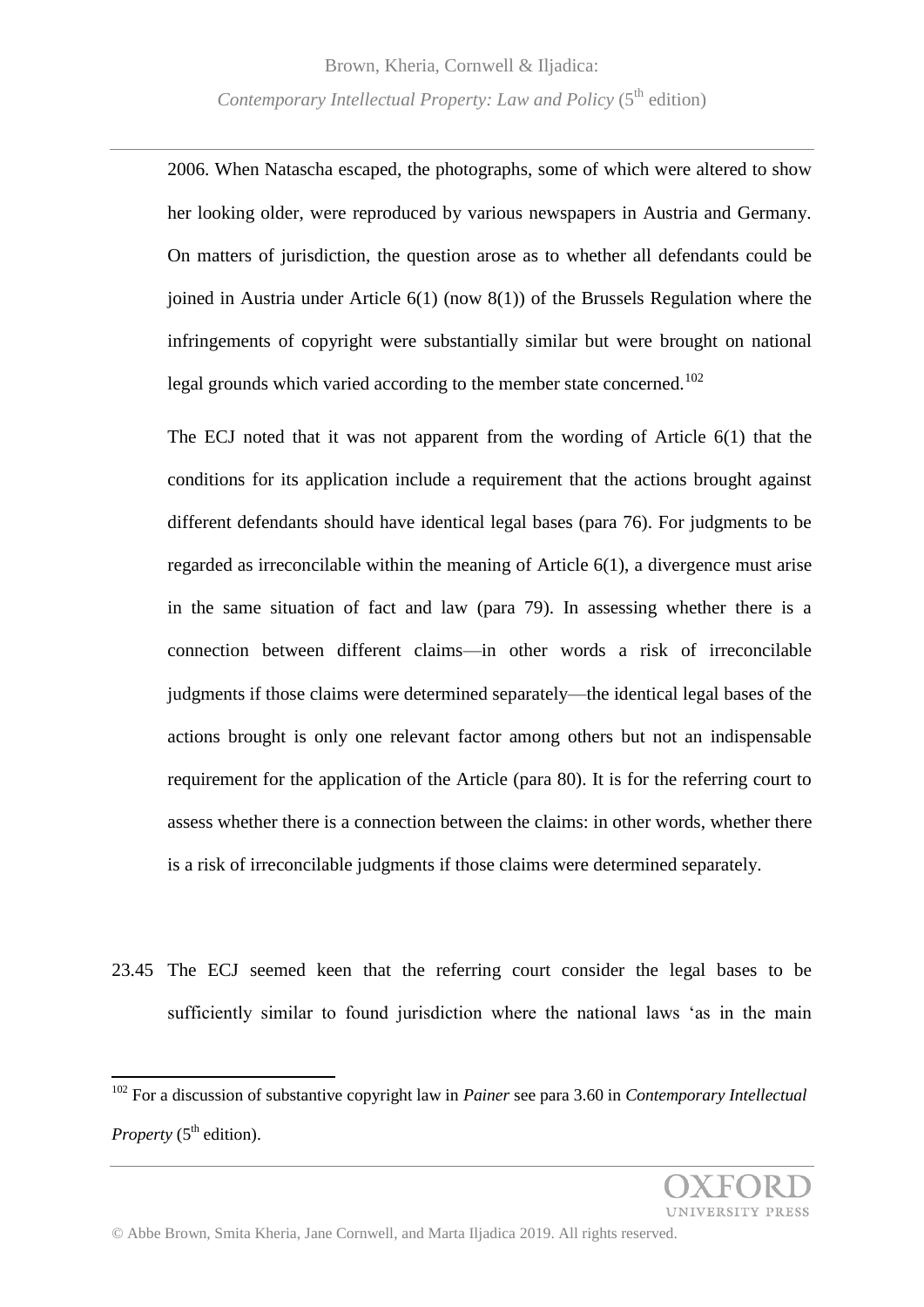2006. When Natascha escaped, the photographs, some of which were altered to show her looking older, were reproduced by various newspapers in Austria and Germany. On matters of jurisdiction, the question arose as to whether all defendants could be joined in Austria under Article 6(1) (now 8(1)) of the Brussels Regulation where the infringements of copyright were substantially similar but were brought on national legal grounds which varied according to the member state concerned.<sup>102</sup>

The ECJ noted that it was not apparent from the wording of Article 6(1) that the conditions for its application include a requirement that the actions brought against different defendants should have identical legal bases (para 76). For judgments to be regarded as irreconcilable within the meaning of Article 6(1), a divergence must arise in the same situation of fact and law (para 79). In assessing whether there is a connection between different claims—in other words a risk of irreconcilable judgments if those claims were determined separately—the identical legal bases of the actions brought is only one relevant factor among others but not an indispensable requirement for the application of the Article (para 80). It is for the referring court to assess whether there is a connection between the claims: in other words, whether there is a risk of irreconcilable judgments if those claims were determined separately.

23.45 The ECJ seemed keen that the referring court consider the legal bases to be sufficiently similar to found jurisdiction where the national laws 'as in the main

 $\overline{a}$ 

<sup>102</sup> For a discussion of substantive copyright law in *Painer* see para 3.60 in *Contemporary Intellectual Property* (5<sup>th</sup> edition).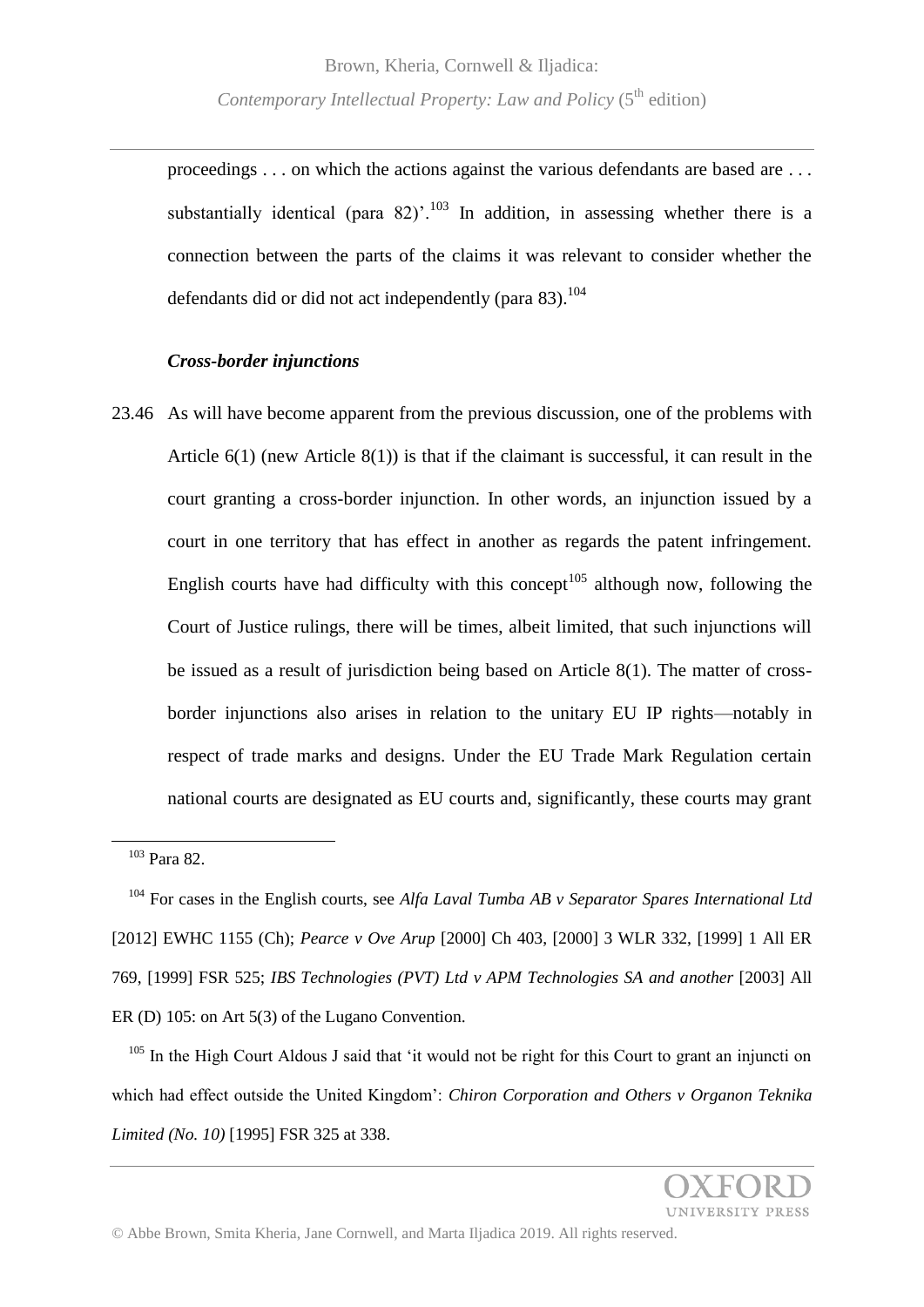proceedings . . . on which the actions against the various defendants are based are . . . substantially identical (para 82)'<sup>103</sup>. In addition, in assessing whether there is a connection between the parts of the claims it was relevant to consider whether the defendants did or did not act independently (para  $83$ ).<sup>104</sup>

### *Cross-border injunctions*

23.46 As will have become apparent from the previous discussion, one of the problems with Article 6(1) (new Article 8(1)) is that if the claimant is successful, it can result in the court granting a cross-border injunction. In other words, an injunction issued by a court in one territory that has effect in another as regards the patent infringement. English courts have had difficulty with this concept<sup>105</sup> although now, following the Court of Justice rulings, there will be times, albeit limited, that such injunctions will be issued as a result of jurisdiction being based on Article 8(1). The matter of crossborder injunctions also arises in relation to the unitary EU IP rights—notably in respect of trade marks and designs. Under the EU Trade Mark Regulation certain national courts are designated as EU courts and, significantly, these courts may grant

 $\overline{a}$ 

<sup>104</sup> For cases in the English courts, see *Alfa Laval Tumba AB v Separator Spares International Ltd* [2012] EWHC 1155 (Ch); *Pearce v Ove Arup* [2000] Ch 403, [2000] 3 WLR 332, [1999] 1 All ER 769, [1999] FSR 525; *IBS Technologies (PVT) Ltd v APM Technologies SA and another* [2003] All ER (D) 105: on Art 5(3) of the Lugano Convention.

<sup>105</sup> In the High Court Aldous J said that 'it would not be right for this Court to grant an injuncti on which had effect outside the United Kingdom': *Chiron Corporation and Others v Organon Teknika Limited (No. 10)* [1995] FSR 325 at 338.

ERSITY PRESS

<sup>103</sup> Para 82.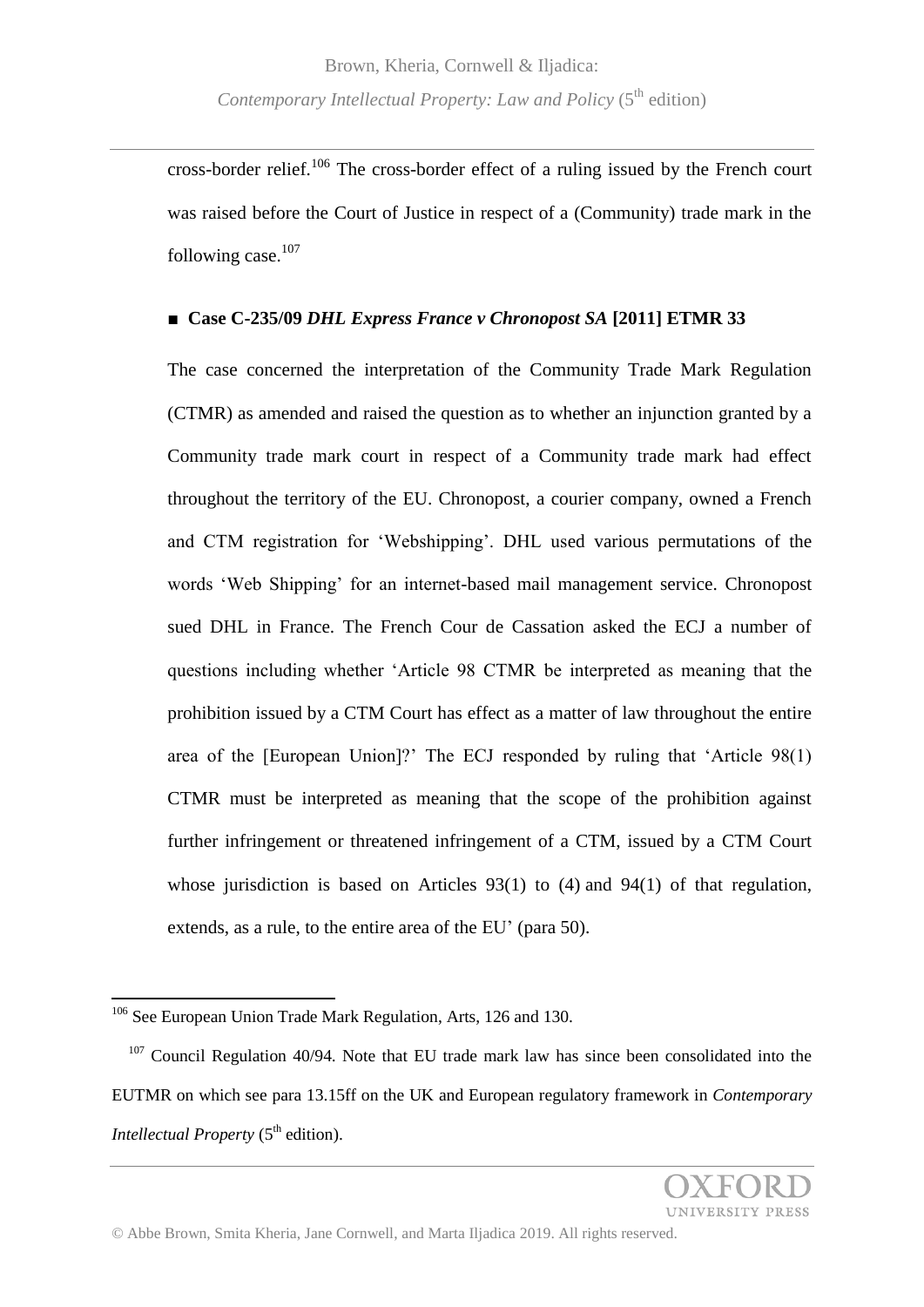cross-border relief.<sup>106</sup> The cross-border effect of a ruling issued by the French court was raised before the Court of Justice in respect of a (Community) trade mark in the following case. $107$ 

## **■ Case C-235/09** *DHL Express France v Chronopost SA* **[2011] ETMR 33**

The case concerned the interpretation of the Community Trade Mark Regulation (CTMR) as amended and raised the question as to whether an injunction granted by a Community trade mark court in respect of a Community trade mark had effect throughout the territory of the EU. Chronopost, a courier company, owned a French and CTM registration for 'Webshipping'. DHL used various permutations of the words 'Web Shipping' for an internet-based mail management service. Chronopost sued DHL in France. The French Cour de Cassation asked the ECJ a number of questions including whether 'Article 98 CTMR be interpreted as meaning that the prohibition issued by a CTM Court has effect as a matter of law throughout the entire area of the [European Union]?' The ECJ responded by ruling that 'Article 98(1) CTMR must be interpreted as meaning that the scope of the prohibition against further infringement or threatened infringement of a CTM, issued by a CTM Court whose jurisdiction is based on Articles 93(1) to (4) and 94(1) of that regulation, extends, as a rule, to the entire area of the EU' (para 50).

**<sup>.</sup>** <sup>106</sup> See European Union Trade Mark Regulation, Arts, 126 and 130.

 $107$  Council Regulation 40/94. Note that EU trade mark law has since been consolidated into the EUTMR on which see para 13.15ff on the UK and European regulatory framework in *Contemporary Intellectual Property* (5<sup>th</sup> edition).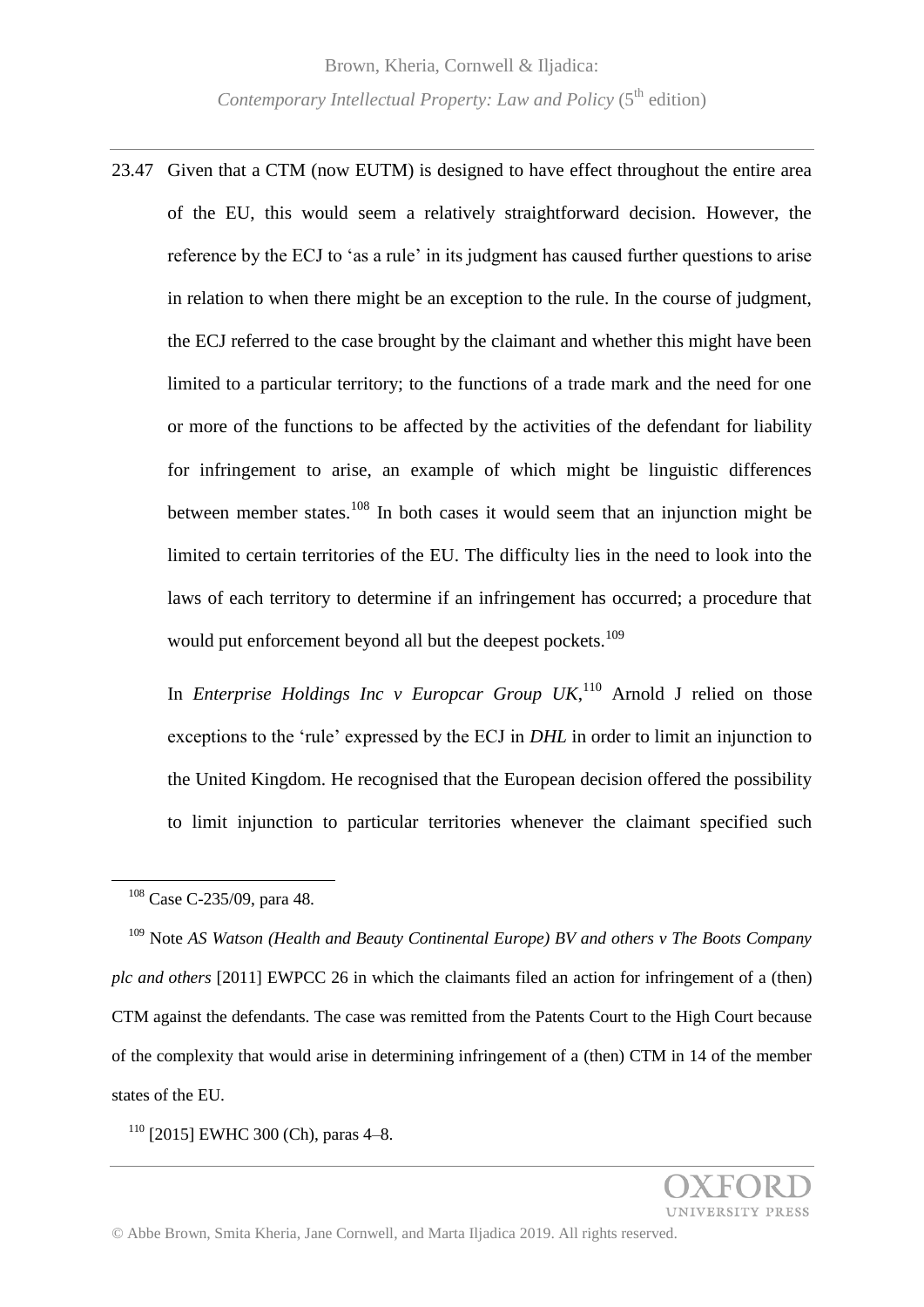23.47 Given that a CTM (now EUTM) is designed to have effect throughout the entire area of the EU, this would seem a relatively straightforward decision. However, the reference by the ECJ to 'as a rule' in its judgment has caused further questions to arise in relation to when there might be an exception to the rule. In the course of judgment, the ECJ referred to the case brought by the claimant and whether this might have been limited to a particular territory; to the functions of a trade mark and the need for one or more of the functions to be affected by the activities of the defendant for liability for infringement to arise, an example of which might be linguistic differences between member states.<sup>108</sup> In both cases it would seem that an injunction might be limited to certain territories of the EU. The difficulty lies in the need to look into the laws of each territory to determine if an infringement has occurred; a procedure that would put enforcement beyond all but the deepest pockets.<sup>109</sup>

In *Enterprise Holdings Inc v Europcar Group UK*,<sup>110</sup> Arnold J relied on those exceptions to the 'rule' expressed by the ECJ in *DHL* in order to limit an injunction to the United Kingdom. He recognised that the European decision offered the possibility to limit injunction to particular territories whenever the claimant specified such

**.** 

 $110$  [2015] EWHC 300 (Ch), paras 4–8.

<sup>108</sup> Case C-235/09, para 48.

<sup>109</sup> Note *AS Watson (Health and Beauty Continental Europe) BV and others v The Boots Company plc and others* [2011] EWPCC 26 in which the claimants filed an action for infringement of a (then) CTM against the defendants. The case was remitted from the Patents Court to the High Court because of the complexity that would arise in determining infringement of a (then) CTM in 14 of the member states of the EU.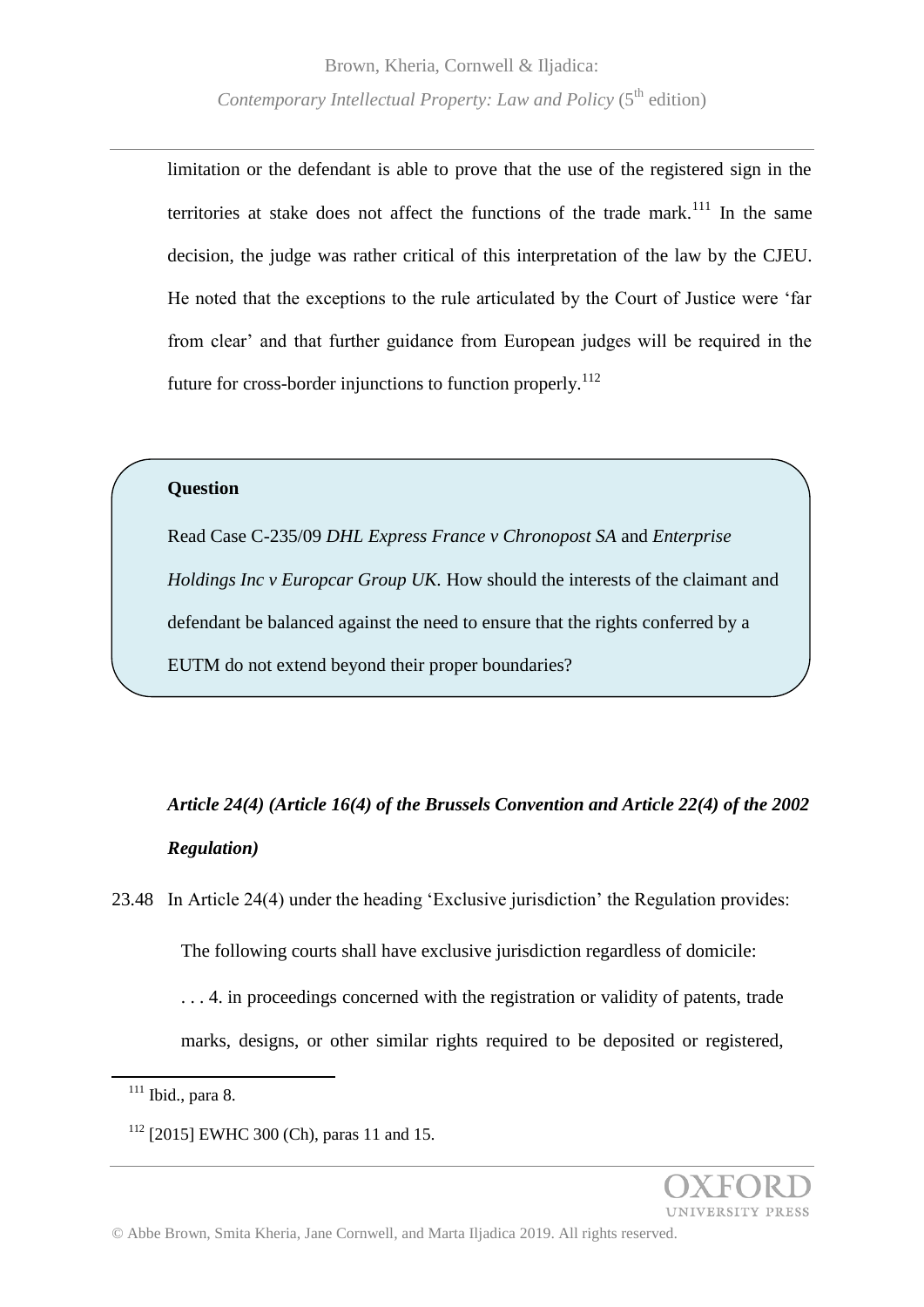limitation or the defendant is able to prove that the use of the registered sign in the territories at stake does not affect the functions of the trade mark.<sup>111</sup> In the same decision, the judge was rather critical of this interpretation of the law by the CJEU. He noted that the exceptions to the rule articulated by the Court of Justice were 'far from clear' and that further guidance from European judges will be required in the future for cross-border injunctions to function properly.<sup>112</sup>

## **Question**

Read Case C-235/09 *DHL Express France v Chronopost SA* and *Enterprise Holdings Inc v Europcar Group UK.* How should the interests of the claimant and defendant be balanced against the need to ensure that the rights conferred by a EUTM do not extend beyond their proper boundaries?

*Article 24(4) (Article 16(4) of the Brussels Convention and Article 22(4) of the 2002 Regulation)*

23.48 In Article 24(4) under the heading 'Exclusive jurisdiction' the Regulation provides: The following courts shall have exclusive jurisdiction regardless of domicile: . . . 4. in proceedings concerned with the registration or validity of patents, trade marks, designs, or other similar rights required to be deposited or registered,

 $\overline{a}$ 

 $111$  Ibid., para 8.

<sup>112</sup> [2015] EWHC 300 (Ch), paras 11 and 15.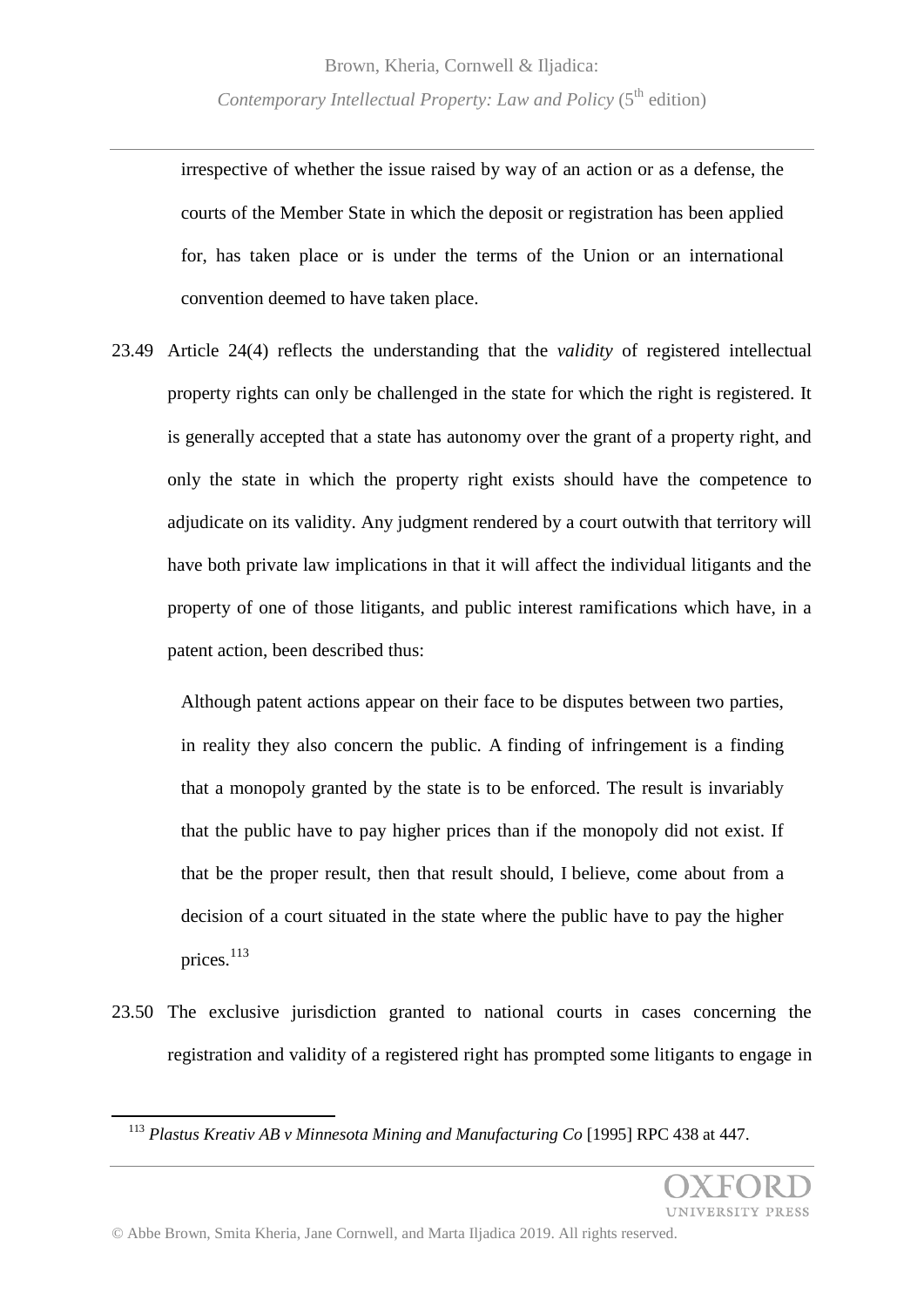irrespective of whether the issue raised by way of an action or as a defense, the courts of the Member State in which the deposit or registration has been applied for, has taken place or is under the terms of the Union or an international convention deemed to have taken place.

23.49 Article 24(4) reflects the understanding that the *validity* of registered intellectual property rights can only be challenged in the state for which the right is registered. It is generally accepted that a state has autonomy over the grant of a property right, and only the state in which the property right exists should have the competence to adjudicate on its validity. Any judgment rendered by a court outwith that territory will have both private law implications in that it will affect the individual litigants and the property of one of those litigants, and public interest ramifications which have, in a patent action, been described thus:

Although patent actions appear on their face to be disputes between two parties, in reality they also concern the public. A finding of infringement is a finding that a monopoly granted by the state is to be enforced. The result is invariably that the public have to pay higher prices than if the monopoly did not exist. If that be the proper result, then that result should, I believe, come about from a decision of a court situated in the state where the public have to pay the higher prices.<sup>113</sup>

23.50 The exclusive jurisdiction granted to national courts in cases concerning the registration and validity of a registered right has prompted some litigants to engage in

**.** 

<sup>113</sup> *Plastus Kreativ AB v Minnesota Mining and Manufacturing Co* [1995] RPC 438 at 447.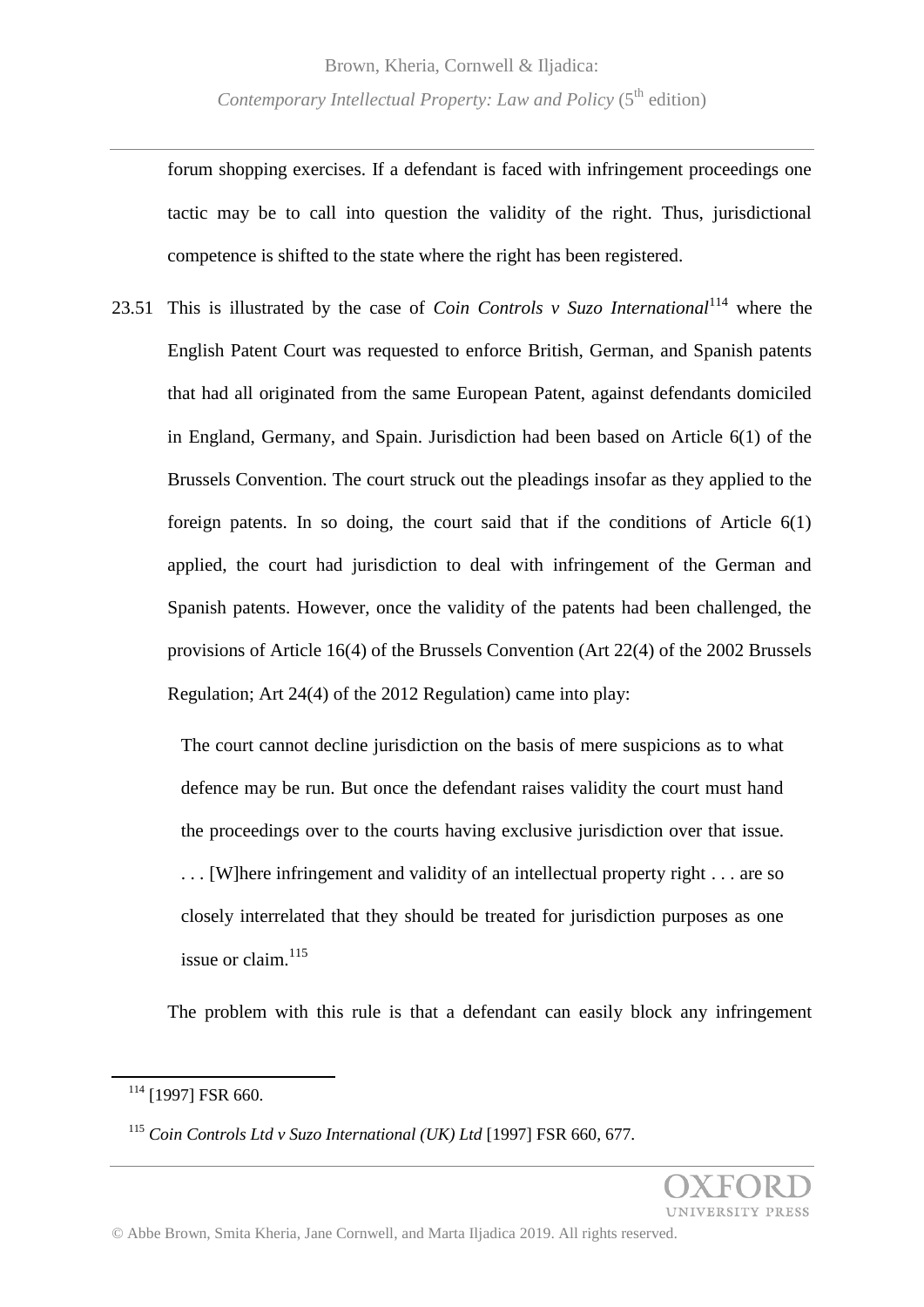forum shopping exercises. If a defendant is faced with infringement proceedings one tactic may be to call into question the validity of the right. Thus, jurisdictional competence is shifted to the state where the right has been registered.

23.51 This is illustrated by the case of *Coin Controls v Suzo International*<sup>114</sup> where the English Patent Court was requested to enforce British, German, and Spanish patents that had all originated from the same European Patent, against defendants domiciled in England, Germany, and Spain. Jurisdiction had been based on Article 6(1) of the Brussels Convention. The court struck out the pleadings insofar as they applied to the foreign patents. In so doing, the court said that if the conditions of Article  $6(1)$ applied, the court had jurisdiction to deal with infringement of the German and Spanish patents. However, once the validity of the patents had been challenged, the provisions of Article 16(4) of the Brussels Convention (Art 22(4) of the 2002 Brussels Regulation; Art 24(4) of the 2012 Regulation) came into play:

The court cannot decline jurisdiction on the basis of mere suspicions as to what defence may be run. But once the defendant raises validity the court must hand the proceedings over to the courts having exclusive jurisdiction over that issue. . . . [W]here infringement and validity of an intellectual property right . . . are so closely interrelated that they should be treated for jurisdiction purposes as one issue or claim.<sup>115</sup>

The problem with this rule is that a defendant can easily block any infringement

 $\overline{a}$ 

<sup>114</sup> [1997] FSR 660.

<sup>115</sup> *Coin Controls Ltd v Suzo International (UK) Ltd* [1997] FSR 660, 677.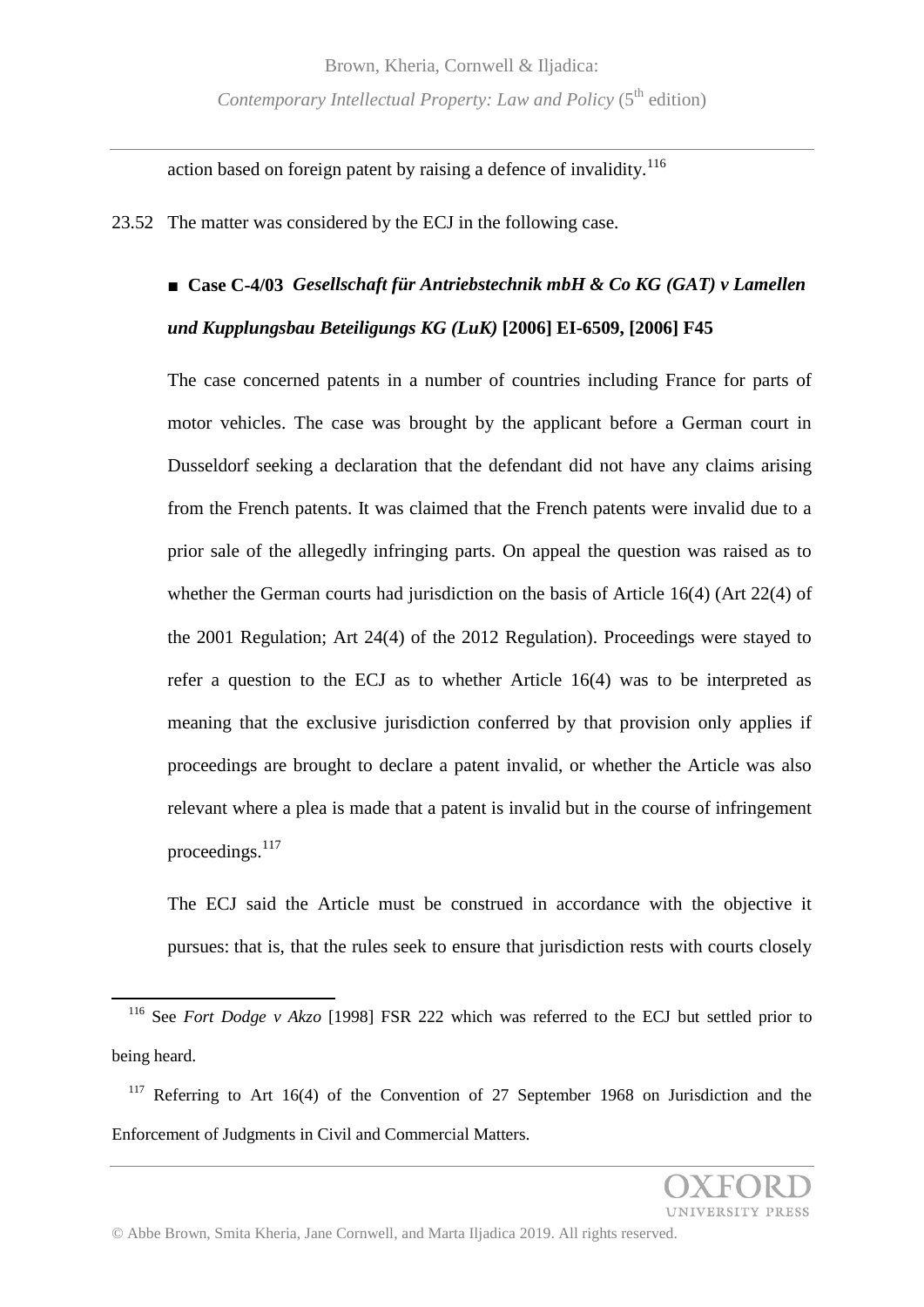action based on foreign patent by raising a defence of invalidity.<sup>116</sup>

23.52 The matter was considered by the ECJ in the following case.

# **■ Case C-4/03** *Gesellschaft für Antriebstechnik mbH & Co KG (GAT) v Lamellen und Kupplungsbau Beteiligungs KG (LuK)* **[2006] EI-6509, [2006] F45**

The case concerned patents in a number of countries including France for parts of motor vehicles. The case was brought by the applicant before a German court in Dusseldorf seeking a declaration that the defendant did not have any claims arising from the French patents. It was claimed that the French patents were invalid due to a prior sale of the allegedly infringing parts. On appeal the question was raised as to whether the German courts had jurisdiction on the basis of Article 16(4) (Art 22(4) of the 2001 Regulation; Art 24(4) of the 2012 Regulation). Proceedings were stayed to refer a question to the ECJ as to whether Article 16(4) was to be interpreted as meaning that the exclusive jurisdiction conferred by that provision only applies if proceedings are brought to declare a patent invalid, or whether the Article was also relevant where a plea is made that a patent is invalid but in the course of infringement proceedings. $^{117}$ 

The ECJ said the Article must be construed in accordance with the objective it pursues: that is, that the rules seek to ensure that jurisdiction rests with courts closely

<sup>117</sup> Referring to Art 16(4) of the Convention of 27 September 1968 on Jurisdiction and the Enforcement of Judgments in Civil and Commercial Matters.

**.** 

<sup>116</sup> See *Fort Dodge v Akzo* [1998] FSR 222 which was referred to the ECJ but settled prior to being heard.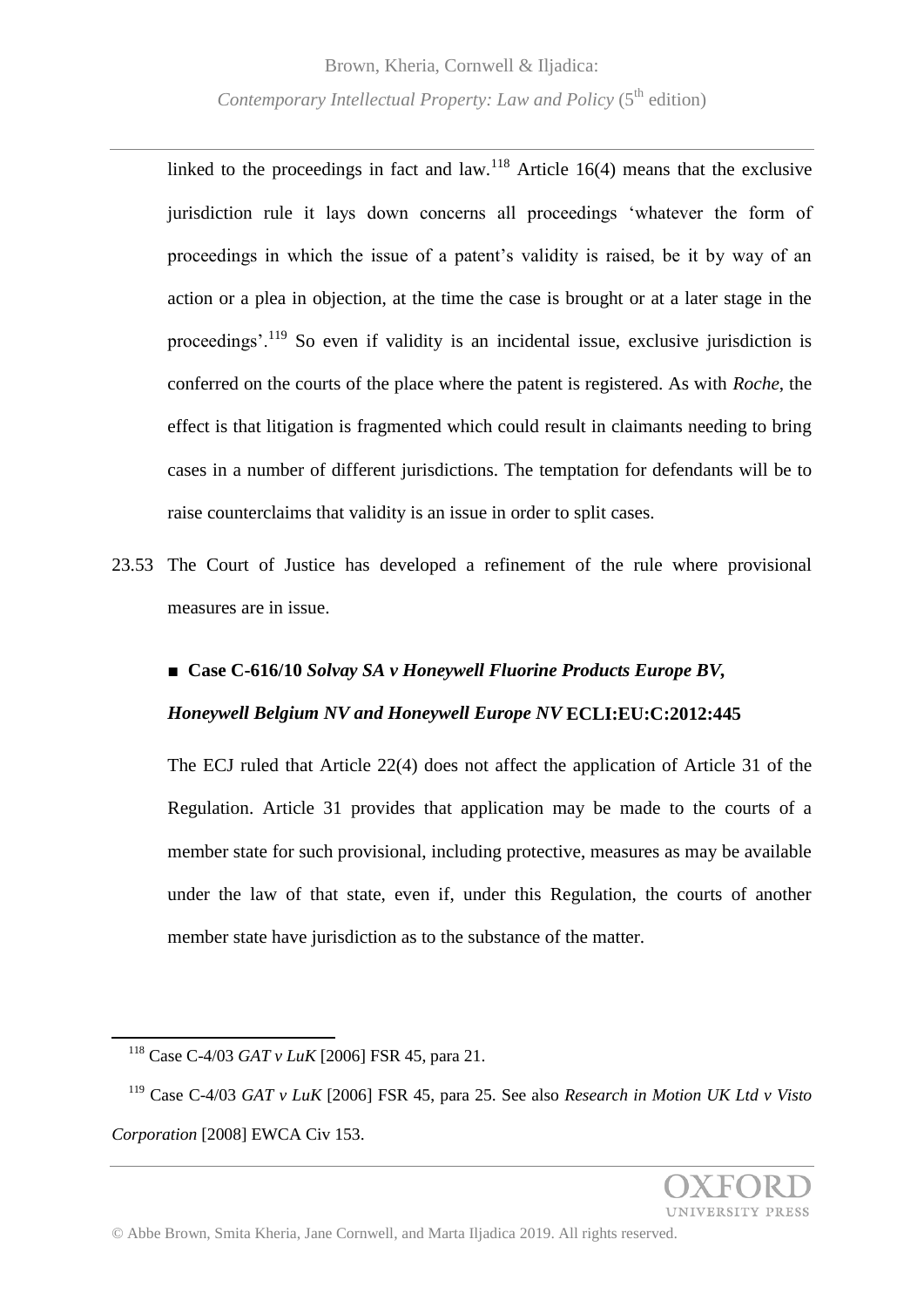linked to the proceedings in fact and law.<sup>118</sup> Article 16(4) means that the exclusive jurisdiction rule it lays down concerns all proceedings 'whatever the form of proceedings in which the issue of a patent's validity is raised, be it by way of an action or a plea in objection, at the time the case is brought or at a later stage in the proceedings'.<sup>119</sup> So even if validity is an incidental issue, exclusive jurisdiction is conferred on the courts of the place where the patent is registered. As with *Roche*, the effect is that litigation is fragmented which could result in claimants needing to bring cases in a number of different jurisdictions. The temptation for defendants will be to raise counterclaims that validity is an issue in order to split cases.

23.53 The Court of Justice has developed a refinement of the rule where provisional measures are in issue.

# ■ **Case C-616/10** *Solvay SA v Honeywell Fluorine Products Europe BV***,** *Honeywell Belgium NV and Honeywell Europe NV* **ECLI:EU:C:2012:445**

The ECJ ruled that Article 22(4) does not affect the application of Article 31 of the Regulation. Article 31 provides that application may be made to the courts of a member state for such provisional, including protective, measures as may be available under the law of that state, even if, under this Regulation, the courts of another member state have jurisdiction as to the substance of the matter.

1

<sup>118</sup> Case C-4/03 *GAT v LuK* [2006] FSR 45, para 21.

<sup>119</sup> Case C-4/03 *GAT v LuK* [2006] FSR 45, para 25. See also *Research in Motion UK Ltd v Visto Corporation* [2008] EWCA Civ 153.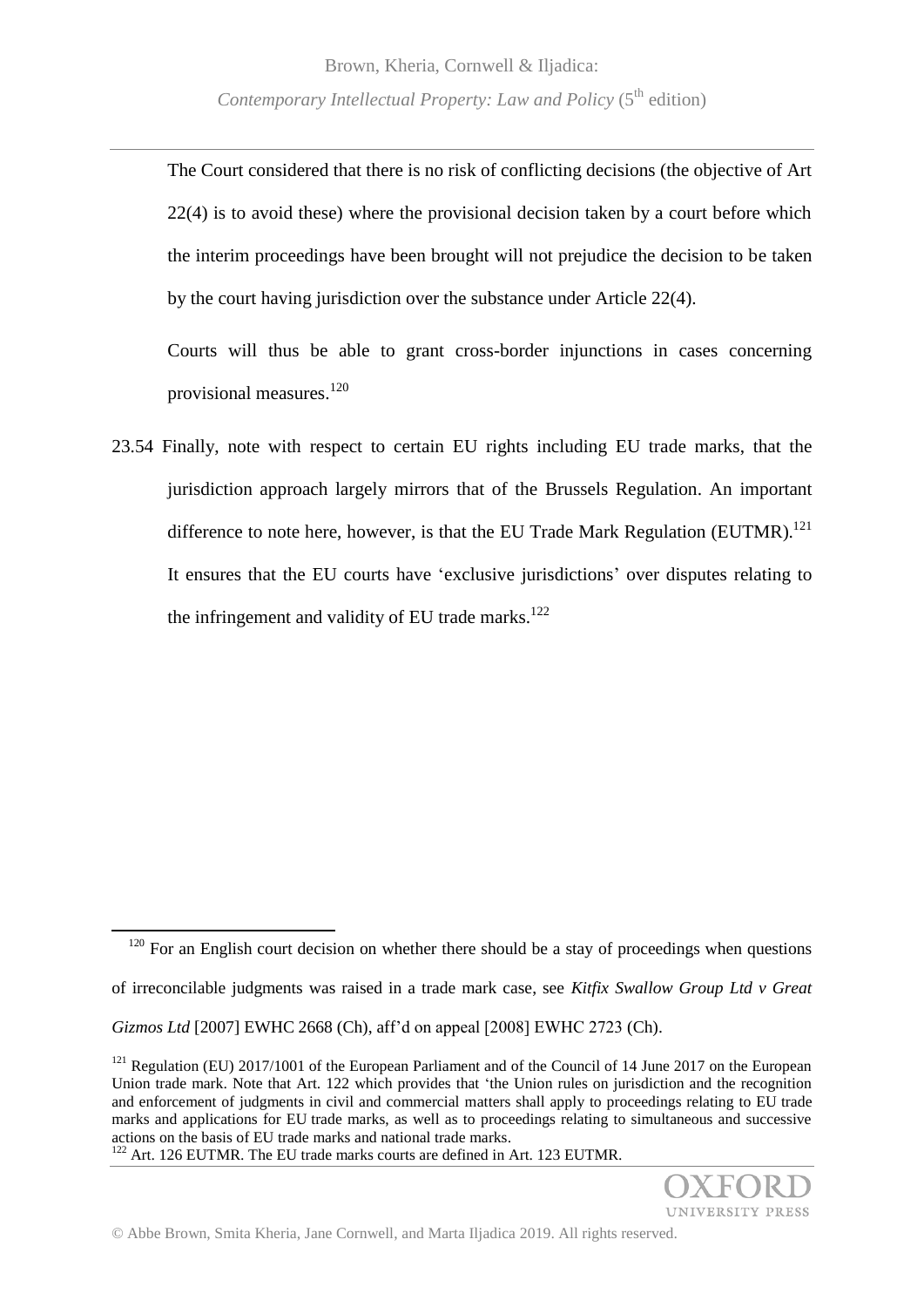The Court considered that there is no risk of conflicting decisions (the objective of Art 22(4) is to avoid these) where the provisional decision taken by a court before which the interim proceedings have been brought will not prejudice the decision to be taken by the court having jurisdiction over the substance under Article 22(4).

Courts will thus be able to grant cross-border injunctions in cases concerning provisional measures.<sup>120</sup>

23.54 Finally, note with respect to certain EU rights including EU trade marks, that the jurisdiction approach largely mirrors that of the Brussels Regulation. An important difference to note here, however, is that the EU Trade Mark Regulation (EUTMR).<sup>121</sup> It ensures that the EU courts have 'exclusive jurisdictions' over disputes relating to the infringement and validity of EU trade marks.<sup>122</sup>

of irreconcilable judgments was raised in a trade mark case, see *Kitfix Swallow Group Ltd v Great Gizmos Ltd* [2007] EWHC 2668 (Ch), aff'd on appeal [2008] EWHC 2723 (Ch).

 $122$  Art. 126 EUTMR. The EU trade marks courts are defined in Art. 123 EUTMR.

1



 $120$  For an English court decision on whether there should be a stay of proceedings when questions

 $121$  Regulation (EU) 2017/1001 of the European Parliament and of the Council of 14 June 2017 on the European Union trade mark. Note that Art. 122 which provides that 'the Union rules on jurisdiction and the recognition and enforcement of judgments in civil and commercial matters shall apply to proceedings relating to EU trade marks and applications for EU trade marks, as well as to proceedings relating to simultaneous and successive actions on the basis of EU trade marks and national trade marks.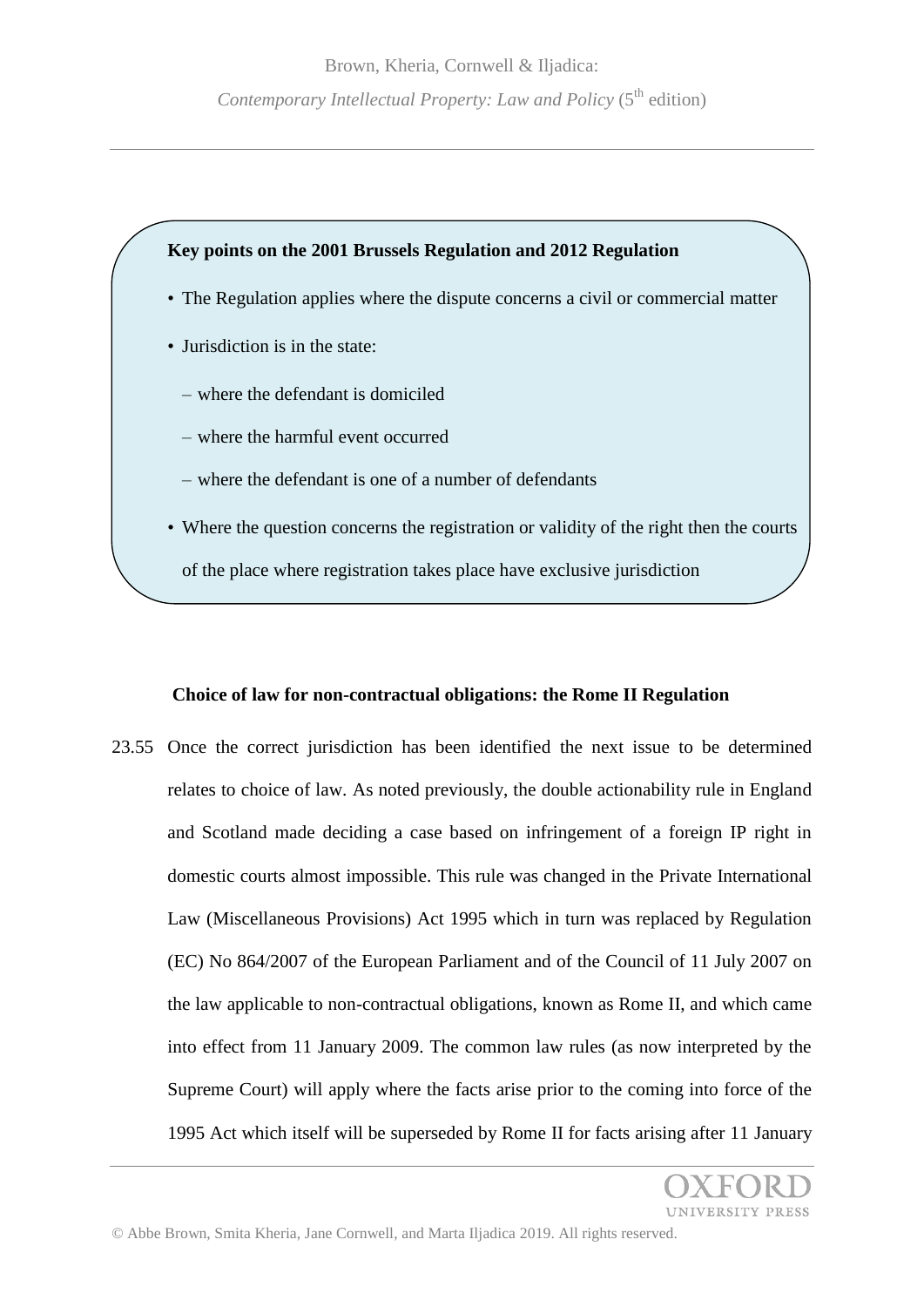

## **Choice of law for non-contractual obligations: the Rome II Regulation**

23.55 Once the correct jurisdiction has been identified the next issue to be determined relates to choice of law. As noted previously, the double actionability rule in England and Scotland made deciding a case based on infringement of a foreign IP right in domestic courts almost impossible. This rule was changed in the Private International Law (Miscellaneous Provisions) Act 1995 which in turn was replaced by Regulation (EC) No 864/2007 of the European Parliament and of the Council of 11 July 2007 on the law applicable to non-contractual obligations, known as Rome II, and which came into effect from 11 January 2009. The common law rules (as now interpreted by the Supreme Court) will apply where the facts arise prior to the coming into force of the 1995 Act which itself will be superseded by Rome II for facts arising after 11 January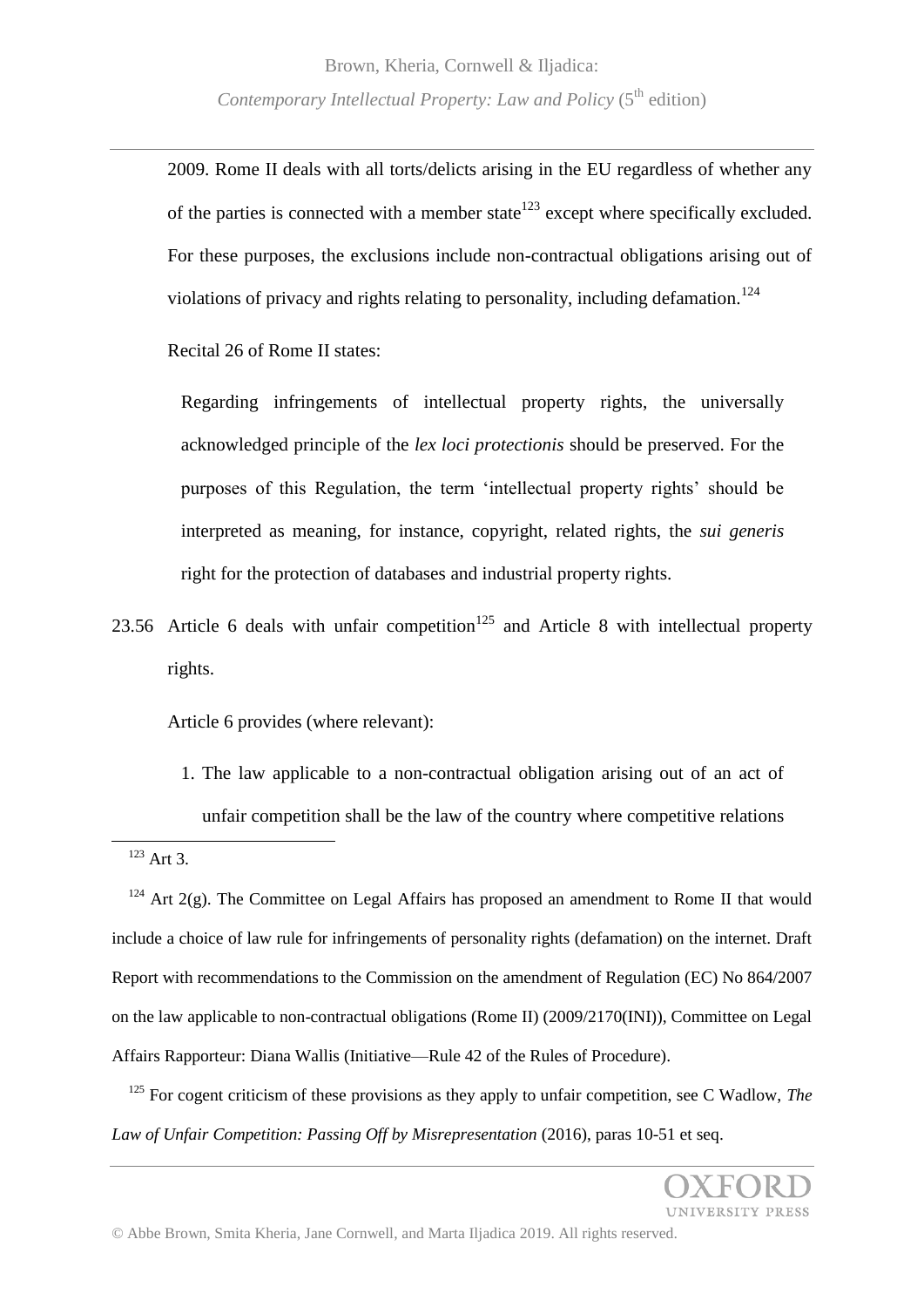2009. Rome II deals with all torts/delicts arising in the EU regardless of whether any of the parties is connected with a member state<sup>123</sup> except where specifically excluded. For these purposes, the exclusions include non-contractual obligations arising out of violations of privacy and rights relating to personality, including defamation.<sup>124</sup>

Recital 26 of Rome II states:

Regarding infringements of intellectual property rights, the universally acknowledged principle of the *lex loci protectionis* should be preserved. For the purposes of this Regulation, the term 'intellectual property rights' should be interpreted as meaning, for instance, copyright, related rights, the *sui generis* right for the protection of databases and industrial property rights.

23.56 Article 6 deals with unfair competition<sup>125</sup> and Article 8 with intellectual property rights.

Article 6 provides (where relevant):

1. The law applicable to a non-contractual obligation arising out of an act of unfair competition shall be the law of the country where competitive relations

 $123$  Art 3.

 $\overline{a}$ 

<sup>124</sup> Art  $2(g)$ . The Committee on Legal Affairs has proposed an amendment to Rome II that would include a choice of law rule for infringements of personality rights (defamation) on the internet. Draft Report with recommendations to the Commission on the amendment of Regulation (EC) No 864/2007 on the law applicable to non-contractual obligations (Rome II) (2009/2170(INI)), Committee on Legal Affairs Rapporteur: Diana Wallis (Initiative—Rule 42 of the Rules of Procedure).

<sup>125</sup> For cogent criticism of these provisions as they apply to unfair competition, see C Wadlow, *The Law of Unfair Competition: Passing Off by Misrepresentation* (2016), paras 10-51 et seq.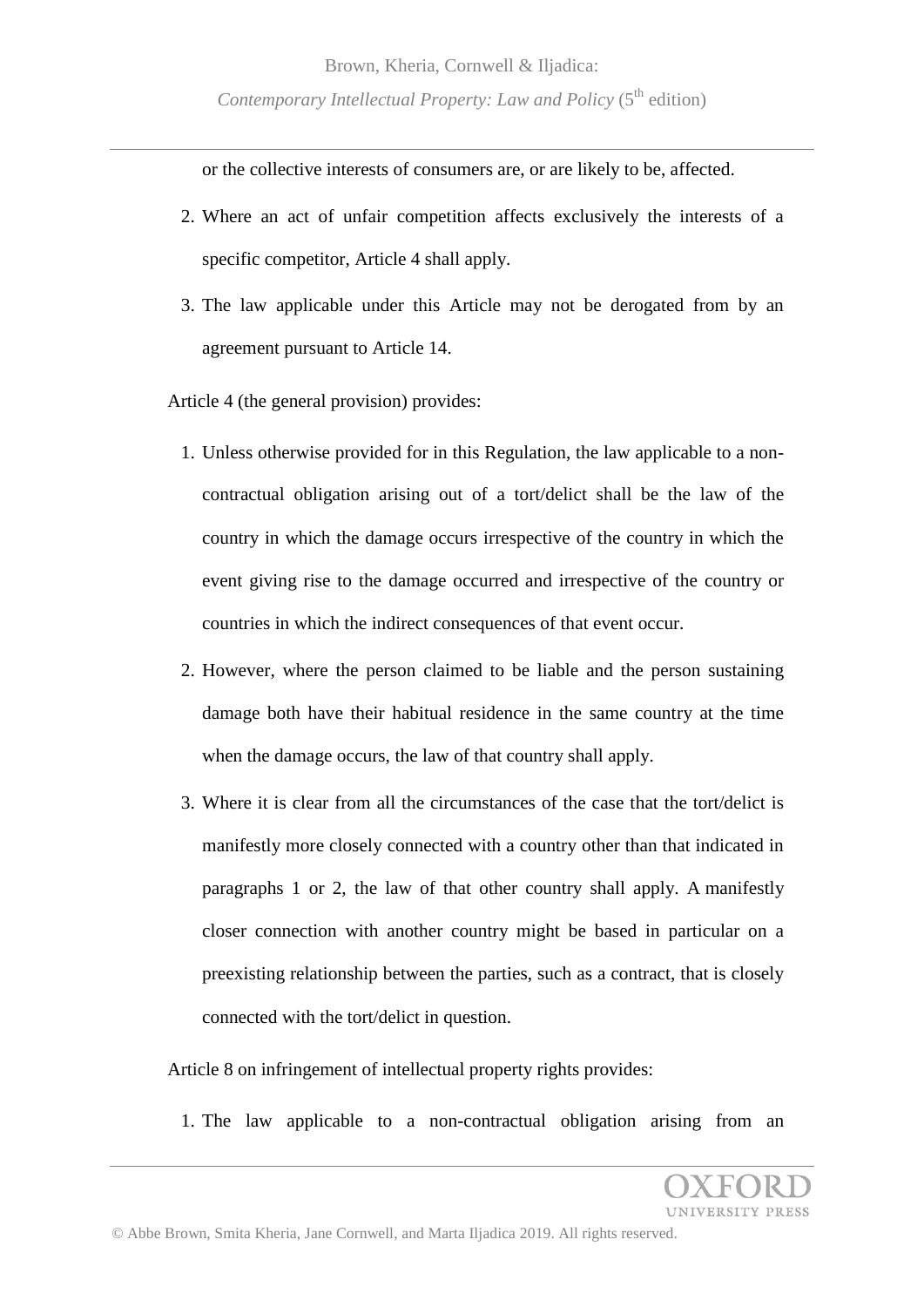or the collective interests of consumers are, or are likely to be, affected.

- 2. Where an act of unfair competition affects exclusively the interests of a specific competitor, Article 4 shall apply.
- 3. The law applicable under this Article may not be derogated from by an agreement pursuant to Article 14.

Article 4 (the general provision) provides:

- 1. Unless otherwise provided for in this Regulation, the law applicable to a noncontractual obligation arising out of a tort/delict shall be the law of the country in which the damage occurs irrespective of the country in which the event giving rise to the damage occurred and irrespective of the country or countries in which the indirect consequences of that event occur.
- 2. However, where the person claimed to be liable and the person sustaining damage both have their habitual residence in the same country at the time when the damage occurs, the law of that country shall apply.
- 3. Where it is clear from all the circumstances of the case that the tort/delict is manifestly more closely connected with a country other than that indicated in paragraphs 1 or 2, the law of that other country shall apply. A manifestly closer connection with another country might be based in particular on a preexisting relationship between the parties, such as a contract, that is closely connected with the tort/delict in question.

Article 8 on infringement of intellectual property rights provides:

1. The law applicable to a non-contractual obligation arising from an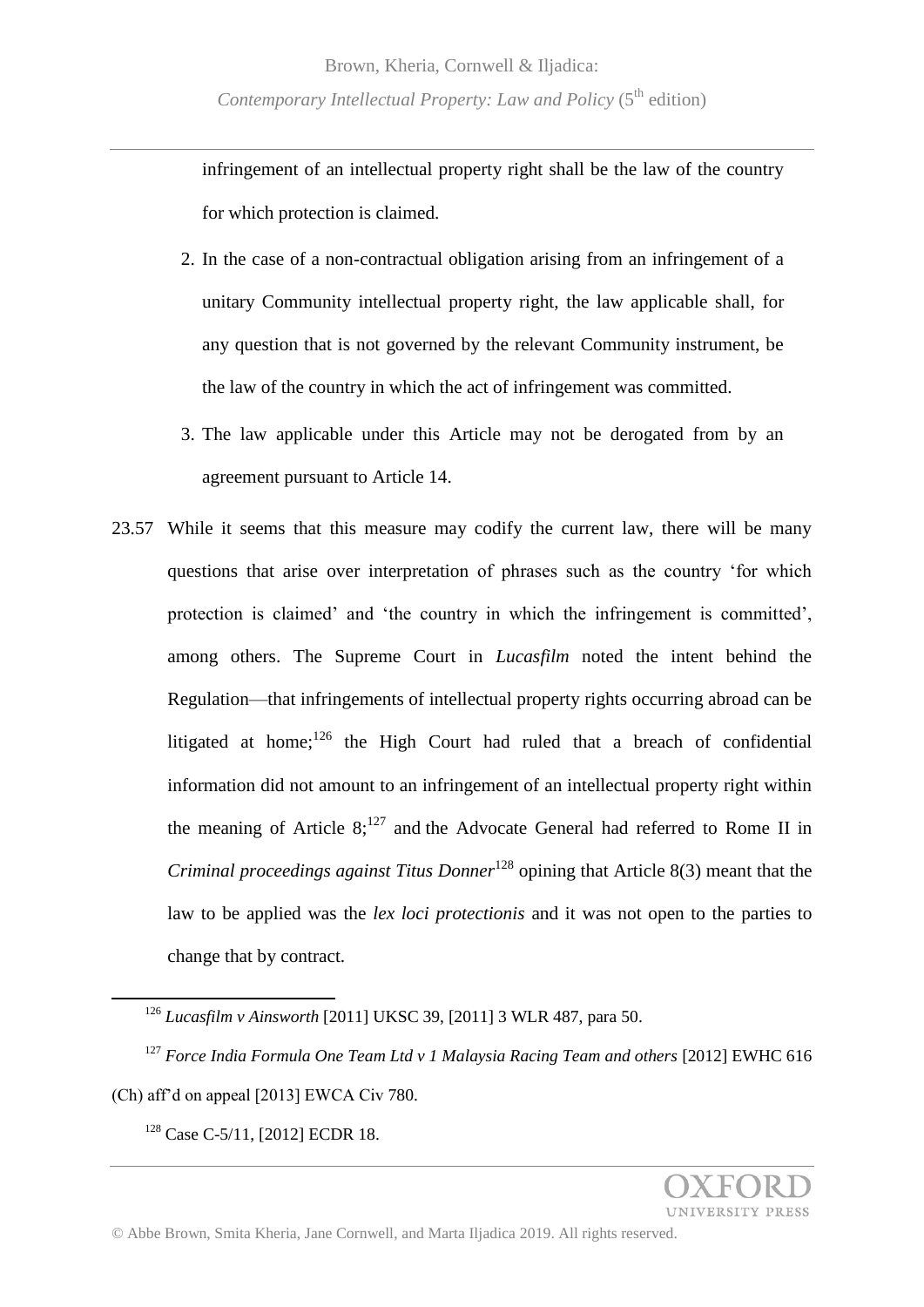infringement of an intellectual property right shall be the law of the country for which protection is claimed.

- 2. In the case of a non-contractual obligation arising from an infringement of a unitary Community intellectual property right, the law applicable shall, for any question that is not governed by the relevant Community instrument, be the law of the country in which the act of infringement was committed.
- 3. The law applicable under this Article may not be derogated from by an agreement pursuant to Article 14.
- 23.57 While it seems that this measure may codify the current law, there will be many questions that arise over interpretation of phrases such as the country 'for which protection is claimed' and 'the country in which the infringement is committed', among others. The Supreme Court in *Lucasfilm* noted the intent behind the Regulation—that infringements of intellectual property rights occurring abroad can be litigated at home; $126$  the High Court had ruled that a breach of confidential information did not amount to an infringement of an intellectual property right within the meaning of Article  $8$ ;<sup>127</sup> and the Advocate General had referred to Rome II in *Criminal proceedings against Titus Donner*<sup>128</sup> opining that Article 8(3) meant that the law to be applied was the *lex loci protectionis* and it was not open to the parties to change that by contract.

**.** 

<sup>126</sup> *Lucasfilm v Ainsworth* [2011] UKSC 39, [2011] 3 WLR 487, para 50.

<sup>127</sup> *Force India Formula One Team Ltd v 1 Malaysia Racing Team and others* [2012] EWHC 616 (Ch) aff'd on appeal [2013] EWCA Civ 780.

<sup>128</sup> Case C-5/11, [2012] ECDR 18.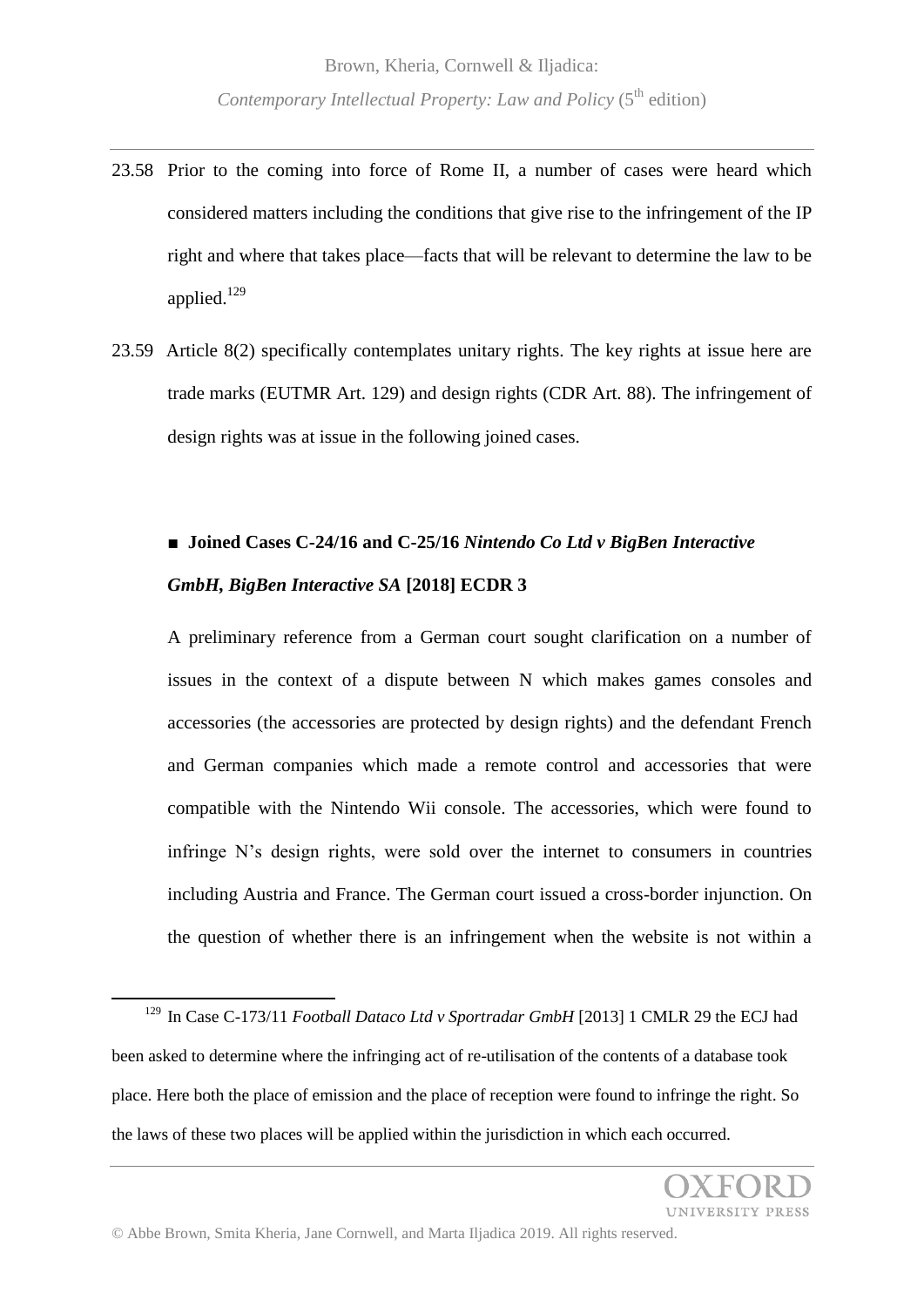- 23.58 Prior to the coming into force of Rome II, a number of cases were heard which considered matters including the conditions that give rise to the infringement of the IP right and where that takes place—facts that will be relevant to determine the law to be applied.<sup>129</sup>
- 23.59 Article 8(2) specifically contemplates unitary rights. The key rights at issue here are trade marks (EUTMR Art. 129) and design rights (CDR Art. 88). The infringement of design rights was at issue in the following joined cases.

# **■ Joined Cases C-24/16 and C-25/16** *Nintendo Co Ltd v BigBen Interactive GmbH, BigBen Interactive SA* **[2018] ECDR 3**

A preliminary reference from a German court sought clarification on a number of issues in the context of a dispute between N which makes games consoles and accessories (the accessories are protected by design rights) and the defendant French and German companies which made a remote control and accessories that were compatible with the Nintendo Wii console. The accessories, which were found to infringe N's design rights, were sold over the internet to consumers in countries including Austria and France. The German court issued a cross-border injunction. On the question of whether there is an infringement when the website is not within a

**.** 

<sup>&</sup>lt;sup>129</sup> In Case C-173/11 *Football Dataco Ltd v Sportradar GmbH* [2013] 1 CMLR 29 the ECJ had been asked to determine where the infringing act of re-utilisation of the contents of a database took place. Here both the place of emission and the place of reception were found to infringe the right. So the laws of these two places will be applied within the jurisdiction in which each occurred.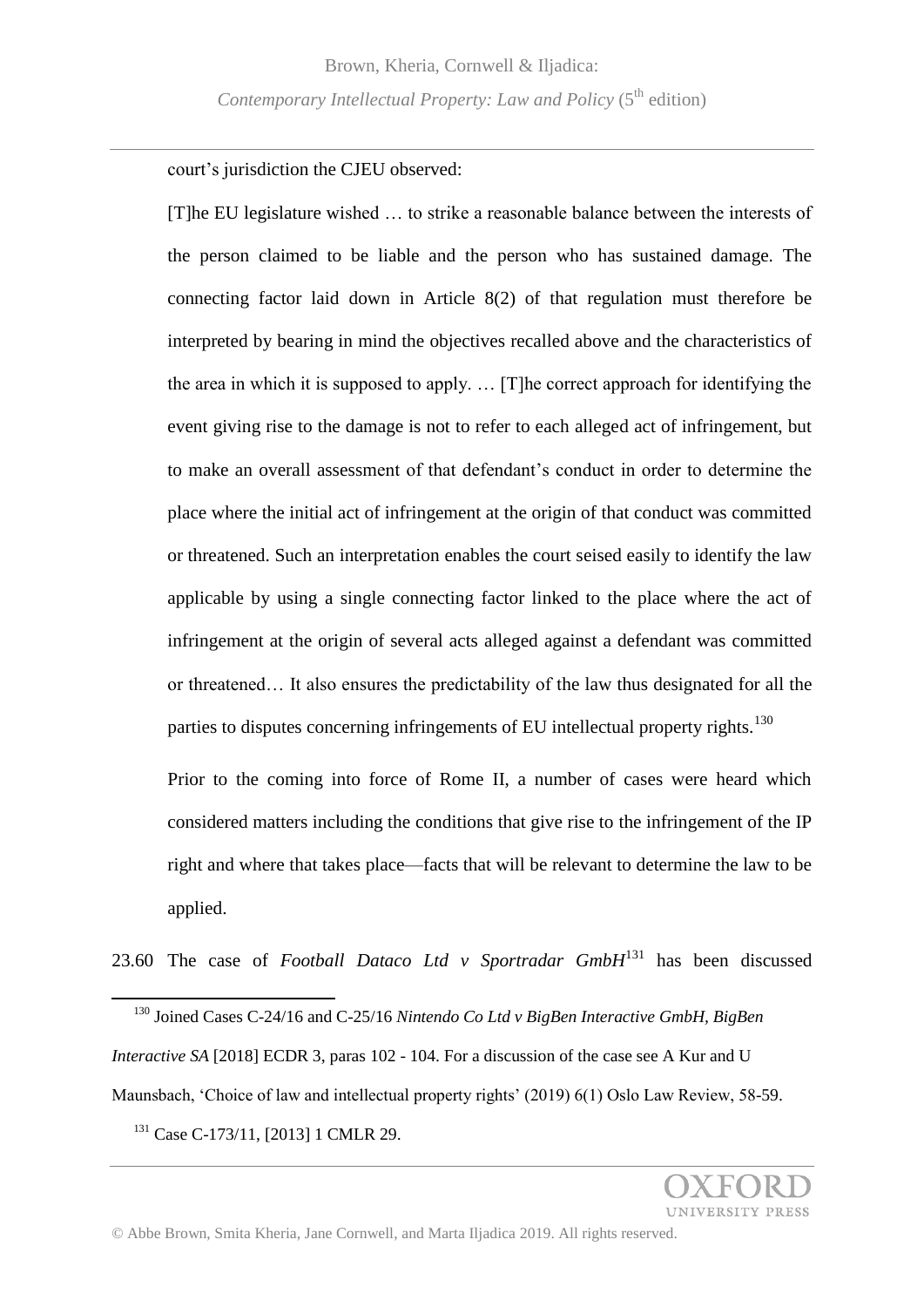court's jurisdiction the CJEU observed:

[T]he EU legislature wished … to strike a reasonable balance between the interests of the person claimed to be liable and the person who has sustained damage. The connecting factor laid down in Article 8(2) of that regulation must therefore be interpreted by bearing in mind the objectives recalled above and the characteristics of the area in which it is supposed to apply. … [T]he correct approach for identifying the event giving rise to the damage is not to refer to each alleged act of infringement, but to make an overall assessment of that defendant's conduct in order to determine the place where the initial act of infringement at the origin of that conduct was committed or threatened. Such an interpretation enables the court seised easily to identify the law applicable by using a single connecting factor linked to the place where the act of infringement at the origin of several acts alleged against a defendant was committed or threatened… It also ensures the predictability of the law thus designated for all the parties to disputes concerning infringements of EU intellectual property rights.<sup>130</sup>

Prior to the coming into force of Rome II, a number of cases were heard which considered matters including the conditions that give rise to the infringement of the IP right and where that takes place—facts that will be relevant to determine the law to be applied.

23.60 The case of *Football Dataco Ltd v Sportradar GmbH*<sup>131</sup> has been discussed

**.** <sup>130</sup> Joined Cases C-24/16 and C-25/16 *Nintendo Co Ltd v BigBen Interactive GmbH, BigBen Interactive SA* [2018] ECDR 3, paras 102 - 104. For a discussion of the case see A Kur and U Maunsbach, 'Choice of law and intellectual property rights' (2019) 6(1) Oslo Law Review, 58-59.

<sup>131</sup> Case C-173/11, [2013] 1 CMLR 29.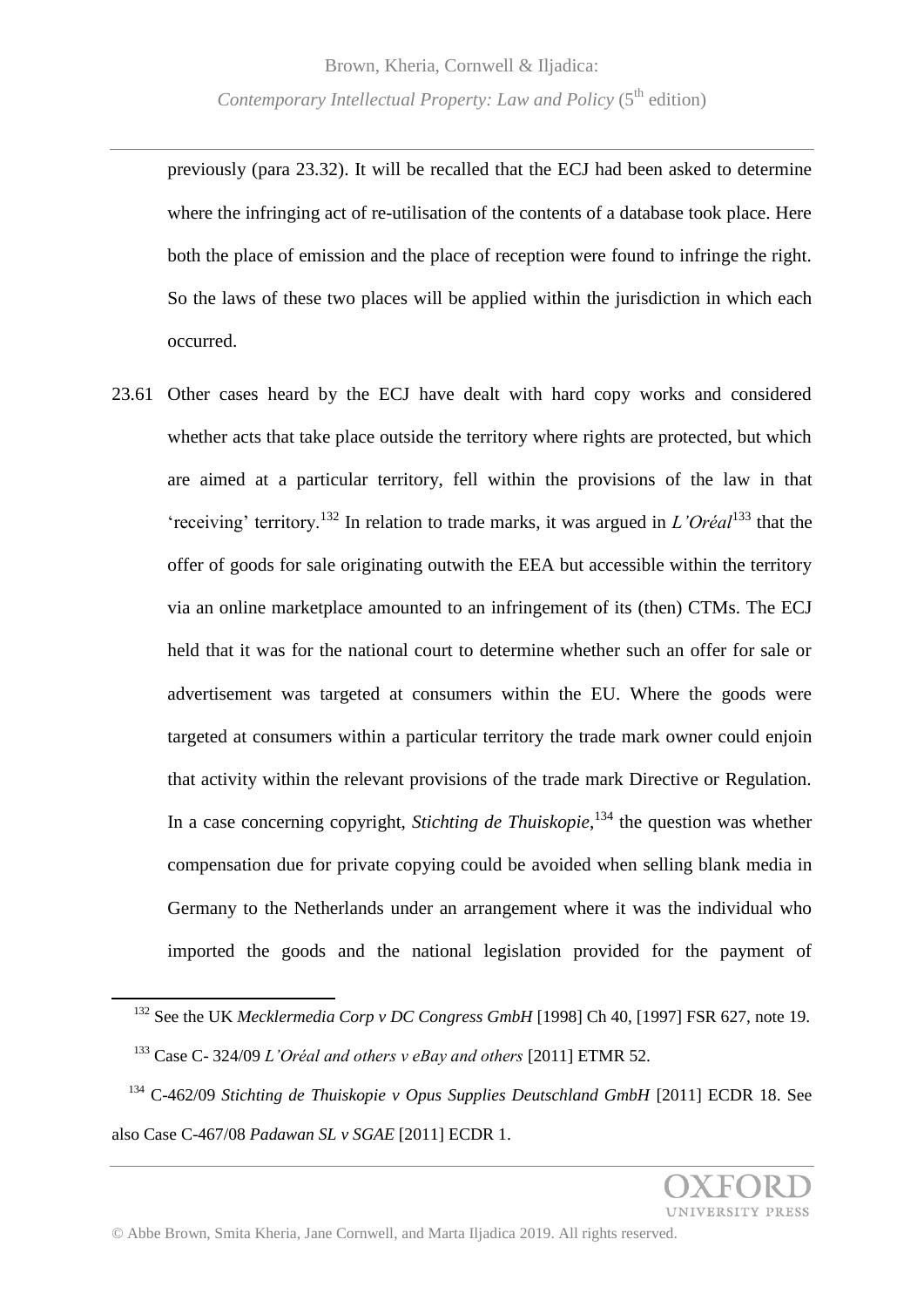previously (para 23.32). It will be recalled that the ECJ had been asked to determine where the infringing act of re-utilisation of the contents of a database took place. Here both the place of emission and the place of reception were found to infringe the right. So the laws of these two places will be applied within the jurisdiction in which each occurred.

23.61 Other cases heard by the ECJ have dealt with hard copy works and considered whether acts that take place outside the territory where rights are protected, but which are aimed at a particular territory, fell within the provisions of the law in that 'receiving' territory.<sup>132</sup> In relation to trade marks, it was argued in *L'Oréal*<sup>133</sup> that the offer of goods for sale originating outwith the EEA but accessible within the territory via an online marketplace amounted to an infringement of its (then) CTMs. The ECJ held that it was for the national court to determine whether such an offer for sale or advertisement was targeted at consumers within the EU. Where the goods were targeted at consumers within a particular territory the trade mark owner could enjoin that activity within the relevant provisions of the trade mark Directive or Regulation. In a case concerning copyright, *Stichting de Thuiskopie*<sup>134</sup> the question was whether compensation due for private copying could be avoided when selling blank media in Germany to the Netherlands under an arrangement where it was the individual who imported the goods and the national legislation provided for the payment of

**.** 

<sup>132</sup> See the UK *Mecklermedia Corp v DC Congress GmbH* [1998] Ch 40, [1997] FSR 627, note 19. <sup>133</sup> Case C- 324/09 *L'Oréal and others v eBay and others* [2011] ETMR 52.

<sup>134</sup> C-462/09 *Stichting de Thuiskopie v Opus Supplies Deutschland GmbH* [2011] ECDR 18. See also Case C-467/08 *Padawan SL v SGAE* [2011] ECDR 1.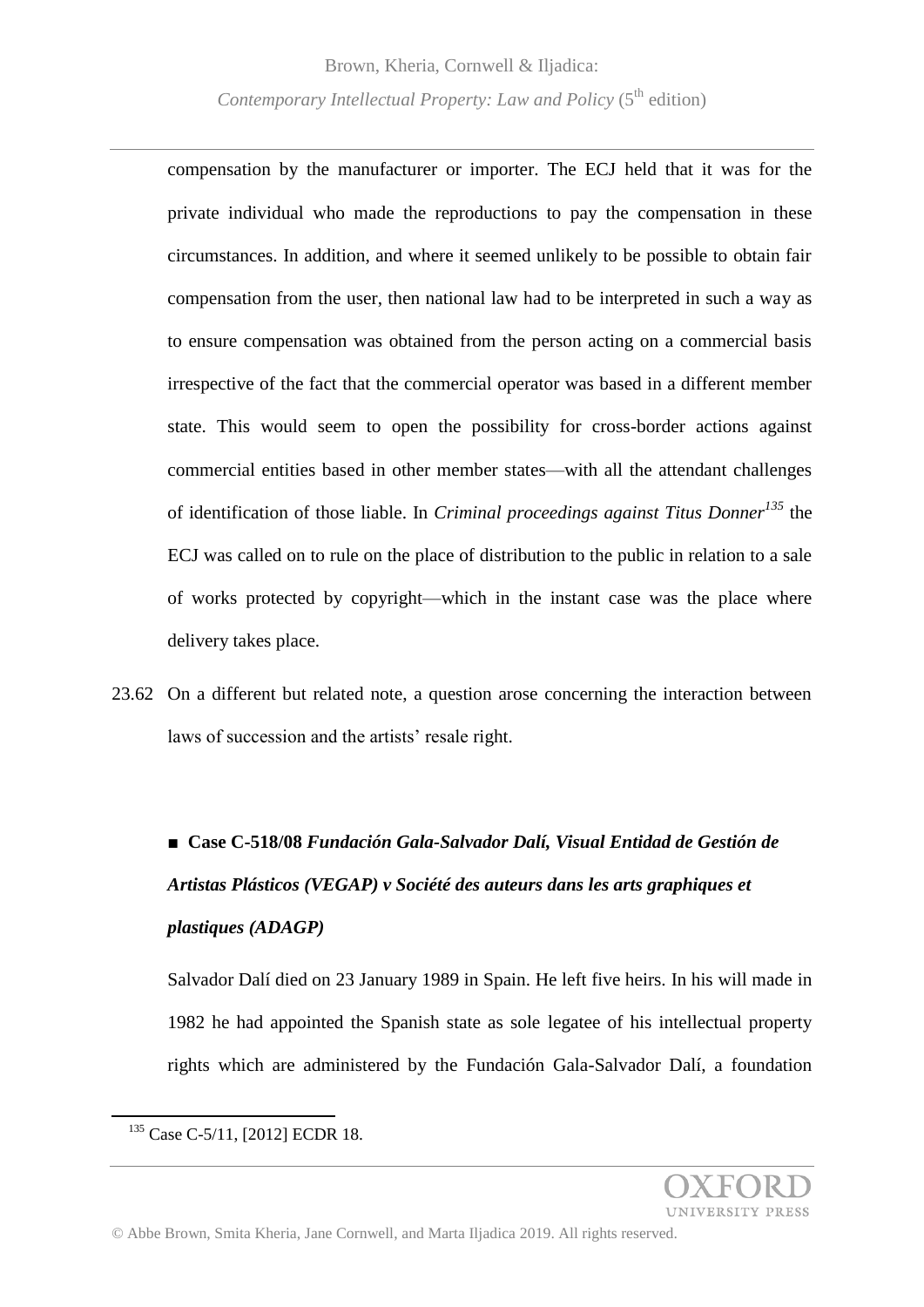compensation by the manufacturer or importer. The ECJ held that it was for the private individual who made the reproductions to pay the compensation in these circumstances. In addition, and where it seemed unlikely to be possible to obtain fair compensation from the user, then national law had to be interpreted in such a way as to ensure compensation was obtained from the person acting on a commercial basis irrespective of the fact that the commercial operator was based in a different member state. This would seem to open the possibility for cross-border actions against commercial entities based in other member states—with all the attendant challenges of identification of those liable. In *Criminal proceedings against Titus Donner<sup>135</sup>* the ECJ was called on to rule on the place of distribution to the public in relation to a sale of works protected by copyright—which in the instant case was the place where delivery takes place.

23.62 On a different but related note, a question arose concerning the interaction between laws of succession and the artists' resale right.

**■ Case C-518/08** *Fundación Gala-Salvador Dalí, Visual Entidad de Gestión de Artistas Plásticos (VEGAP) v Société des auteurs dans les arts graphiques et plastiques (ADAGP)*

Salvador Dalí died on 23 January 1989 in Spain. He left five heirs. In his will made in 1982 he had appointed the Spanish state as sole legatee of his intellectual property rights which are administered by the Fundación Gala-Salvador Dalí, a foundation

**.** 

<sup>135</sup> Case C-5/11, [2012] ECDR 18.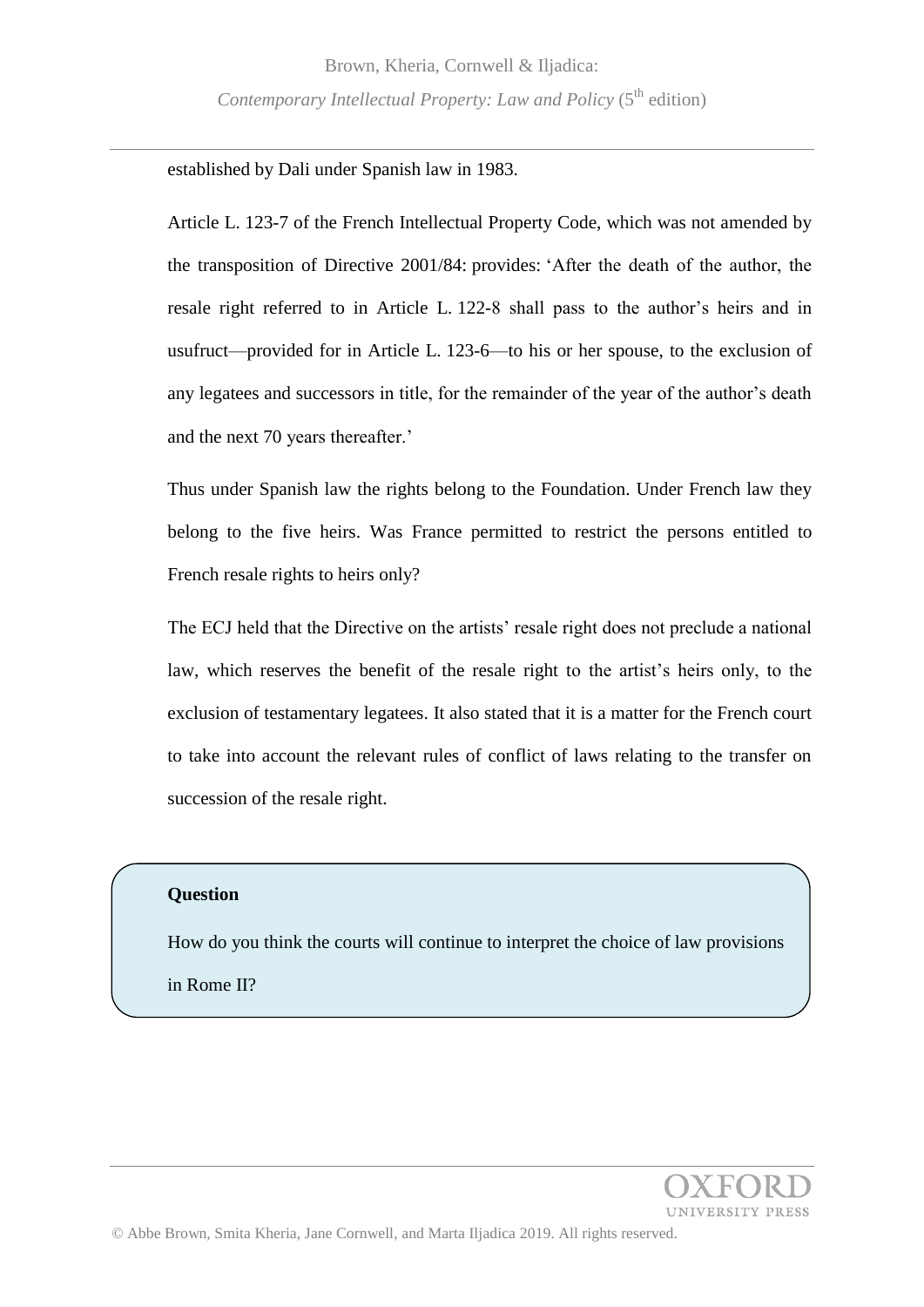established by Dali under Spanish law in 1983.

Article L. 123-7 of the French Intellectual Property Code, which was not amended by the transposition of Directive 2001/84: provides: 'After the death of the author, the resale right referred to in Article L. 122-8 shall pass to the author's heirs and in usufruct—provided for in Article L. 123-6—to his or her spouse, to the exclusion of any legatees and successors in title, for the remainder of the year of the author's death and the next 70 years thereafter.'

Thus under Spanish law the rights belong to the Foundation. Under French law they belong to the five heirs. Was France permitted to restrict the persons entitled to French resale rights to heirs only?

The ECJ held that the Directive on the artists' resale right does not preclude a national law, which reserves the benefit of the resale right to the artist's heirs only, to the exclusion of testamentary legatees. It also stated that it is a matter for the French court to take into account the relevant rules of conflict of laws relating to the transfer on succession of the resale right.

### **Question**

How do you think the courts will continue to interpret the choice of law provisions in Rome II?

ERSITY PRESS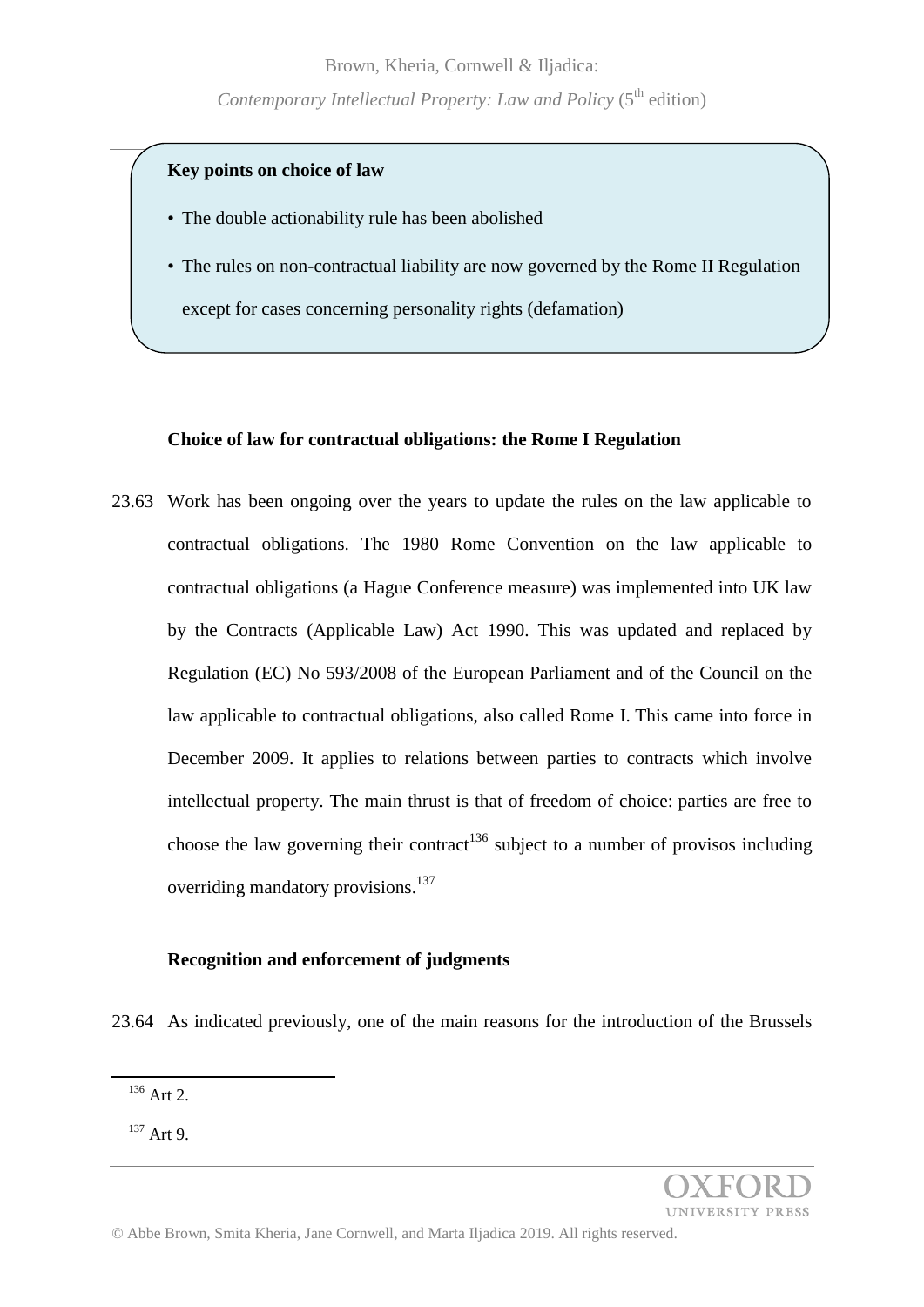## **Key points on choice of law**

- The double actionability rule has been abolished
- The rules on non-contractual liability are now governed by the Rome II Regulation

except for cases concerning personality rights (defamation)

## **Choice of law for contractual obligations: the Rome I Regulation**

23.63 Work has been ongoing over the years to update the rules on the law applicable to contractual obligations. The 1980 Rome Convention on the law applicable to contractual obligations (a Hague Conference measure) was implemented into UK law by the Contracts (Applicable Law) Act 1990. This was updated and replaced by Regulation (EC) No 593/2008 of the European Parliament and of the Council on the law applicable to contractual obligations, also called Rome I. This came into force in December 2009. It applies to relations between parties to contracts which involve intellectual property. The main thrust is that of freedom of choice: parties are free to choose the law governing their contract<sup>136</sup> subject to a number of provisos including overriding mandatory provisions.<sup>137</sup>

## **Recognition and enforcement of judgments**

23.64 As indicated previously, one of the main reasons for the introduction of the Brussels

 $\overline{a}$ 

<sup>137</sup> Art 9.

<sup>&</sup>lt;sup>136</sup> Art 2.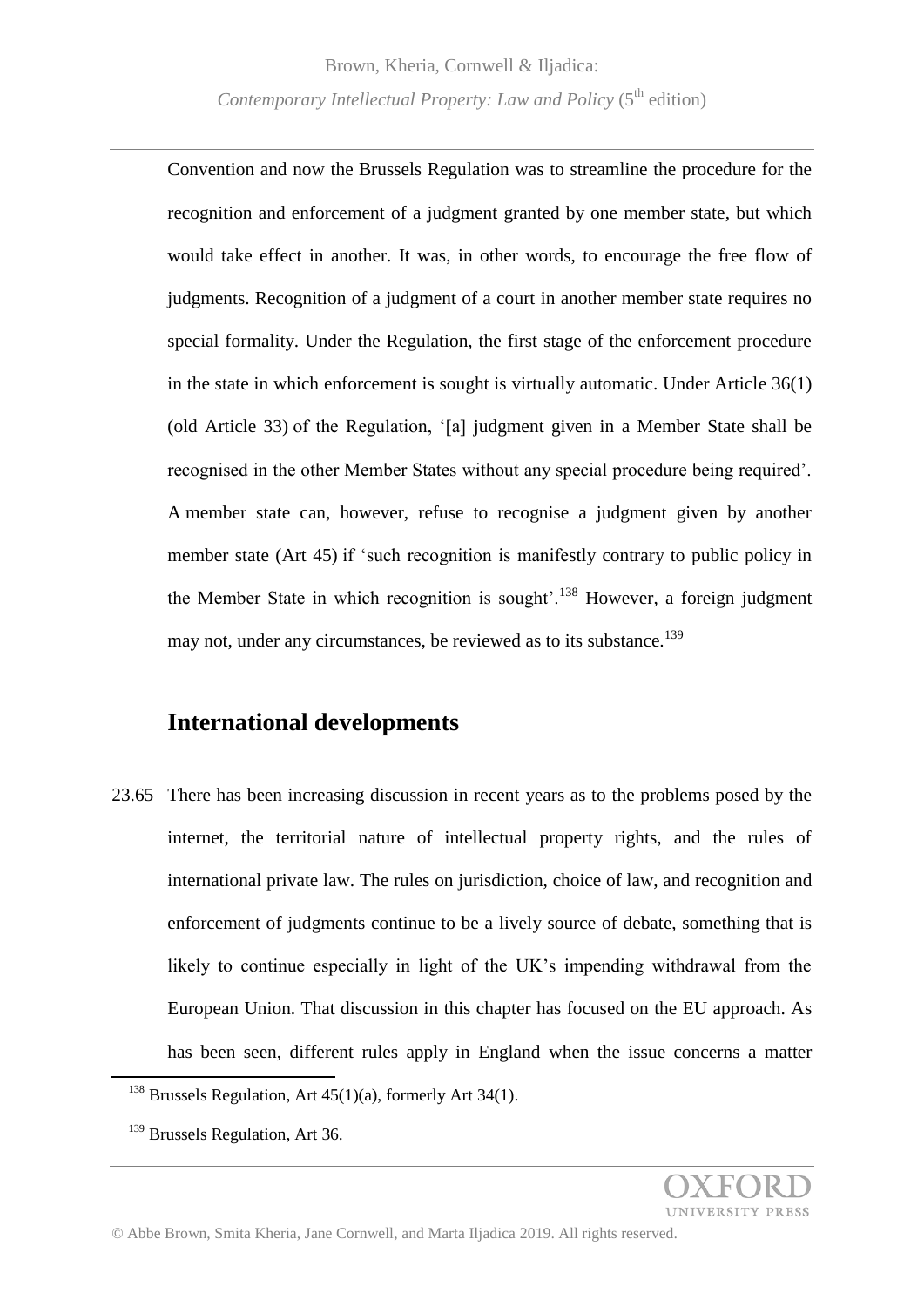Convention and now the Brussels Regulation was to streamline the procedure for the recognition and enforcement of a judgment granted by one member state, but which would take effect in another. It was, in other words, to encourage the free flow of judgments. Recognition of a judgment of a court in another member state requires no special formality. Under the Regulation, the first stage of the enforcement procedure in the state in which enforcement is sought is virtually automatic. Under Article 36(1) (old Article 33) of the Regulation, '[a] judgment given in a Member State shall be recognised in the other Member States without any special procedure being required'. A member state can, however, refuse to recognise a judgment given by another member state (Art 45) if 'such recognition is manifestly contrary to public policy in the Member State in which recognition is sought'.<sup>138</sup> However, a foreign judgment may not, under any circumstances, be reviewed as to its substance.<sup>139</sup>

## **International developments**

23.65 There has been increasing discussion in recent years as to the problems posed by the internet, the territorial nature of intellectual property rights, and the rules of international private law. The rules on jurisdiction, choice of law, and recognition and enforcement of judgments continue to be a lively source of debate, something that is likely to continue especially in light of the UK's impending withdrawal from the European Union. That discussion in this chapter has focused on the EU approach. As has been seen, different rules apply in England when the issue concerns a matter  $\overline{a}$ 

<sup>&</sup>lt;sup>138</sup> Brussels Regulation, Art  $45(1)(a)$ , formerly Art 34(1).

<sup>&</sup>lt;sup>139</sup> Brussels Regulation, Art 36.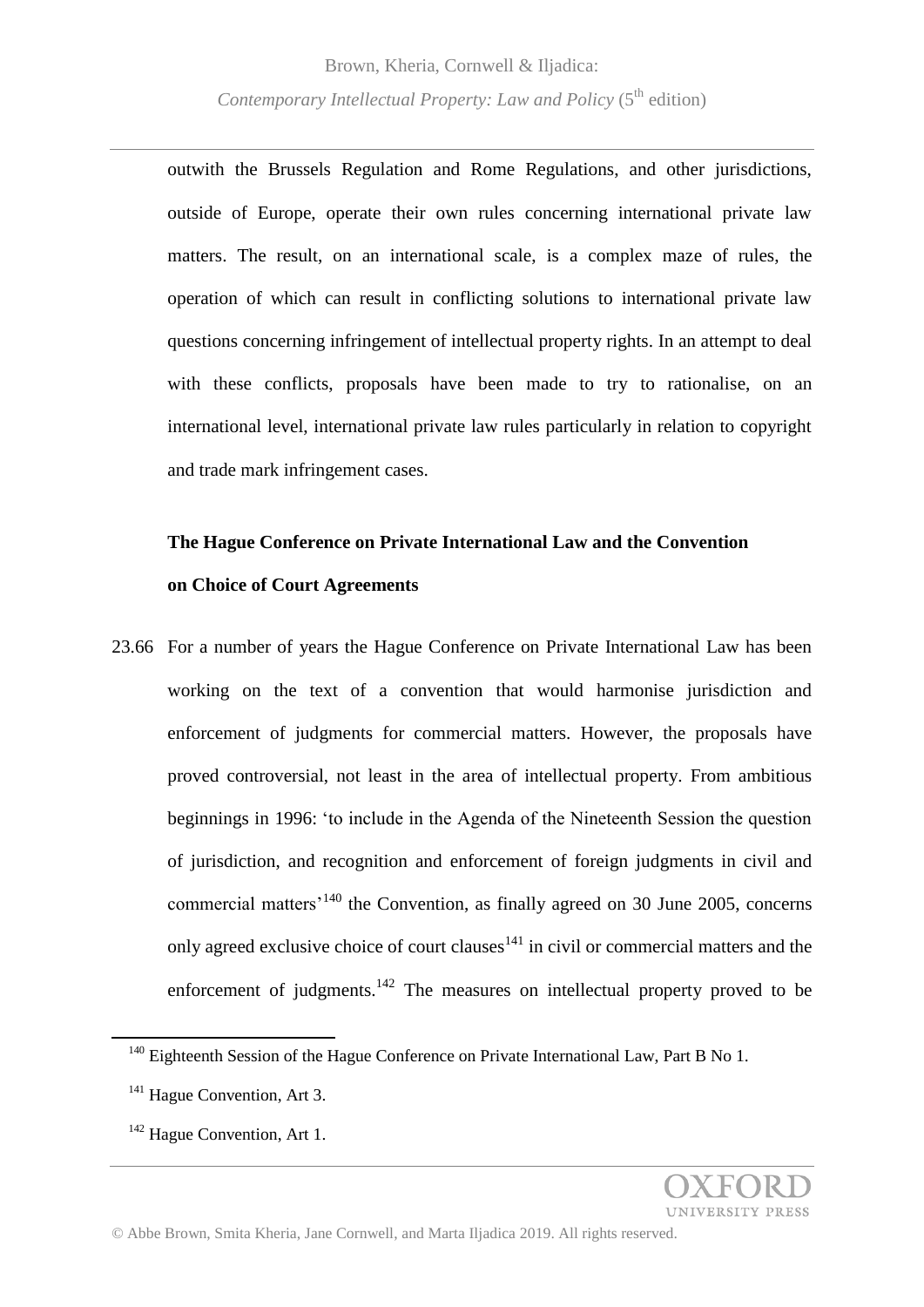outwith the Brussels Regulation and Rome Regulations, and other jurisdictions, outside of Europe, operate their own rules concerning international private law matters. The result, on an international scale, is a complex maze of rules, the operation of which can result in conflicting solutions to international private law questions concerning infringement of intellectual property rights. In an attempt to deal with these conflicts, proposals have been made to try to rationalise, on an international level, international private law rules particularly in relation to copyright and trade mark infringement cases.

## **The Hague Conference on Private International Law and the Convention**

## **on Choice of Court Agreements**

23.66 For a number of years the Hague Conference on Private International Law has been working on the text of a convention that would harmonise jurisdiction and enforcement of judgments for commercial matters. However, the proposals have proved controversial, not least in the area of intellectual property. From ambitious beginnings in 1996: 'to include in the Agenda of the Nineteenth Session the question of jurisdiction, and recognition and enforcement of foreign judgments in civil and commercial matters'<sup>140</sup> the Convention, as finally agreed on 30 June 2005, concerns only agreed exclusive choice of court clauses $141$  in civil or commercial matters and the enforcement of judgments.<sup>142</sup> The measures on intellectual property proved to be

1



<sup>&</sup>lt;sup>140</sup> Eighteenth Session of the Hague Conference on Private International Law, Part B No 1.

<sup>&</sup>lt;sup>141</sup> Hague Convention, Art 3.

<sup>&</sup>lt;sup>142</sup> Hague Convention, Art 1.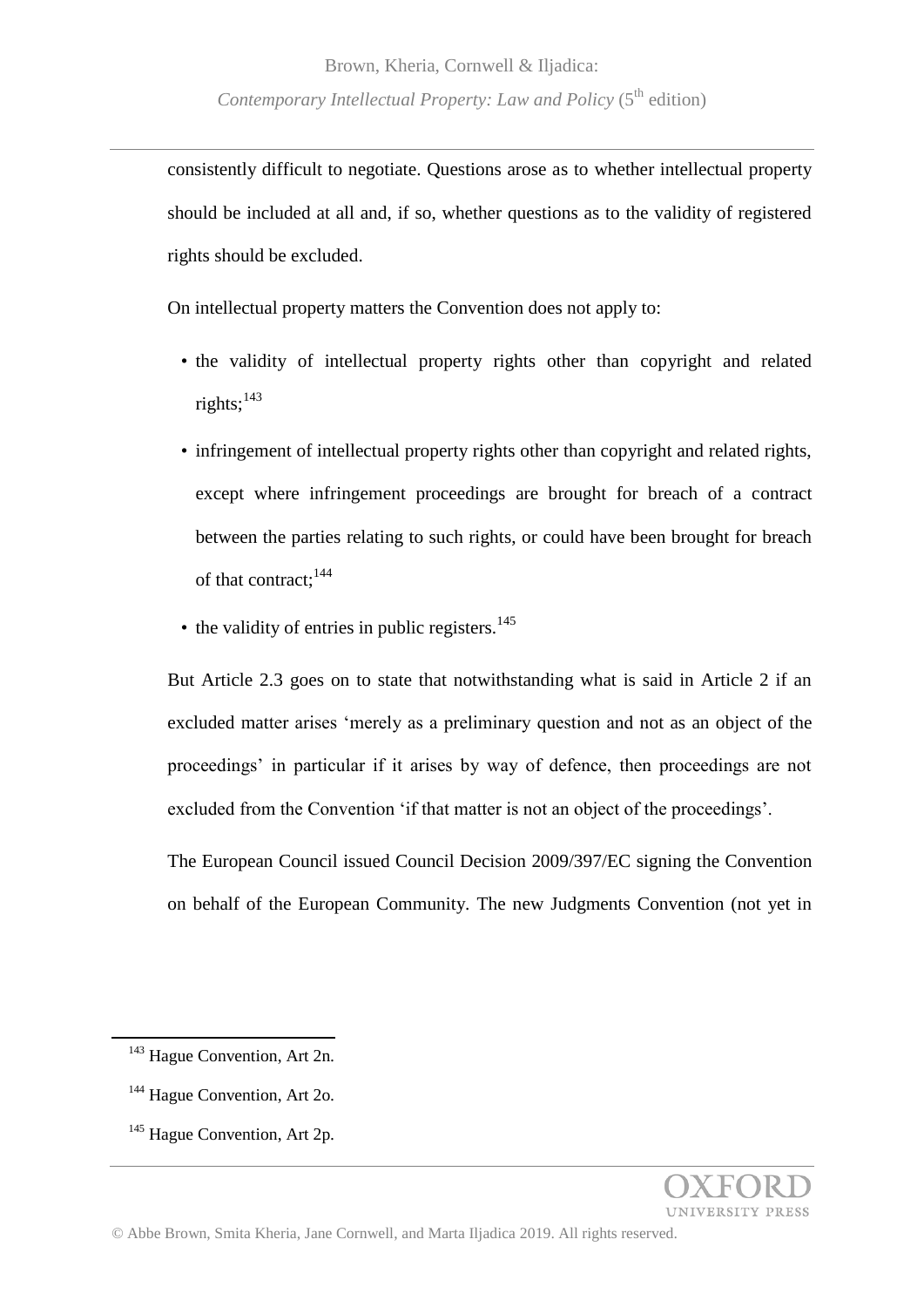consistently difficult to negotiate. Questions arose as to whether intellectual property should be included at all and, if so, whether questions as to the validity of registered rights should be excluded.

On intellectual property matters the Convention does not apply to:

- the validity of intellectual property rights other than copyright and related rights: $143$
- infringement of intellectual property rights other than copyright and related rights, except where infringement proceedings are brought for breach of a contract between the parties relating to such rights, or could have been brought for breach of that contract;<sup>144</sup>
- the validity of entries in public registers.<sup>145</sup>

But Article 2.3 goes on to state that notwithstanding what is said in Article 2 if an excluded matter arises 'merely as a preliminary question and not as an object of the proceedings' in particular if it arises by way of defence, then proceedings are not excluded from the Convention 'if that matter is not an object of the proceedings'.

The European Council issued Council Decision 2009/397/EC signing the Convention on behalf of the European Community. The new Judgments Convention (not yet in

1

<sup>&</sup>lt;sup>143</sup> Hague Convention, Art 2n.

<sup>&</sup>lt;sup>144</sup> Hague Convention, Art 2o.

<sup>&</sup>lt;sup>145</sup> Hague Convention, Art 2p.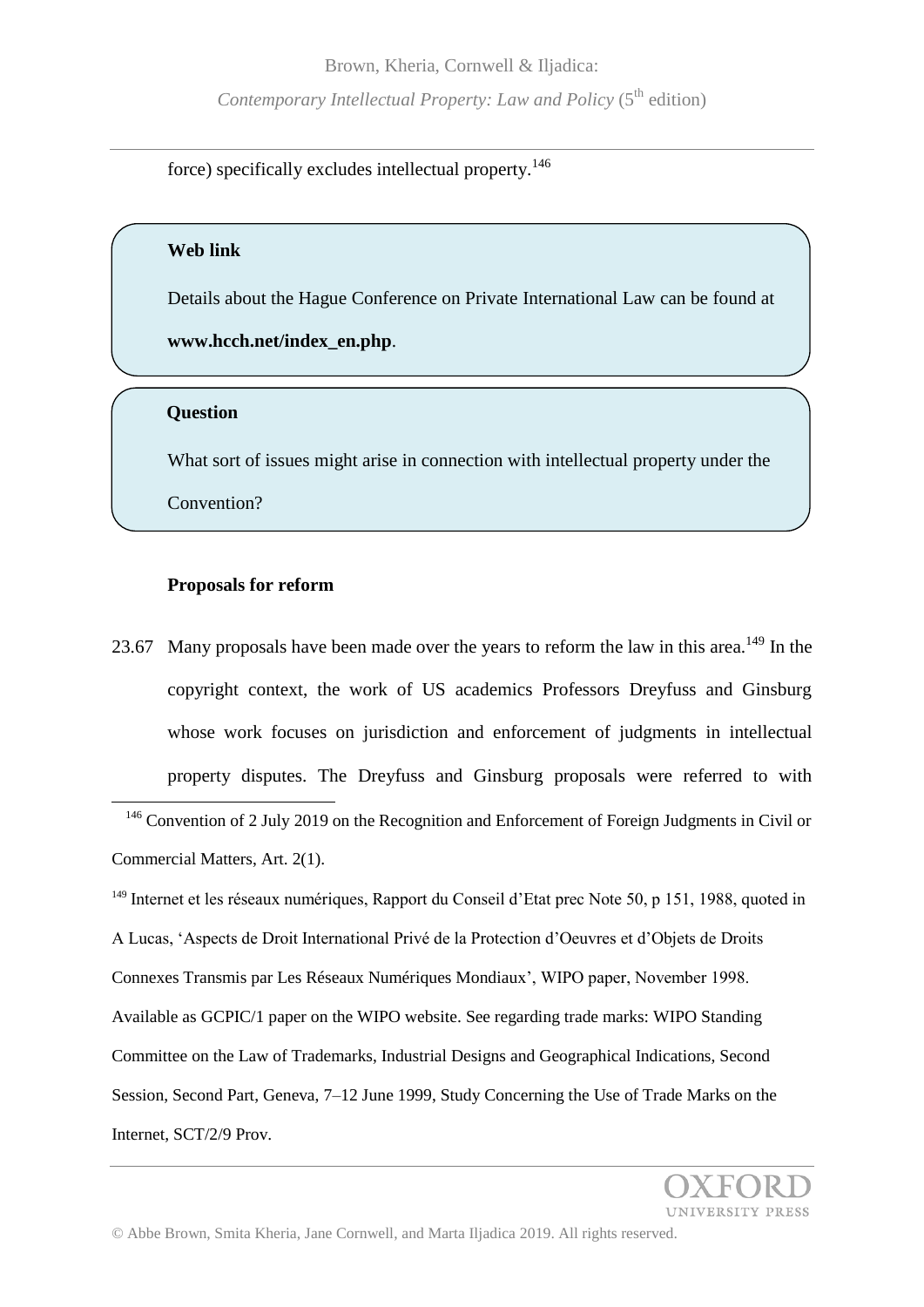force) specifically excludes intellectual property.<sup>146</sup>

### **Web link**

Details about the Hague Conference on Private International Law can be found at

**www.hcch.net/index\_en.php**.

#### **Question**

What sort of issues might arise in connection with intellectual property under the Convention?

### **Proposals for reform**

23.67 Many proposals have been made over the years to reform the law in this area.<sup>149</sup> In the copyright context, the work of US academics Professors Dreyfuss and Ginsburg whose work focuses on jurisdiction and enforcement of judgments in intellectual property disputes. The Dreyfuss and Ginsburg proposals were referred to with

1 <sup>146</sup> Convention of 2 July 2019 on the Recognition and Enforcement of Foreign Judgments in Civil or Commercial Matters, Art. 2(1).

<sup>149</sup> Internet et les réseaux numériques, Rapport du Conseil d'Etat prec Note 50, p 151, 1988, quoted in A Lucas, 'Aspects de Droit International Privé de la Protection d'Oeuvres et d'Objets de Droits Connexes Transmis par Les Réseaux Numériques Mondiaux', WIPO paper, November 1998. Available as GCPIC/1 paper on the WIPO website. See regarding trade marks: WIPO Standing Committee on the Law of Trademarks, Industrial Designs and Geographical Indications, Second Session, Second Part, Geneva, 7–12 June 1999, Study Concerning the Use of Trade Marks on the Internet, SCT/2/9 Prov.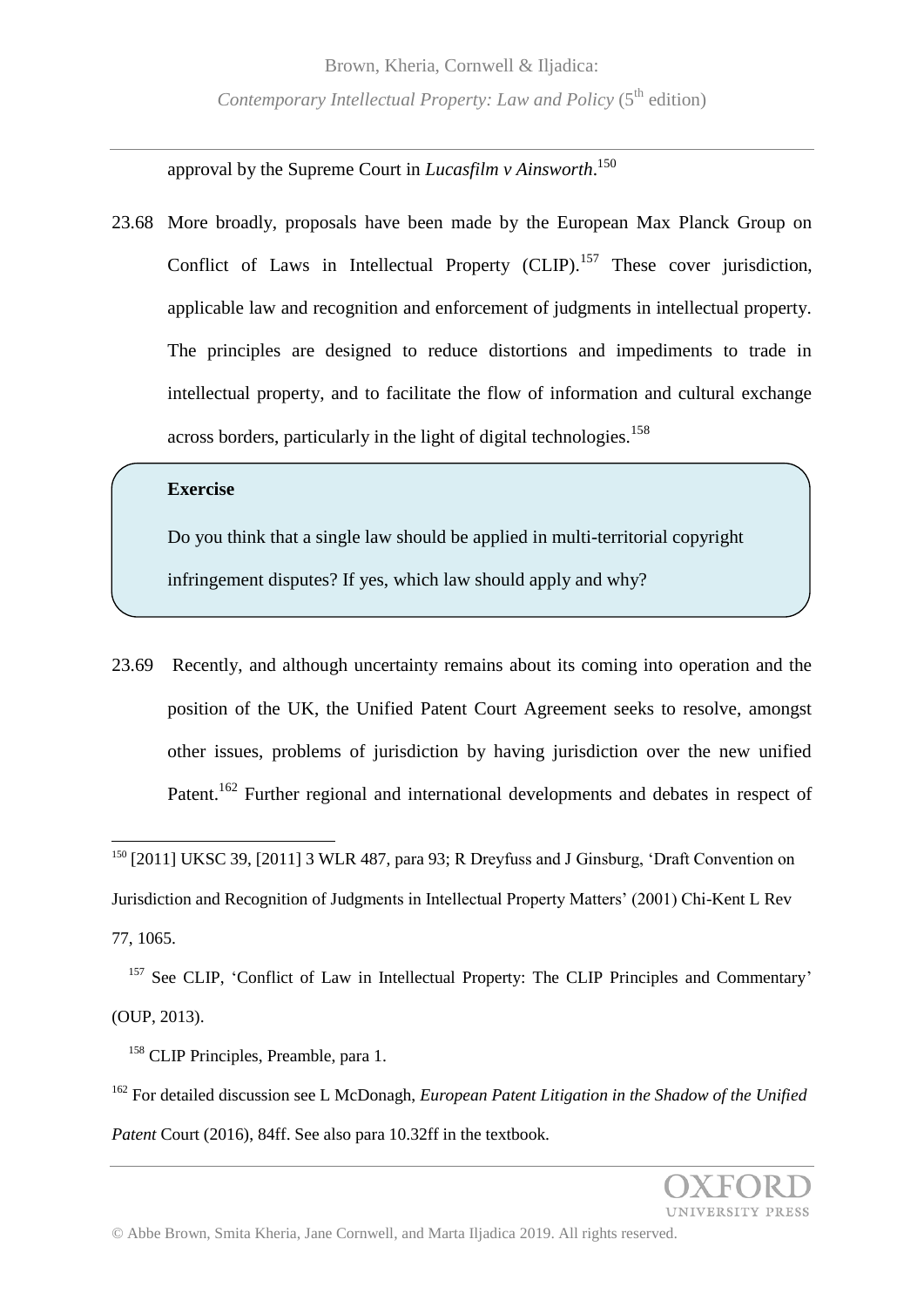approval by the Supreme Court in *Lucasfilm v Ainsworth*. 150

23.68 More broadly, proposals have been made by the European Max Planck Group on Conflict of Laws in Intellectual Property (CLIP).<sup>157</sup> These cover jurisdiction, applicable law and recognition and enforcement of judgments in intellectual property. The principles are designed to reduce distortions and impediments to trade in intellectual property, and to facilitate the flow of information and cultural exchange across borders, particularly in the light of digital technologies.<sup>158</sup>

## **Exercise**

Do you think that a single law should be applied in multi-territorial copyright infringement disputes? If yes, which law should apply and why?

23.69 Recently, and although uncertainty remains about its coming into operation and the position of the UK, the Unified Patent Court Agreement seeks to resolve, amongst other issues, problems of jurisdiction by having jurisdiction over the new unified Patent.<sup>162</sup> Further regional and international developments and debates in respect of

 $\overline{a}$ <sup>150</sup> [2011] UKSC 39, [2011] 3 WLR 487, para 93; R Dreyfuss and J Ginsburg, 'Draft Convention on Jurisdiction and Recognition of Judgments in Intellectual Property Matters' (2001) Chi-Kent L Rev 77, 1065.

<sup>157</sup> See CLIP, 'Conflict of Law in Intellectual Property: The CLIP Principles and Commentary' (OUP, 2013).

<sup>158</sup> CLIP Principles, Preamble, para 1.

<sup>162</sup> For detailed discussion see L McDonagh, *European Patent Litigation in the Shadow of the Unified Patent* Court (2016), 84ff. See also para 10.32ff in the textbook.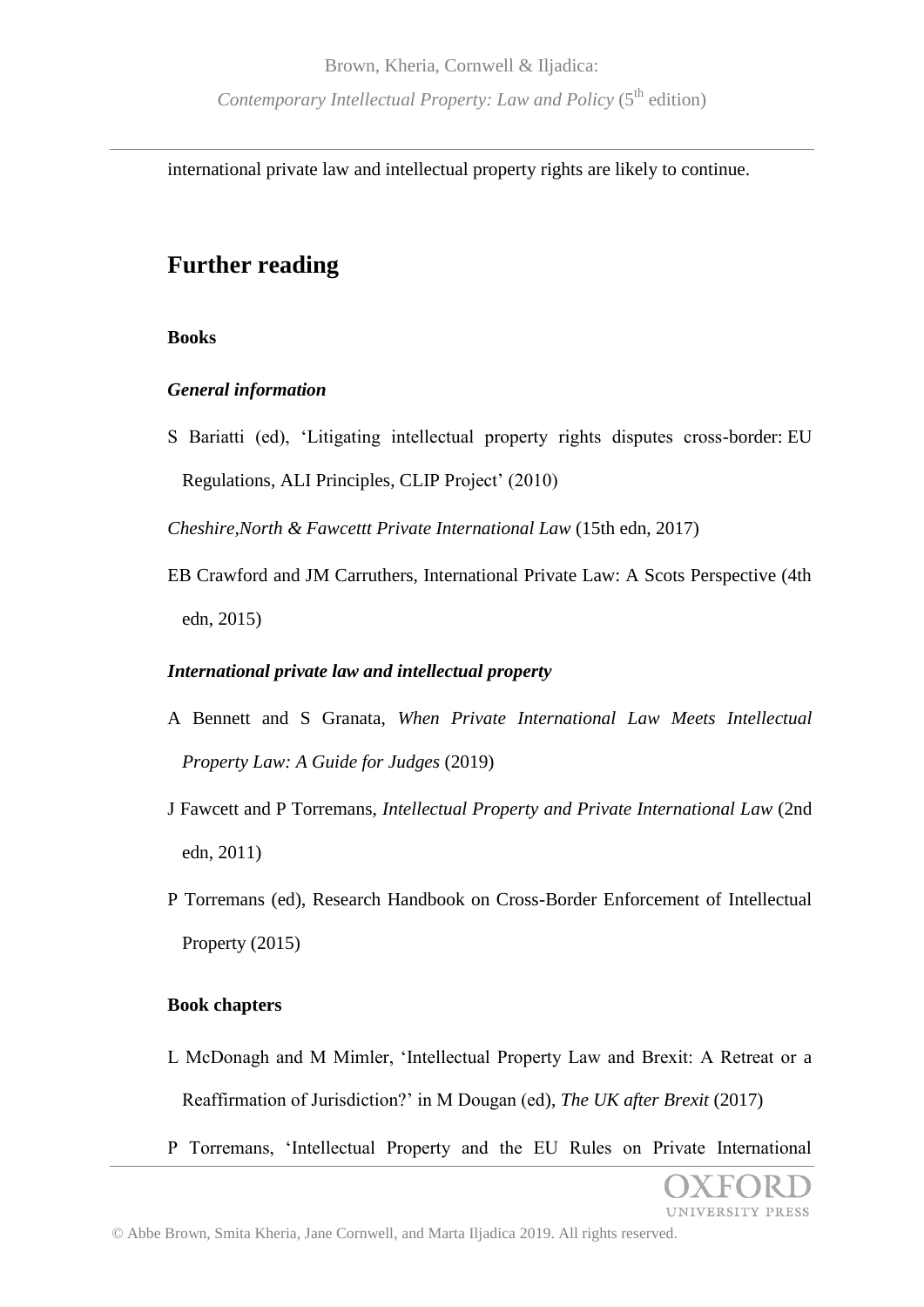international private law and intellectual property rights are likely to continue.

# **Further reading**

## **Books**

## *General information*

S Bariatti (ed), 'Litigating intellectual property rights disputes cross-border: EU Regulations, ALI Principles, CLIP Project' (2010)

*Cheshire,North & Fawcettt Private International Law* (15th edn, 2017)

EB Crawford and JM Carruthers, International Private Law: A Scots Perspective (4th edn, 2015)

## *International private law and intellectual property*

- A Bennett and S Granata, *When Private International Law Meets Intellectual Property Law: A Guide for Judges* (2019)
- J Fawcett and P Torremans, *Intellectual Property and Private International Law* (2nd edn, 2011)
- P Torremans (ed), Research Handbook on Cross-Border Enforcement of Intellectual Property (2015)

## **Book chapters**

- L McDonagh and M Mimler, 'Intellectual Property Law and Brexit: A Retreat or a Reaffirmation of Jurisdiction?' in M Dougan (ed), *The UK after Brexit* (2017)
- P Torremans, 'Intellectual Property and the EU Rules on Private International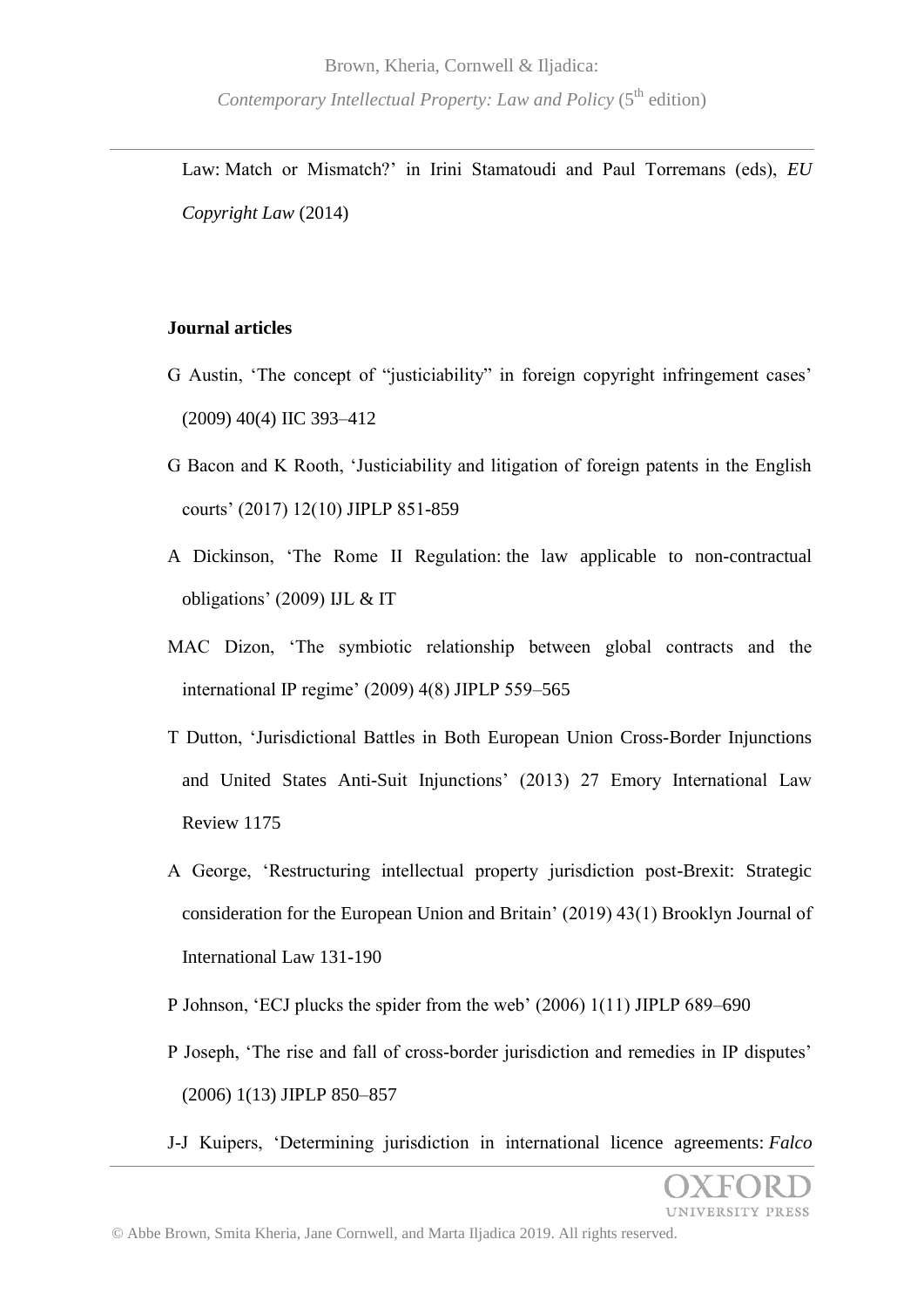Law: Match or Mismatch?' in Irini Stamatoudi and Paul Torremans (eds), *EU Copyright Law* (2014)

#### **Journal articles**

- G Austin, 'The concept of "justiciability" in foreign copyright infringement cases' (2009) 40(4) IIC 393–412
- G Bacon and K Rooth, 'Justiciability and litigation of foreign patents in the English courts' (2017) 12(10) JIPLP 851-859
- A Dickinson, 'The Rome II Regulation: the law applicable to non-contractual obligations' (2009) IJL & IT
- MAC Dizon, 'The symbiotic relationship between global contracts and the international IP regime' (2009) 4(8) JIPLP 559–565
- T Dutton, 'Jurisdictional Battles in Both European Union Cross-Border Injunctions and United States Anti-Suit Injunctions' (2013) 27 Emory International Law Review 1175
- A George, 'Restructuring intellectual property jurisdiction post-Brexit: Strategic consideration for the European Union and Britain' (2019) 43(1) Brooklyn Journal of International Law 131-190
- P Johnson, 'ECJ plucks the spider from the web' (2006) 1(11) JIPLP 689–690
- P Joseph, 'The rise and fall of cross-border jurisdiction and remedies in IP disputes' (2006) 1(13) JIPLP 850–857
- J-J Kuipers, 'Determining jurisdiction in international licence agreements: *Falco*

UNIVERSITY PRESS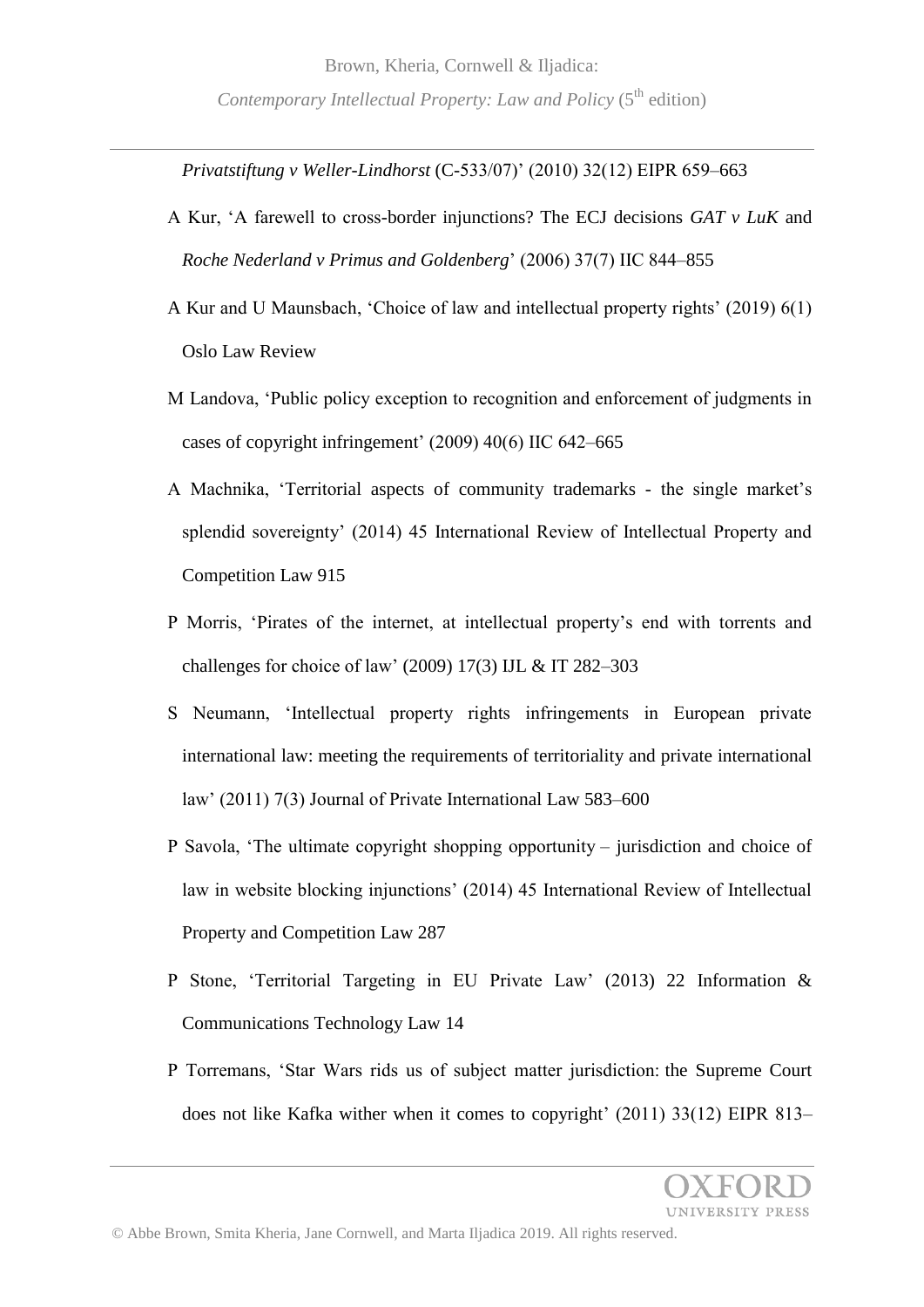*Privatstiftung v Weller-Lindhorst* (C-533/07)' (2010) 32(12) EIPR 659–663

- A Kur, 'A farewell to cross-border injunctions? The ECJ decisions *GAT v LuK* and *Roche Nederland v Primus and Goldenberg*' (2006) 37(7) IIC 844–855
- A Kur and U Maunsbach, 'Choice of law and intellectual property rights' (2019) 6(1) Oslo Law Review
- M Landova, 'Public policy exception to recognition and enforcement of judgments in cases of copyright infringement' (2009) 40(6) IIC 642–665
- A Machnika, 'Territorial aspects of community trademarks the single market's splendid sovereignty' (2014) 45 International Review of Intellectual Property and Competition Law 915
- P Morris, 'Pirates of the internet, at intellectual property's end with torrents and challenges for choice of law' (2009) 17(3) IJL & IT 282-303
- S Neumann, 'Intellectual property rights infringements in European private international law: meeting the requirements of territoriality and private international law' (2011) 7(3) Journal of Private International Law 583–600
- P Savola, 'The ultimate copyright shopping opportunity jurisdiction and choice of law in website blocking injunctions' (2014) 45 International Review of Intellectual Property and Competition Law 287
- P Stone, 'Territorial Targeting in EU Private Law' (2013) 22 Information & Communications Technology Law 14
- P Torremans, 'Star Wars rids us of subject matter jurisdiction: the Supreme Court does not like Kafka wither when it comes to copyright' (2011) 33(12) EIPR 813–